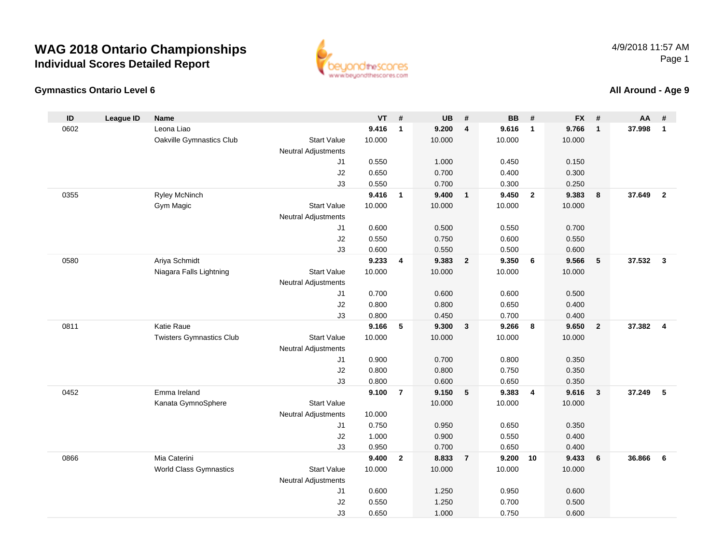#### **Gymnastics Ontario Level 6**

www.beyondthescores.com



| ID   | <b>League ID</b> | <b>Name</b>                     |                                           | <b>VT</b> | #              | <b>UB</b> | #                       | <b>BB</b> | #              | <b>FX</b> | #              | <b>AA</b> | #              |
|------|------------------|---------------------------------|-------------------------------------------|-----------|----------------|-----------|-------------------------|-----------|----------------|-----------|----------------|-----------|----------------|
| 0602 |                  | Leona Liao                      |                                           | 9.416     | $\mathbf{1}$   | 9.200     | $\overline{\mathbf{4}}$ | 9.616     | $\mathbf{1}$   | 9.766     | $\mathbf{1}$   | 37.998    | $\mathbf{1}$   |
|      |                  | Oakville Gymnastics Club        | <b>Start Value</b>                        | 10.000    |                | 10.000    |                         | 10.000    |                | 10.000    |                |           |                |
|      |                  |                                 | Neutral Adjustments                       |           |                |           |                         |           |                |           |                |           |                |
|      |                  |                                 | J <sub>1</sub>                            | 0.550     |                | 1.000     |                         | 0.450     |                | 0.150     |                |           |                |
|      |                  |                                 | J2                                        | 0.650     |                | 0.700     |                         | 0.400     |                | 0.300     |                |           |                |
|      |                  |                                 | J3                                        | 0.550     |                | 0.700     |                         | 0.300     |                | 0.250     |                |           |                |
| 0355 |                  | <b>Ryley McNinch</b>            |                                           | 9.416     | $\mathbf{1}$   | 9.400     | $\overline{1}$          | 9.450     | $\overline{2}$ | 9.383     | 8              | 37.649    | $\overline{2}$ |
|      |                  | Gym Magic                       | <b>Start Value</b>                        | 10.000    |                | 10.000    |                         | 10.000    |                | 10.000    |                |           |                |
|      |                  |                                 | <b>Neutral Adjustments</b>                |           |                |           |                         |           |                |           |                |           |                |
|      |                  |                                 | J <sub>1</sub>                            | 0.600     |                | 0.500     |                         | 0.550     |                | 0.700     |                |           |                |
|      |                  |                                 | J2                                        | 0.550     |                | 0.750     |                         | 0.600     |                | 0.550     |                |           |                |
|      |                  |                                 | J3                                        | 0.600     |                | 0.550     |                         | 0.500     |                | 0.600     |                |           |                |
| 0580 |                  | Ariya Schmidt                   |                                           | 9.233     | 4              | 9.383     | $\overline{2}$          | 9.350     | - 6            | 9.566     | 5              | 37.532    | $\mathbf{3}$   |
|      |                  | Niagara Falls Lightning         | <b>Start Value</b><br>Neutral Adjustments | 10.000    |                | 10.000    |                         | 10.000    |                | 10.000    |                |           |                |
|      |                  |                                 | J1                                        | 0.700     |                | 0.600     |                         | 0.600     |                | 0.500     |                |           |                |
|      |                  |                                 | J2                                        | 0.800     |                | 0.800     |                         | 0.650     |                | 0.400     |                |           |                |
|      |                  |                                 | J3                                        | 0.800     |                | 0.450     |                         | 0.700     |                | 0.400     |                |           |                |
| 0811 |                  | Katie Raue                      |                                           | 9.166     | 5              | 9.300     | $\overline{\mathbf{3}}$ | 9.266     | 8              | 9.650     | $\overline{2}$ | 37.382    | $\overline{4}$ |
|      |                  | <b>Twisters Gymnastics Club</b> | <b>Start Value</b>                        | 10.000    |                | 10.000    |                         | 10.000    |                | 10.000    |                |           |                |
|      |                  |                                 | Neutral Adjustments                       |           |                |           |                         |           |                |           |                |           |                |
|      |                  |                                 | J <sub>1</sub>                            | 0.900     |                | 0.700     |                         | 0.800     |                | 0.350     |                |           |                |
|      |                  |                                 | J2                                        | 0.800     |                | 0.800     |                         | 0.750     |                | 0.350     |                |           |                |
|      |                  |                                 | J3                                        | 0.800     |                | 0.600     |                         | 0.650     |                | 0.350     |                |           |                |
| 0452 |                  | Emma Ireland                    |                                           | 9.100     | $\overline{7}$ | 9.150     | 5                       | 9.383     | $\overline{4}$ | 9.616     | $\mathbf{3}$   | 37.249    | 5              |
|      |                  | Kanata GymnoSphere              | <b>Start Value</b>                        |           |                | 10.000    |                         | 10.000    |                | 10.000    |                |           |                |
|      |                  |                                 | Neutral Adjustments                       | 10.000    |                |           |                         |           |                |           |                |           |                |
|      |                  |                                 | J <sub>1</sub>                            | 0.750     |                | 0.950     |                         | 0.650     |                | 0.350     |                |           |                |
|      |                  |                                 | J2                                        | 1.000     |                | 0.900     |                         | 0.550     |                | 0.400     |                |           |                |
|      |                  |                                 | J3                                        | 0.950     |                | 0.700     |                         | 0.650     |                | 0.400     |                |           |                |
| 0866 |                  | Mia Caterini                    |                                           | 9.400     | $\mathbf{2}$   | 8.833     | $\overline{7}$          | 9.200     | 10             | 9.433     | 6              | 36.866    | 6              |
|      |                  | <b>World Class Gymnastics</b>   | <b>Start Value</b>                        | 10.000    |                | 10.000    |                         | 10.000    |                | 10.000    |                |           |                |
|      |                  |                                 | Neutral Adjustments                       |           |                |           |                         |           |                |           |                |           |                |
|      |                  |                                 | J1                                        | 0.600     |                | 1.250     |                         | 0.950     |                | 0.600     |                |           |                |
|      |                  |                                 | J2                                        | 0.550     |                | 1.250     |                         | 0.700     |                | 0.500     |                |           |                |
|      |                  |                                 | J3                                        | 0.650     |                | 1.000     |                         | 0.750     |                | 0.600     |                |           |                |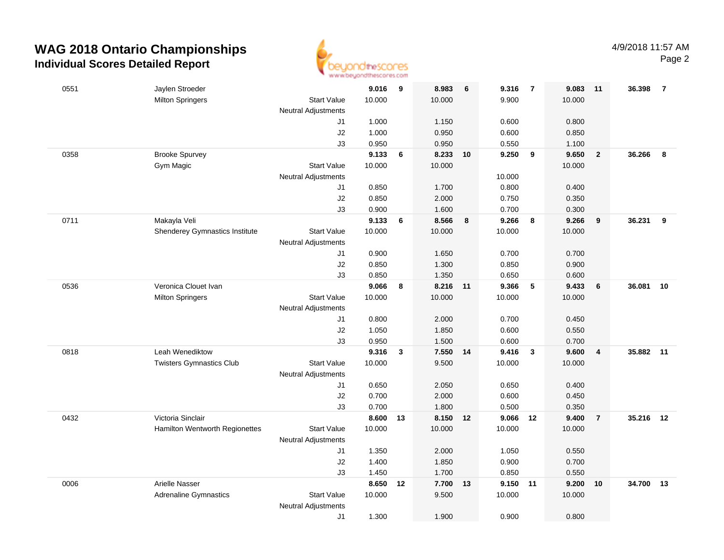

| 0551 | Jaylen Stroeder                 |                            | 9.016          | 9            | 8.983          | 6  | 9.316          | $\overline{7}$ | 9.083  | 11             | 36.398    | $\overline{7}$ |
|------|---------------------------------|----------------------------|----------------|--------------|----------------|----|----------------|----------------|--------|----------------|-----------|----------------|
|      | <b>Milton Springers</b>         | <b>Start Value</b>         | 10.000         |              | 10.000         |    | 9.900          |                | 10.000 |                |           |                |
|      |                                 | <b>Neutral Adjustments</b> |                |              |                |    |                |                |        |                |           |                |
|      |                                 | J1                         | 1.000          |              | 1.150          |    | 0.600          |                | 0.800  |                |           |                |
|      |                                 | $\sf J2$                   | 1.000          |              | 0.950          |    | 0.600          |                | 0.850  |                |           |                |
|      |                                 | J3                         | 0.950          |              | 0.950          |    | 0.550          |                | 1.100  |                |           |                |
| 0358 | <b>Brooke Spurvey</b>           |                            | 9.133          | 6            | 8.233          | 10 | 9.250          | 9              | 9.650  | $\mathbf{2}$   | 36.266    | 8              |
|      | Gym Magic                       | <b>Start Value</b>         | 10.000         |              | 10.000         |    |                |                | 10.000 |                |           |                |
|      |                                 | <b>Neutral Adjustments</b> |                |              |                |    | 10.000         |                |        |                |           |                |
|      |                                 | J1                         | 0.850          |              | 1.700          |    | 0.800          |                | 0.400  |                |           |                |
|      |                                 | $\sf J2$                   | 0.850          |              | 2.000          |    | 0.750          |                | 0.350  |                |           |                |
|      |                                 | J3                         | 0.900          |              | 1.600          |    | 0.700          |                | 0.300  |                |           |                |
| 0711 | Makayla Veli                    |                            | 9.133          | 6            | 8.566          | 8  | 9.266          | 8              | 9.266  | 9              | 36.231    | 9              |
|      | Shenderey Gymnastics Institute  | <b>Start Value</b>         | 10.000         |              | 10.000         |    | 10.000         |                | 10.000 |                |           |                |
|      |                                 | <b>Neutral Adjustments</b> |                |              |                |    |                |                |        |                |           |                |
|      |                                 | J1                         | 0.900          |              | 1.650          |    | 0.700          |                | 0.700  |                |           |                |
|      |                                 | $\sf J2$                   | 0.850          |              | 1.300          |    | 0.850          |                | 0.900  |                |           |                |
|      |                                 | J3                         | 0.850          |              | 1.350          |    | 0.650          |                | 0.600  |                |           |                |
| 0536 | Veronica Clouet Ivan            |                            | 9.066          | 8            | 8.216          | 11 | 9.366          | 5              | 9.433  | 6              | 36.081    | 10             |
|      | <b>Milton Springers</b>         | <b>Start Value</b>         | 10.000         |              | 10.000         |    | 10.000         |                | 10.000 |                |           |                |
|      |                                 | <b>Neutral Adjustments</b> |                |              |                |    |                |                |        |                |           |                |
|      |                                 | J1                         | 0.800          |              | 2.000          |    | 0.700          |                | 0.450  |                |           |                |
|      |                                 | $\sf J2$                   | 1.050          |              | 1.850          |    | 0.600          |                | 0.550  |                |           |                |
|      |                                 | J3                         | 0.950          |              | 1.500          |    | 0.600          |                | 0.700  |                |           |                |
| 0818 | Leah Wenediktow                 |                            | 9.316          | $\mathbf{3}$ | 7.550          | 14 | 9.416          | $\mathbf{3}$   | 9.600  | 4              | 35.882    | 11             |
|      | <b>Twisters Gymnastics Club</b> | <b>Start Value</b>         | 10.000         |              | 9.500          |    | 10.000         |                | 10.000 |                |           |                |
|      |                                 | <b>Neutral Adjustments</b> |                |              |                |    |                |                |        |                |           |                |
|      |                                 | J1                         | 0.650          |              | 2.050          |    | 0.650          |                | 0.400  |                |           |                |
|      |                                 | J2                         | 0.700          |              | 2.000          |    | 0.600          |                | 0.450  |                |           |                |
|      |                                 | J3                         | 0.700          |              | 1.800          |    | 0.500          |                | 0.350  |                |           |                |
| 0432 | Victoria Sinclair               |                            | 8.600          | 13           | 8.150 12       |    | 9.066          | 12             | 9.400  | $\overline{7}$ | 35.216 12 |                |
|      | Hamilton Wentworth Regionettes  | <b>Start Value</b>         | 10.000         |              | 10.000         |    | 10.000         |                | 10.000 |                |           |                |
|      |                                 | <b>Neutral Adjustments</b> |                |              |                |    |                |                |        |                |           |                |
|      |                                 | J1                         | 1.350          |              | 2.000          |    | 1.050          |                | 0.550  |                |           |                |
|      |                                 | J2                         | 1.400          |              | 1.850          |    | 0.900          |                | 0.700  |                |           |                |
|      | Arielle Nasser                  | J3                         | 1.450<br>8.650 |              | 1.700<br>7.700 |    | 0.850<br>9.150 |                | 0.550  |                | 34.700    |                |
| 0006 |                                 | <b>Start Value</b>         | 10.000         | 12           | 9.500          | 13 | 10.000         | 11             | 9.200  | 10             |           | 13             |
|      | <b>Adrenaline Gymnastics</b>    |                            |                |              |                |    |                |                | 10.000 |                |           |                |
|      |                                 | <b>Neutral Adjustments</b> |                |              |                |    |                |                |        |                |           |                |
|      |                                 | J1                         | 1.300          |              | 1.900          |    | 0.900          |                | 0.800  |                |           |                |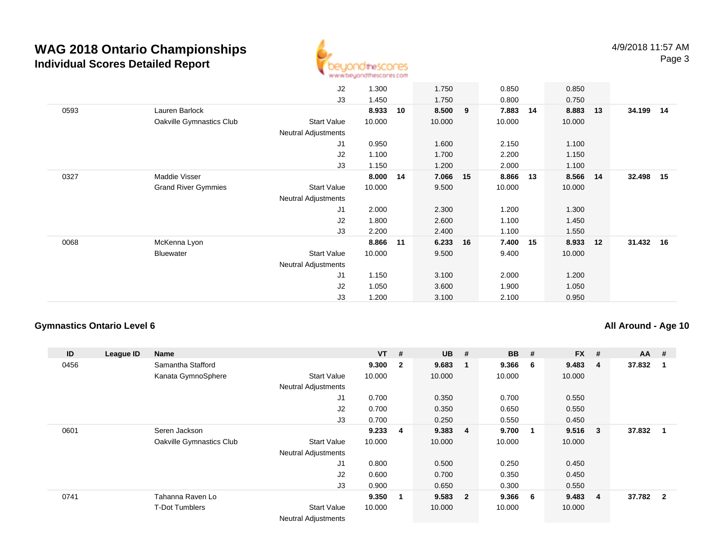

|      |                            | J2                         | 1.300  |    | 1.750  |    | 0.850  |    | 0.850    |    |           |  |
|------|----------------------------|----------------------------|--------|----|--------|----|--------|----|----------|----|-----------|--|
|      |                            | J3                         | 1.450  |    | 1.750  |    | 0.800  |    | 0.750    |    |           |  |
| 0593 | Lauren Barlock             |                            | 8.933  | 10 | 8.500  | 9  | 7.883  | 14 | 8.883    | 13 | 34.199 14 |  |
|      | Oakville Gymnastics Club   | Start Value                | 10.000 |    | 10.000 |    | 10.000 |    | 10.000   |    |           |  |
|      |                            | Neutral Adjustments        |        |    |        |    |        |    |          |    |           |  |
|      |                            | J <sub>1</sub>             | 0.950  |    | 1.600  |    | 2.150  |    | 1.100    |    |           |  |
|      |                            | J2                         | 1.100  |    | 1.700  |    | 2.200  |    | 1.150    |    |           |  |
|      |                            | J3                         | 1.150  |    | 1.200  |    | 2.000  |    | 1.100    |    |           |  |
| 0327 | Maddie Visser              |                            | 8.000  | 14 | 7.066  | 15 | 8.866  | 13 | 8.566 14 |    | 32.498 15 |  |
|      | <b>Grand River Gymmies</b> | Start Value                | 10.000 |    | 9.500  |    | 10.000 |    | 10.000   |    |           |  |
|      |                            | <b>Neutral Adjustments</b> |        |    |        |    |        |    |          |    |           |  |
|      |                            | J <sub>1</sub>             | 2.000  |    | 2.300  |    | 1.200  |    | 1.300    |    |           |  |
|      |                            | J2                         | 1.800  |    | 2.600  |    | 1.100  |    | 1.450    |    |           |  |
|      |                            | J3                         | 2.200  |    | 2.400  |    | 1.100  |    | 1.550    |    |           |  |
| 0068 | McKenna Lyon               |                            | 8.866  | 11 | 6.233  | 16 | 7.400  | 15 | 8.933    | 12 | 31.432 16 |  |
|      | Bluewater                  | <b>Start Value</b>         | 10.000 |    | 9.500  |    | 9.400  |    | 10.000   |    |           |  |
|      |                            | Neutral Adjustments        |        |    |        |    |        |    |          |    |           |  |
|      |                            | J1                         | 1.150  |    | 3.100  |    | 2.000  |    | 1.200    |    |           |  |
|      |                            | J2                         | 1.050  |    | 3.600  |    | 1.900  |    | 1.050    |    |           |  |
|      |                            | J3                         | 1.200  |    | 3.100  |    | 2.100  |    | 0.950    |    |           |  |

#### **Gymnastics Ontario Level 6**

#### **All Around - Age 10**

| ID   | League ID | <b>Name</b>              |                            | <b>VT</b> | #              | <b>UB</b> | #                       | <b>BB</b> | #                       | <b>FX</b> | # | $AA$ # |                |
|------|-----------|--------------------------|----------------------------|-----------|----------------|-----------|-------------------------|-----------|-------------------------|-----------|---|--------|----------------|
| 0456 |           | Samantha Stafford        |                            | 9.300     | $\overline{2}$ | 9.683     | - 1                     | 9.366     | - 6                     | 9.483     | 4 | 37.832 |                |
|      |           | Kanata GymnoSphere       | <b>Start Value</b>         | 10.000    |                | 10.000    |                         | 10.000    |                         | 10.000    |   |        |                |
|      |           |                          | <b>Neutral Adjustments</b> |           |                |           |                         |           |                         |           |   |        |                |
|      |           |                          | J <sub>1</sub>             | 0.700     |                | 0.350     |                         | 0.700     |                         | 0.550     |   |        |                |
|      |           |                          | J <sub>2</sub>             | 0.700     |                | 0.350     |                         | 0.650     |                         | 0.550     |   |        |                |
|      |           |                          | J3                         | 0.700     |                | 0.250     |                         | 0.550     |                         | 0.450     |   |        |                |
| 0601 |           | Seren Jackson            |                            | 9.233     | -4             | 9.383     | $\overline{4}$          | 9.700     | $\overline{\mathbf{1}}$ | 9.516     | 3 | 37.832 |                |
|      |           | Oakville Gymnastics Club | <b>Start Value</b>         | 10.000    |                | 10.000    |                         | 10.000    |                         | 10.000    |   |        |                |
|      |           |                          | <b>Neutral Adjustments</b> |           |                |           |                         |           |                         |           |   |        |                |
|      |           |                          | J <sub>1</sub>             | 0.800     |                | 0.500     |                         | 0.250     |                         | 0.450     |   |        |                |
|      |           |                          | J2                         | 0.600     |                | 0.700     |                         | 0.350     |                         | 0.450     |   |        |                |
|      |           |                          | J3                         | 0.900     |                | 0.650     |                         | 0.300     |                         | 0.550     |   |        |                |
| 0741 |           | Tahanna Raven Lo         |                            | 9.350     |                | 9.583     | $\overline{\mathbf{2}}$ | 9.366     | - 6                     | 9.483     | 4 | 37.782 | $\overline{2}$ |
|      |           | <b>T-Dot Tumblers</b>    | <b>Start Value</b>         | 10.000    |                | 10.000    |                         | 10.000    |                         | 10.000    |   |        |                |
|      |           |                          | <b>Neutral Adjustments</b> |           |                |           |                         |           |                         |           |   |        |                |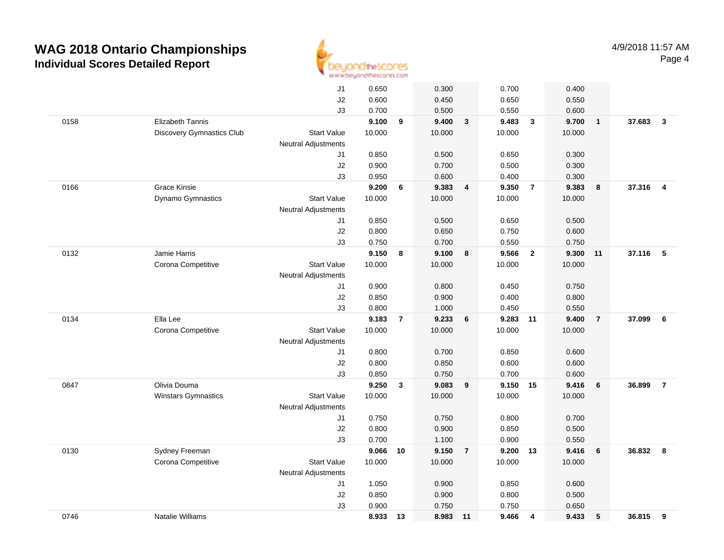

|      |                                  | J1                         | 0.650  |                | 0.300  |                         | 0.700    |                         | 0.400  |                 |          |                |
|------|----------------------------------|----------------------------|--------|----------------|--------|-------------------------|----------|-------------------------|--------|-----------------|----------|----------------|
|      |                                  | J2                         | 0.600  |                | 0.450  |                         | 0.650    |                         | 0.550  |                 |          |                |
|      |                                  | J3                         | 0.700  |                | 0.500  |                         | 0.550    |                         | 0.600  |                 |          |                |
| 0158 | Elizabeth Tannis                 |                            | 9.100  | 9              | 9.400  | $\mathbf{3}$            | 9.483    | $\mathbf{3}$            | 9.700  | $\overline{1}$  | 37.683   | $\mathbf{3}$   |
|      | <b>Discovery Gymnastics Club</b> | <b>Start Value</b>         | 10.000 |                | 10.000 |                         | 10.000   |                         | 10.000 |                 |          |                |
|      |                                  | <b>Neutral Adjustments</b> |        |                |        |                         |          |                         |        |                 |          |                |
|      |                                  | J1                         | 0.850  |                | 0.500  |                         | 0.650    |                         | 0.300  |                 |          |                |
|      |                                  | J2                         | 0.900  |                | 0.700  |                         | 0.500    |                         | 0.300  |                 |          |                |
|      |                                  | J3                         | 0.950  |                | 0.600  |                         | 0.400    |                         | 0.300  |                 |          |                |
| 0166 | <b>Grace Kinsie</b>              |                            | 9.200  | 6              | 9.383  | $\overline{4}$          | 9.350    | $\overline{7}$          | 9.383  | 8               | 37.316   | $\overline{4}$ |
|      | Dynamo Gymnastics                | <b>Start Value</b>         | 10.000 |                | 10.000 |                         | 10.000   |                         | 10.000 |                 |          |                |
|      |                                  | <b>Neutral Adjustments</b> |        |                |        |                         |          |                         |        |                 |          |                |
|      |                                  | J1                         | 0.850  |                | 0.500  |                         | 0.650    |                         | 0.500  |                 |          |                |
|      |                                  | J2                         | 0.800  |                | 0.650  |                         | 0.750    |                         | 0.600  |                 |          |                |
|      |                                  | J3                         | 0.750  |                | 0.700  |                         | 0.550    |                         | 0.750  |                 |          |                |
| 0132 | Jamie Harris                     |                            | 9.150  | 8              | 9.100  | $\overline{\mathbf{8}}$ | 9.566    | $\overline{\mathbf{2}}$ | 9.300  | 11              | 37.116 5 |                |
|      | Corona Competitive               | <b>Start Value</b>         | 10.000 |                | 10.000 |                         | 10.000   |                         | 10.000 |                 |          |                |
|      |                                  | <b>Neutral Adjustments</b> |        |                |        |                         |          |                         |        |                 |          |                |
|      |                                  | J1                         | 0.900  |                | 0.800  |                         | 0.450    |                         | 0.750  |                 |          |                |
|      |                                  | J2                         | 0.850  |                | 0.900  |                         | 0.400    |                         | 0.800  |                 |          |                |
|      |                                  | J3                         | 0.800  |                | 1.000  |                         | 0.450    |                         | 0.550  |                 |          |                |
| 0134 | Ella Lee                         |                            | 9.183  | $\overline{7}$ | 9.233  | 6                       | 9.283    | 11                      | 9.400  | $\overline{7}$  | 37.099   | 6              |
|      | Corona Competitive               | <b>Start Value</b>         | 10.000 |                | 10.000 |                         | 10.000   |                         | 10.000 |                 |          |                |
|      |                                  | <b>Neutral Adjustments</b> |        |                |        |                         |          |                         |        |                 |          |                |
|      |                                  | J1                         | 0.800  |                | 0.700  |                         | 0.850    |                         | 0.600  |                 |          |                |
|      |                                  | J2                         | 0.800  |                | 0.850  |                         | 0.600    |                         | 0.600  |                 |          |                |
|      |                                  | J3                         | 0.850  |                | 0.750  |                         | 0.700    |                         | 0.600  |                 |          |                |
| 0847 | Olivia Douma                     |                            | 9.250  | $\mathbf{3}$   | 9.083  | 9                       | 9.150 15 |                         | 9.416  | 6               | 36.899   | $\overline{7}$ |
|      | Winstars Gymnastics              | <b>Start Value</b>         | 10.000 |                | 10.000 |                         | 10.000   |                         | 10.000 |                 |          |                |
|      |                                  | <b>Neutral Adjustments</b> |        |                |        |                         |          |                         |        |                 |          |                |
|      |                                  | J1                         | 0.750  |                | 0.750  |                         | 0.800    |                         | 0.700  |                 |          |                |
|      |                                  | J2                         | 0.800  |                | 0.900  |                         | 0.850    |                         | 0.500  |                 |          |                |
|      |                                  | J3                         | 0.700  |                | 1.100  |                         | 0.900    |                         | 0.550  |                 |          |                |
| 0130 | Sydney Freeman                   |                            | 9.066  | 10             | 9.150  | $\overline{7}$          | 9.200    | 13                      | 9.416  | 6               | 36.832   | - 8            |
|      | Corona Competitive               | <b>Start Value</b>         | 10.000 |                | 10.000 |                         | 10.000   |                         | 10.000 |                 |          |                |
|      |                                  | <b>Neutral Adjustments</b> |        |                |        |                         |          |                         |        |                 |          |                |
|      |                                  | J1                         | 1.050  |                | 0.900  |                         | 0.850    |                         | 0.600  |                 |          |                |
|      |                                  | J2                         | 0.850  |                | 0.900  |                         | 0.800    |                         | 0.500  |                 |          |                |
|      |                                  | J3                         | 0.900  |                | 0.750  |                         | 0.750    |                         | 0.650  |                 |          |                |
| 0746 | <b>Natalie Williams</b>          |                            | 8.933  | 13             | 8.983  | 11                      | 9.466    | 4                       | 9.433  | $5\phantom{.0}$ | 36.815   | 9              |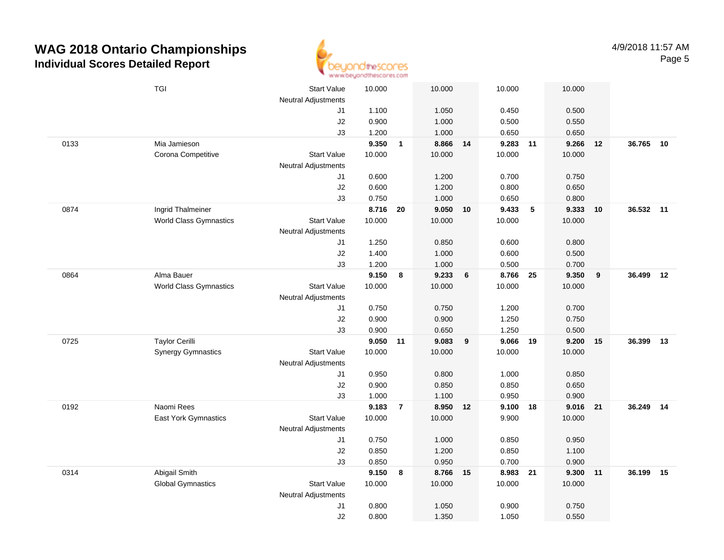

|      | <b>TGI</b>                    | <b>Start Value</b>         | 10.000 |                | 10.000   |    | 10.000         |    | 10.000 |    |           |    |
|------|-------------------------------|----------------------------|--------|----------------|----------|----|----------------|----|--------|----|-----------|----|
|      |                               | <b>Neutral Adjustments</b> | 1.100  |                | 1.050    |    |                |    | 0.500  |    |           |    |
|      |                               | J1<br>J2                   | 0.900  |                | 1.000    |    | 0.450<br>0.500 |    | 0.550  |    |           |    |
|      |                               | J3                         | 1.200  |                | 1.000    |    | 0.650          |    | 0.650  |    |           |    |
| 0133 | Mia Jamieson                  |                            | 9.350  | $\overline{1}$ | 8.866 14 |    | 9.283 11       |    | 9.266  | 12 | 36.765    | 10 |
|      | Corona Competitive            | <b>Start Value</b>         | 10.000 |                | 10.000   |    | 10.000         |    | 10.000 |    |           |    |
|      |                               | <b>Neutral Adjustments</b> |        |                |          |    |                |    |        |    |           |    |
|      |                               | J1                         | 0.600  |                | 1.200    |    | 0.700          |    | 0.750  |    |           |    |
|      |                               | J2                         | 0.600  |                | 1.200    |    | 0.800          |    | 0.650  |    |           |    |
|      |                               | J3                         | 0.750  |                | 1.000    |    | 0.650          |    | 0.800  |    |           |    |
| 0874 | Ingrid Thalmeiner             |                            | 8.716  | 20             | 9.050    | 10 | 9.433          | 5  | 9.333  | 10 | 36.532 11 |    |
|      | <b>World Class Gymnastics</b> | <b>Start Value</b>         | 10.000 |                | 10.000   |    | 10.000         |    | 10.000 |    |           |    |
|      |                               | <b>Neutral Adjustments</b> |        |                |          |    |                |    |        |    |           |    |
|      |                               | J1                         | 1.250  |                | 0.850    |    | 0.600          |    | 0.800  |    |           |    |
|      |                               | J2                         | 1.400  |                | 1.000    |    | 0.600          |    | 0.500  |    |           |    |
|      |                               | J3                         | 1.200  |                | 1.000    |    | 0.500          |    | 0.700  |    |           |    |
| 0864 | Alma Bauer                    |                            | 9.150  | 8              | 9.233    | 6  | 8.766 25       |    | 9.350  | 9  | 36.499 12 |    |
|      | <b>World Class Gymnastics</b> | Start Value                | 10.000 |                | 10.000   |    | 10.000         |    | 10.000 |    |           |    |
|      |                               | <b>Neutral Adjustments</b> |        |                |          |    |                |    |        |    |           |    |
|      |                               | J1                         | 0.750  |                | 0.750    |    | 1.200          |    | 0.700  |    |           |    |
|      |                               | J2                         | 0.900  |                | 0.900    |    | 1.250          |    | 0.750  |    |           |    |
|      |                               | J3                         | 0.900  |                | 0.650    |    | 1.250          |    | 0.500  |    |           |    |
| 0725 | <b>Taylor Cerilli</b>         |                            | 9.050  | 11             | 9.083    | 9  | 9.066          | 19 | 9.200  | 15 | 36.399    | 13 |
|      | <b>Synergy Gymnastics</b>     | <b>Start Value</b>         | 10.000 |                | 10.000   |    | 10.000         |    | 10.000 |    |           |    |
|      |                               | <b>Neutral Adjustments</b> |        |                |          |    |                |    |        |    |           |    |
|      |                               | J1                         | 0.950  |                | 0.800    |    | 1.000          |    | 0.850  |    |           |    |
|      |                               | J2                         | 0.900  |                | 0.850    |    | 0.850          |    | 0.650  |    |           |    |
|      |                               | J3                         | 1.000  |                | 1.100    |    | 0.950          |    | 0.900  |    |           |    |
| 0192 | Naomi Rees                    |                            | 9.183  | $\overline{7}$ | 8.950 12 |    | 9.100 18       |    | 9.016  | 21 | 36.249 14 |    |
|      | East York Gymnastics          | <b>Start Value</b>         | 10.000 |                | 10.000   |    | 9.900          |    | 10.000 |    |           |    |
|      |                               | Neutral Adjustments        |        |                |          |    |                |    |        |    |           |    |
|      |                               | J1                         | 0.750  |                | 1.000    |    | 0.850          |    | 0.950  |    |           |    |
|      |                               | J2                         | 0.850  |                | 1.200    |    | 0.850          |    | 1.100  |    |           |    |
|      |                               | J3                         | 0.850  |                | 0.950    |    | 0.700          |    | 0.900  |    |           |    |
| 0314 | Abigail Smith                 |                            | 9.150  | 8              | 8.766 15 |    | 8.983 21       |    | 9.300  | 11 | 36.199    | 15 |
|      | <b>Global Gymnastics</b>      | <b>Start Value</b>         | 10.000 |                | 10.000   |    | 10.000         |    | 10.000 |    |           |    |
|      |                               | <b>Neutral Adjustments</b> |        |                |          |    |                |    |        |    |           |    |
|      |                               | J1                         | 0.800  |                | 1.050    |    | 0.900          |    | 0.750  |    |           |    |
|      |                               | J2                         | 0.800  |                | 1.350    |    | 1.050          |    | 0.550  |    |           |    |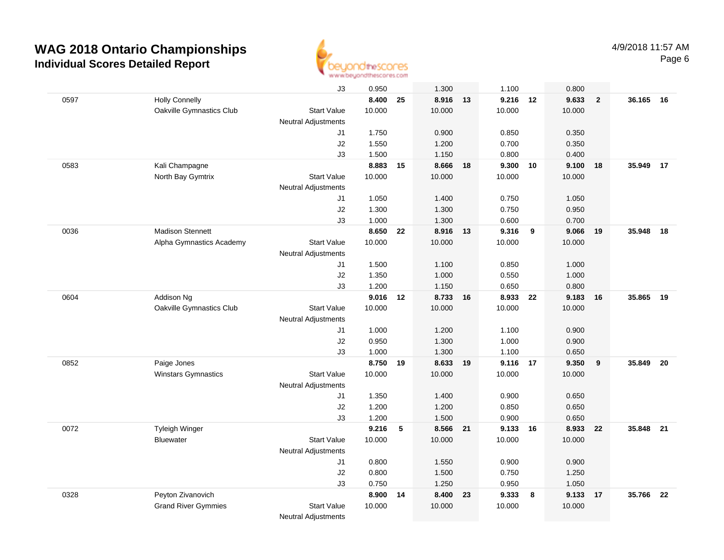

|      |                            | J3                         | 0.950  |    | 1.300    |    | 1.100    |                  | 0.800  |                |        |      |
|------|----------------------------|----------------------------|--------|----|----------|----|----------|------------------|--------|----------------|--------|------|
| 0597 | <b>Holly Connelly</b>      |                            | 8.400  | 25 | 8.916 13 |    | 9.216 12 |                  | 9.633  | $\overline{2}$ | 36.165 | 16   |
|      | Oakville Gymnastics Club   | <b>Start Value</b>         | 10.000 |    | 10.000   |    | 10.000   |                  | 10.000 |                |        |      |
|      |                            | <b>Neutral Adjustments</b> |        |    |          |    |          |                  |        |                |        |      |
|      |                            | J1                         | 1.750  |    | 0.900    |    | 0.850    |                  | 0.350  |                |        |      |
|      |                            | J2                         | 1.550  |    | 1.200    |    | 0.700    |                  | 0.350  |                |        |      |
|      |                            | J3                         | 1.500  |    | 1.150    |    | 0.800    |                  | 0.400  |                |        |      |
| 0583 | Kali Champagne             |                            | 8.883  | 15 | 8.666    | 18 | 9.300    | 10               | 9.100  | 18             | 35.949 | 17   |
|      | North Bay Gymtrix          | <b>Start Value</b>         | 10.000 |    | 10.000   |    | 10.000   |                  | 10.000 |                |        |      |
|      |                            | <b>Neutral Adjustments</b> |        |    |          |    |          |                  |        |                |        |      |
|      |                            | J1                         | 1.050  |    | 1.400    |    | 0.750    |                  | 1.050  |                |        |      |
|      |                            | J2                         | 1.300  |    | 1.300    |    | 0.750    |                  | 0.950  |                |        |      |
|      |                            | J3                         | 1.000  |    | 1.300    |    | 0.600    |                  | 0.700  |                |        |      |
| 0036 | <b>Madison Stennett</b>    |                            | 8.650  | 22 | 8.916 13 |    | 9.316    | $_{9}$           | 9.066  | 19             | 35.948 | 18   |
|      | Alpha Gymnastics Academy   | <b>Start Value</b>         | 10.000 |    | 10.000   |    | 10.000   |                  | 10.000 |                |        |      |
|      |                            | Neutral Adjustments        |        |    |          |    |          |                  |        |                |        |      |
|      |                            | J1                         | 1.500  |    | 1.100    |    | 0.850    |                  | 1.000  |                |        |      |
|      |                            | J2                         | 1.350  |    | 1.000    |    | 0.550    |                  | 1.000  |                |        |      |
|      |                            | J3                         | 1.200  |    | 1.150    |    | 0.650    |                  | 0.800  |                |        |      |
| 0604 | Addison Ng                 |                            | 9.016  | 12 | 8.733    | 16 | 8.933    | 22               | 9.183  | 16             | 35.865 | - 19 |
|      | Oakville Gymnastics Club   | <b>Start Value</b>         | 10.000 |    | 10.000   |    | 10.000   |                  | 10.000 |                |        |      |
|      |                            | <b>Neutral Adjustments</b> |        |    |          |    |          |                  |        |                |        |      |
|      |                            | J1                         | 1.000  |    | 1.200    |    | 1.100    |                  | 0.900  |                |        |      |
|      |                            | J2                         | 0.950  |    | 1.300    |    | 1.000    |                  | 0.900  |                |        |      |
|      |                            | J3                         | 1.000  |    | 1.300    |    | 1.100    |                  | 0.650  |                |        |      |
| 0852 | Paige Jones                |                            | 8.750  | 19 | 8.633    | 19 | 9.116    | 17               | 9.350  | 9              | 35.849 | 20   |
|      | Winstars Gymnastics        | <b>Start Value</b>         | 10.000 |    | 10.000   |    | 10.000   |                  | 10.000 |                |        |      |
|      |                            | <b>Neutral Adjustments</b> |        |    |          |    |          |                  |        |                |        |      |
|      |                            | J1                         | 1.350  |    | 1.400    |    | 0.900    |                  | 0.650  |                |        |      |
|      |                            | J2                         | 1.200  |    | 1.200    |    | 0.850    |                  | 0.650  |                |        |      |
|      |                            | J3                         | 1.200  |    | 1.500    |    | 0.900    |                  | 0.650  |                |        |      |
| 0072 | Tyleigh Winger             |                            | 9.216  | 5  | 8.566 21 |    | 9.133 16 |                  | 8.933  | 22             | 35.848 | 21   |
|      | <b>Bluewater</b>           | <b>Start Value</b>         | 10.000 |    | 10.000   |    | 10.000   |                  | 10.000 |                |        |      |
|      |                            | <b>Neutral Adjustments</b> |        |    |          |    |          |                  |        |                |        |      |
|      |                            | J1                         | 0.800  |    | 1.550    |    | 0.900    |                  | 0.900  |                |        |      |
|      |                            | J2                         | 0.800  |    | 1.500    |    | 0.750    |                  | 1.250  |                |        |      |
|      |                            | JЗ                         | 0.750  |    | 1.250    |    | 0.950    |                  | 1.050  |                |        |      |
| 0328 | Peyton Zivanovich          |                            | 8.900  | 14 | 8.400    | 23 | 9.333    | $\boldsymbol{8}$ | 9.133  | 17             | 35.766 | 22   |
|      | <b>Grand River Gymmies</b> | <b>Start Value</b>         | 10.000 |    | 10.000   |    | 10.000   |                  | 10.000 |                |        |      |
|      |                            | <b>Neutral Adjustments</b> |        |    |          |    |          |                  |        |                |        |      |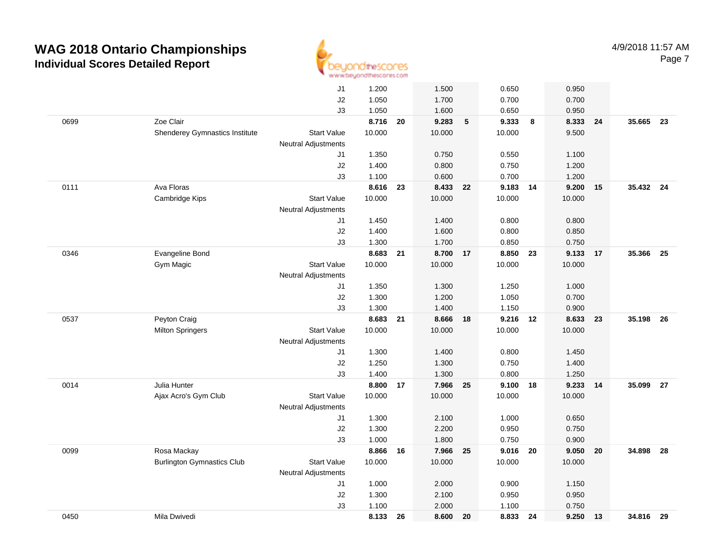

|      |                                   | J1                         | 1.200  |    | 1.500    |            | 0.650      |    | 0.950  |    |           |      |
|------|-----------------------------------|----------------------------|--------|----|----------|------------|------------|----|--------|----|-----------|------|
|      |                                   | J2                         | 1.050  |    | 1.700    |            | 0.700      |    | 0.700  |    |           |      |
|      |                                   | J3                         | 1.050  |    | 1.600    |            | 0.650      |    | 0.950  |    |           |      |
| 0699 | Zoe Clair                         |                            | 8.716  | 20 | 9.283    | $\sqrt{5}$ | 9.333      | 8  | 8.333  | 24 | 35.665 23 |      |
|      | Shenderey Gymnastics Institute    | <b>Start Value</b>         | 10.000 |    | 10.000   |            | 10.000     |    | 9.500  |    |           |      |
|      |                                   | <b>Neutral Adjustments</b> |        |    |          |            |            |    |        |    |           |      |
|      |                                   | J1                         | 1.350  |    | 0.750    |            | 0.550      |    | 1.100  |    |           |      |
|      |                                   | J2                         | 1.400  |    | 0.800    |            | 0.750      |    | 1.200  |    |           |      |
|      |                                   | J3                         | 1.100  |    | 0.600    |            | 0.700      |    | 1.200  |    |           |      |
| 0111 | Ava Floras                        |                            | 8.616  | 23 | 8.433    | 22         | 9.183 14   |    | 9.200  | 15 | 35.432 24 |      |
|      | Cambridge Kips                    | <b>Start Value</b>         | 10.000 |    | 10.000   |            | 10.000     |    | 10.000 |    |           |      |
|      |                                   | <b>Neutral Adjustments</b> |        |    |          |            |            |    |        |    |           |      |
|      |                                   | J1                         | 1.450  |    | 1.400    |            | 0.800      |    | 0.800  |    |           |      |
|      |                                   | J2                         | 1.400  |    | 1.600    |            | 0.800      |    | 0.850  |    |           |      |
|      |                                   | J3                         | 1.300  |    | 1.700    |            | 0.850      |    | 0.750  |    |           |      |
| 0346 | Evangeline Bond                   |                            | 8.683  | 21 | 8.700 17 |            | 8.850      | 23 | 9.133  | 17 | 35.366    | - 25 |
|      | Gym Magic                         | <b>Start Value</b>         | 10.000 |    | 10.000   |            | 10.000     |    | 10.000 |    |           |      |
|      |                                   | <b>Neutral Adjustments</b> |        |    |          |            |            |    |        |    |           |      |
|      |                                   | J1                         | 1.350  |    | 1.300    |            | 1.250      |    | 1.000  |    |           |      |
|      |                                   | J2                         | 1.300  |    | 1.200    |            | 1.050      |    | 0.700  |    |           |      |
|      |                                   | J3                         | 1.300  |    | 1.400    |            | 1.150      |    | 0.900  |    |           |      |
| 0537 | Peyton Craig                      |                            | 8.683  | 21 | 8.666    | 18         | 9.216 12   |    | 8.633  | 23 | 35.198    | 26   |
|      | <b>Milton Springers</b>           | <b>Start Value</b>         | 10.000 |    | 10.000   |            | 10.000     |    | 10.000 |    |           |      |
|      |                                   | Neutral Adjustments        |        |    |          |            |            |    |        |    |           |      |
|      |                                   | J1                         | 1.300  |    | 1.400    |            | 0.800      |    | 1.450  |    |           |      |
|      |                                   | J2                         | 1.250  |    | 1.300    |            | 0.750      |    | 1.400  |    |           |      |
|      |                                   | J3                         | 1.400  |    | 1.300    |            | 0.800      |    | 1.250  |    |           |      |
| 0014 | Julia Hunter                      |                            | 8.800  | 17 | 7.966    | 25         | $9.100$ 18 |    | 9.233  | 14 | 35.099    | 27   |
|      | Ajax Acro's Gym Club              | <b>Start Value</b>         | 10.000 |    | 10.000   |            | 10.000     |    | 10.000 |    |           |      |
|      |                                   | <b>Neutral Adjustments</b> |        |    |          |            |            |    |        |    |           |      |
|      |                                   | J1                         | 1.300  |    | 2.100    |            | 1.000      |    | 0.650  |    |           |      |
|      |                                   | J2                         | 1.300  |    | 2.200    |            | 0.950      |    | 0.750  |    |           |      |
|      |                                   | J3                         | 1.000  |    | 1.800    |            | 0.750      |    | 0.900  |    |           |      |
| 0099 | Rosa Mackay                       |                            | 8.866  | 16 | 7.966    | 25         | 9.016      | 20 | 9.050  | 20 | 34.898    | 28   |
|      | <b>Burlington Gymnastics Club</b> | <b>Start Value</b>         | 10.000 |    | 10.000   |            | 10.000     |    | 10.000 |    |           |      |
|      |                                   | <b>Neutral Adjustments</b> |        |    |          |            |            |    |        |    |           |      |
|      |                                   | J1                         | 1.000  |    | 2.000    |            | 0.900      |    | 1.150  |    |           |      |
|      |                                   | $\sf J2$                   | 1.300  |    | 2.100    |            | 0.950      |    | 0.950  |    |           |      |
|      |                                   | J3                         | 1.100  |    | 2.000    |            | 1.100      |    | 0.750  |    |           |      |
| 0450 | Mila Dwivedi                      |                            | 8.133  | 26 | 8.600    | 20         | 8.833      | 24 | 9.250  | 13 | 34.816 29 |      |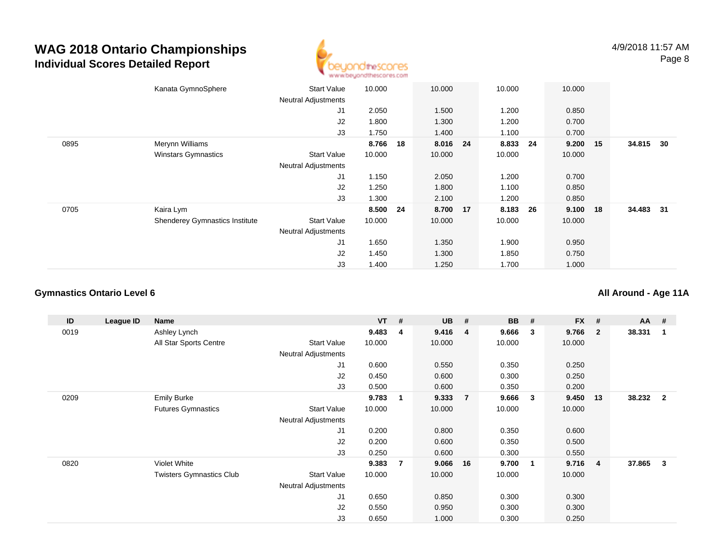

|      | Kanata GymnoSphere                    | <b>Start Value</b><br><b>Neutral Adjustments</b> | 10.000   |    | 10.000   | 10.000 |      | 10.000 |    |           |    |
|------|---------------------------------------|--------------------------------------------------|----------|----|----------|--------|------|--------|----|-----------|----|
|      |                                       | J <sub>1</sub>                                   | 2.050    |    | 1.500    | 1.200  |      | 0.850  |    |           |    |
|      |                                       | J2                                               | 1.800    |    | 1.300    | 1.200  |      | 0.700  |    |           |    |
|      |                                       | J3                                               | 1.750    |    | 1.400    | 1.100  |      | 0.700  |    |           |    |
| 0895 | Merynn Williams                       |                                                  | 8.766    | 18 | 8.016 24 | 8.833  | - 24 | 9.200  | 15 | 34.815    | 30 |
|      | <b>Winstars Gymnastics</b>            | <b>Start Value</b>                               | 10.000   |    | 10.000   | 10.000 |      | 10.000 |    |           |    |
|      |                                       | <b>Neutral Adjustments</b>                       |          |    |          |        |      |        |    |           |    |
|      |                                       | J1                                               | 1.150    |    | 2.050    | 1.200  |      | 0.700  |    |           |    |
|      |                                       | J2                                               | 1.250    |    | 1.800    | 1.100  |      | 0.850  |    |           |    |
|      |                                       | J3                                               | 1.300    |    | 2.100    | 1.200  |      | 0.850  |    |           |    |
| 0705 | Kaira Lym                             |                                                  | 8.500 24 |    | 8.700 17 | 8.183  | 26   | 9.100  | 18 | 34.483 31 |    |
|      | <b>Shenderey Gymnastics Institute</b> | <b>Start Value</b>                               | 10.000   |    | 10.000   | 10.000 |      | 10.000 |    |           |    |
|      |                                       | <b>Neutral Adjustments</b>                       |          |    |          |        |      |        |    |           |    |
|      |                                       | J <sub>1</sub>                                   | 1.650    |    | 1.350    | 1.900  |      | 0.950  |    |           |    |
|      |                                       | J2                                               | 1.450    |    | 1.300    | 1.850  |      | 0.750  |    |           |    |
|      |                                       | J3                                               | 1.400    |    | 1.250    | 1.700  |      | 1.000  |    |           |    |

#### **Gymnastics Ontario Level 6**

**All Around - Age 11A**

| ID   | League ID | Name                            |                            | <b>VT</b> | #              | <b>UB</b> | #              | <b>BB</b> | #                       | <b>FX</b> | #              | $AA$ # |                |
|------|-----------|---------------------------------|----------------------------|-----------|----------------|-----------|----------------|-----------|-------------------------|-----------|----------------|--------|----------------|
| 0019 |           | Ashley Lynch                    |                            | 9.483     | 4              | 9.416     | -4             | 9.666     | 3                       | 9.766     | $\overline{2}$ | 38.331 | 1              |
|      |           | All Star Sports Centre          | <b>Start Value</b>         | 10.000    |                | 10.000    |                | 10.000    |                         | 10.000    |                |        |                |
|      |           |                                 | Neutral Adjustments        |           |                |           |                |           |                         |           |                |        |                |
|      |           |                                 | J1                         | 0.600     |                | 0.550     |                | 0.350     |                         | 0.250     |                |        |                |
|      |           |                                 | J2                         | 0.450     |                | 0.600     |                | 0.300     |                         | 0.250     |                |        |                |
|      |           |                                 | J3                         | 0.500     |                | 0.600     |                | 0.350     |                         | 0.200     |                |        |                |
| 0209 |           | <b>Emily Burke</b>              |                            | 9.783     | $\mathbf 1$    | 9.333     | $\overline{7}$ | 9.666     | 3                       | 9.450     | 13             | 38.232 | $\overline{2}$ |
|      |           | <b>Futures Gymnastics</b>       | <b>Start Value</b>         | 10.000    |                | 10.000    |                | 10.000    |                         | 10.000    |                |        |                |
|      |           |                                 | <b>Neutral Adjustments</b> |           |                |           |                |           |                         |           |                |        |                |
|      |           |                                 | J1                         | 0.200     |                | 0.800     |                | 0.350     |                         | 0.600     |                |        |                |
|      |           |                                 | J <sub>2</sub>             | 0.200     |                | 0.600     |                | 0.350     |                         | 0.500     |                |        |                |
|      |           |                                 | J3                         | 0.250     |                | 0.600     |                | 0.300     |                         | 0.550     |                |        |                |
| 0820 |           | Violet White                    |                            | 9.383     | $\overline{7}$ | 9.066     | 16             | 9.700     | $\overline{\mathbf{1}}$ | 9.716     | 4              | 37.865 | 3              |
|      |           | <b>Twisters Gymnastics Club</b> | Start Value                | 10.000    |                | 10.000    |                | 10.000    |                         | 10.000    |                |        |                |
|      |           |                                 | <b>Neutral Adjustments</b> |           |                |           |                |           |                         |           |                |        |                |
|      |           |                                 | J <sub>1</sub>             | 0.650     |                | 0.850     |                | 0.300     |                         | 0.300     |                |        |                |
|      |           |                                 | J2                         | 0.550     |                | 0.950     |                | 0.300     |                         | 0.300     |                |        |                |
|      |           |                                 | J3                         | 0.650     |                | 1.000     |                | 0.300     |                         | 0.250     |                |        |                |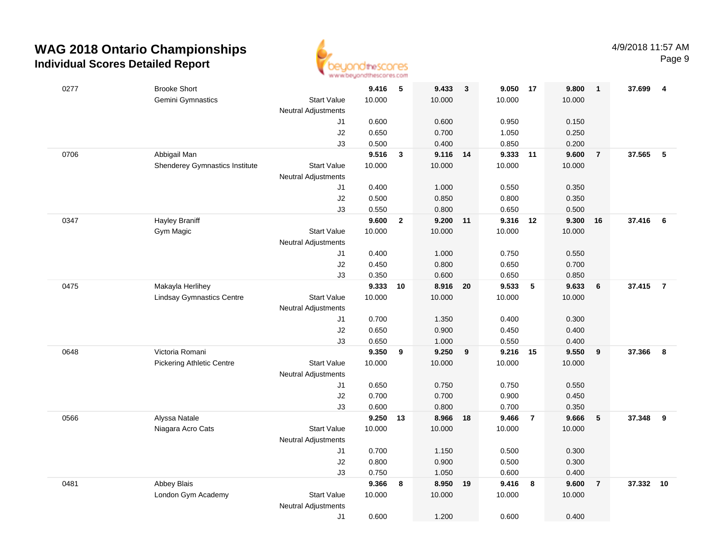

| 0277 | <b>Brooke Short</b>              |                            | 9.416          | $-5$           | 9.433          | $\overline{\mathbf{3}}$ | 9.050 17       |                | 9.800          | $\mathbf{1}$   | 37.699 | 4              |
|------|----------------------------------|----------------------------|----------------|----------------|----------------|-------------------------|----------------|----------------|----------------|----------------|--------|----------------|
|      | Gemini Gymnastics                | <b>Start Value</b>         | 10.000         |                | 10.000         |                         | 10.000         |                | 10.000         |                |        |                |
|      |                                  | Neutral Adjustments        |                |                |                |                         |                |                |                |                |        |                |
|      |                                  | J1                         | 0.600          |                | 0.600          |                         | 0.950          |                | 0.150          |                |        |                |
|      |                                  | $\sf J2$                   | 0.650          |                | 0.700          |                         | 1.050          |                | 0.250          |                |        |                |
|      |                                  | J3                         | 0.500          |                | 0.400          |                         | 0.850          |                | 0.200          |                |        |                |
| 0706 | Abbigail Man                     |                            | 9.516          | $\mathbf{3}$   | 9.116          | 14                      | 9.333          | 11             | 9.600          | $\overline{7}$ | 37.565 | 5              |
|      | Shenderey Gymnastics Institute   | <b>Start Value</b>         | 10.000         |                | 10.000         |                         | 10.000         |                | 10.000         |                |        |                |
|      |                                  | <b>Neutral Adjustments</b> |                |                |                |                         |                |                |                |                |        |                |
|      |                                  | J1                         | 0.400          |                | 1.000          |                         | 0.550          |                | 0.350          |                |        |                |
|      |                                  | J2                         | 0.500          |                | 0.850          |                         | 0.800          |                | 0.350          |                |        |                |
|      |                                  | J3                         | 0.550          |                | 0.800          |                         | 0.650          |                | 0.500          |                |        |                |
| 0347 | <b>Hayley Braniff</b>            |                            | 9.600          | $\overline{2}$ | 9.200          | 11                      | 9.316          | 12             | 9.300          | 16             | 37.416 | 6              |
|      | Gym Magic                        | <b>Start Value</b>         | 10.000         |                | 10.000         |                         | 10.000         |                | 10.000         |                |        |                |
|      |                                  | Neutral Adjustments        |                |                |                |                         |                |                |                |                |        |                |
|      |                                  | J1                         | 0.400          |                | 1.000          |                         | 0.750          |                | 0.550          |                |        |                |
|      |                                  | J2                         | 0.450          |                | 0.800          |                         | 0.650          |                | 0.700          |                |        |                |
|      |                                  | J3                         | 0.350          |                | 0.600          |                         | 0.650          |                | 0.850          |                |        |                |
| 0475 | Makayla Herlihey                 |                            | 9.333          | 10             | 8.916 20       |                         | 9.533          | ${\bf 5}$      | 9.633          | 6              | 37.415 | $\overline{7}$ |
|      | <b>Lindsay Gymnastics Centre</b> | <b>Start Value</b>         | 10.000         |                | 10.000         |                         | 10.000         |                | 10.000         |                |        |                |
|      |                                  | <b>Neutral Adjustments</b> |                |                |                |                         |                |                |                |                |        |                |
|      |                                  | J1                         | 0.700          |                | 1.350          |                         | 0.400          |                | 0.300          |                |        |                |
|      |                                  | J2<br>J3                   | 0.650<br>0.650 |                | 0.900<br>1.000 |                         | 0.450<br>0.550 |                | 0.400<br>0.400 |                |        |                |
| 0648 | Victoria Romani                  |                            | 9.350          | 9              | 9.250          | 9                       | 9.216          | 15             | 9.550          | 9              | 37,366 | 8              |
|      | <b>Pickering Athletic Centre</b> | <b>Start Value</b>         | 10.000         |                | 10.000         |                         | 10.000         |                | 10.000         |                |        |                |
|      |                                  | <b>Neutral Adjustments</b> |                |                |                |                         |                |                |                |                |        |                |
|      |                                  | J1                         | 0.650          |                | 0.750          |                         | 0.750          |                | 0.550          |                |        |                |
|      |                                  | J2                         | 0.700          |                | 0.700          |                         | 0.900          |                | 0.450          |                |        |                |
|      |                                  | J3                         | 0.600          |                | 0.800          |                         | 0.700          |                | 0.350          |                |        |                |
| 0566 | Alyssa Natale                    |                            | 9.250 13       |                | 8.966          | 18                      | 9.466          | $\overline{7}$ | 9.666          | 5              | 37.348 | 9              |
|      | Niagara Acro Cats                | <b>Start Value</b>         | 10.000         |                | 10.000         |                         | 10.000         |                | 10.000         |                |        |                |
|      |                                  | <b>Neutral Adjustments</b> |                |                |                |                         |                |                |                |                |        |                |
|      |                                  | J1                         | 0.700          |                | 1.150          |                         | 0.500          |                | 0.300          |                |        |                |
|      |                                  | J2                         | 0.800          |                | 0.900          |                         | 0.500          |                | 0.300          |                |        |                |
|      |                                  | J3                         | 0.750          |                | 1.050          |                         | 0.600          |                | 0.400          |                |        |                |
| 0481 | Abbey Blais                      |                            | 9.366          | 8              | 8.950          | 19                      | 9.416          | 8              | 9.600          | $\overline{7}$ | 37.332 | 10             |
|      | London Gym Academy               | <b>Start Value</b>         | 10.000         |                | 10.000         |                         | 10.000         |                | 10.000         |                |        |                |
|      |                                  | <b>Neutral Adjustments</b> |                |                |                |                         |                |                |                |                |        |                |
|      |                                  | J1                         | 0.600          |                | 1.200          |                         | 0.600          |                | 0.400          |                |        |                |
|      |                                  |                            |                |                |                |                         |                |                |                |                |        |                |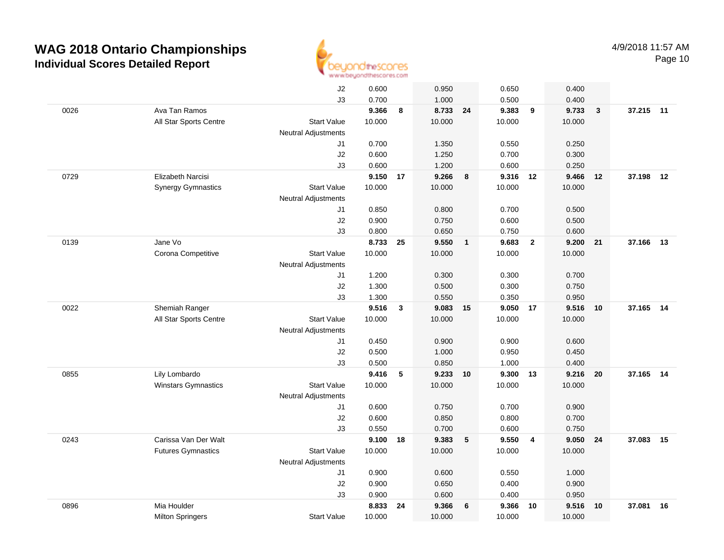

|      |                            | J2                         | 0.600          |              | 0.950          |                         | 0.650          |                         | 0.400          |              |           |    |
|------|----------------------------|----------------------------|----------------|--------------|----------------|-------------------------|----------------|-------------------------|----------------|--------------|-----------|----|
|      |                            | J3                         | 0.700          |              | 1.000          |                         | 0.500          |                         | 0.400          |              |           |    |
| 0026 | Ava Tan Ramos              |                            | 9.366          | 8            | 8.733 24       |                         | 9.383          | 9                       | 9.733          | $\mathbf{3}$ | 37.215 11 |    |
|      | All Star Sports Centre     | <b>Start Value</b>         | 10.000         |              | 10.000         |                         | 10.000         |                         | 10.000         |              |           |    |
|      |                            | <b>Neutral Adjustments</b> |                |              |                |                         |                |                         |                |              |           |    |
|      |                            | J1                         | 0.700          |              | 1.350          |                         | 0.550          |                         | 0.250          |              |           |    |
|      |                            | J2                         | 0.600          |              | 1.250          |                         | 0.700          |                         | 0.300          |              |           |    |
|      |                            | J3                         | 0.600          |              | 1.200          |                         | 0.600          |                         | 0.250          |              |           |    |
| 0729 | Elizabeth Narcisi          |                            | 9.150          | 17           | 9.266          | 8                       | 9.316 12       |                         | 9.466          | 12           | 37.198    | 12 |
|      | <b>Synergy Gymnastics</b>  | <b>Start Value</b>         | 10.000         |              | 10.000         |                         | 10.000         |                         | 10.000         |              |           |    |
|      |                            | <b>Neutral Adjustments</b> |                |              |                |                         |                |                         |                |              |           |    |
|      |                            | J1                         | 0.850          |              | 0.800          |                         | 0.700          |                         | 0.500          |              |           |    |
|      |                            | J2                         | 0.900          |              | 0.750          |                         | 0.600          |                         | 0.500          |              |           |    |
|      |                            | J3                         | 0.800          |              | 0.650          |                         | 0.750          |                         | 0.600          |              |           |    |
| 0139 | Jane Vo                    |                            | 8.733          | 25           | 9.550          | $\overline{\mathbf{1}}$ | 9.683          | $\overline{\mathbf{2}}$ | 9.200          | 21           | 37.166    | 13 |
|      | Corona Competitive         | <b>Start Value</b>         | 10.000         |              | 10.000         |                         | 10.000         |                         | 10.000         |              |           |    |
|      |                            | <b>Neutral Adjustments</b> |                |              |                |                         |                |                         |                |              |           |    |
|      |                            | J1                         | 1.200          |              | 0.300          |                         | 0.300          |                         | 0.700          |              |           |    |
|      |                            | J2                         | 1.300          |              | 0.500          |                         | 0.300          |                         | 0.750          |              |           |    |
|      |                            | J3                         | 1.300          |              | 0.550          |                         | 0.350          |                         | 0.950          |              |           |    |
| 0022 | Shemiah Ranger             |                            | 9.516          | $\mathbf{3}$ | 9.083          | 15                      | 9.050          | 17                      | 9.516          | 10           | 37.165    | 14 |
|      | All Star Sports Centre     | <b>Start Value</b>         | 10.000         |              | 10.000         |                         | 10.000         |                         | 10.000         |              |           |    |
|      |                            | <b>Neutral Adjustments</b> |                |              |                |                         |                |                         |                |              |           |    |
|      |                            | J1                         | 0.450          |              | 0.900          |                         | 0.900          |                         | 0.600          |              |           |    |
|      |                            | J2                         | 0.500          |              | 1.000          |                         | 0.950          |                         | 0.450          |              |           |    |
|      | Lily Lombardo              | J3                         | 0.500<br>9.416 | 5            | 0.850<br>9.233 |                         | 1.000<br>9.300 |                         | 0.400<br>9.216 | 20           | 37.165    | 14 |
| 0855 | <b>Winstars Gymnastics</b> | <b>Start Value</b>         | 10.000         |              | 10.000         | 10                      | 10.000         | 13                      | 10.000         |              |           |    |
|      |                            | <b>Neutral Adjustments</b> |                |              |                |                         |                |                         |                |              |           |    |
|      |                            | J1                         | 0.600          |              | 0.750          |                         | 0.700          |                         | 0.900          |              |           |    |
|      |                            | J2                         | 0.600          |              | 0.850          |                         | 0.800          |                         | 0.700          |              |           |    |
|      |                            | J3                         | 0.550          |              | 0.700          |                         | 0.600          |                         | 0.750          |              |           |    |
| 0243 | Carissa Van Der Walt       |                            | 9.100          | 18           | 9.383          | 5                       | 9.550          | $\overline{4}$          | 9.050          | 24           | 37.083    | 15 |
|      | <b>Futures Gymnastics</b>  | <b>Start Value</b>         | 10.000         |              | 10.000         |                         | 10.000         |                         | 10.000         |              |           |    |
|      |                            | <b>Neutral Adjustments</b> |                |              |                |                         |                |                         |                |              |           |    |
|      |                            | J1                         | 0.900          |              | 0.600          |                         | 0.550          |                         | 1.000          |              |           |    |
|      |                            | J <sub>2</sub>             | 0.900          |              | 0.650          |                         | 0.400          |                         | 0.900          |              |           |    |
|      |                            | J3                         | 0.900          |              | 0.600          |                         | 0.400          |                         | 0.950          |              |           |    |
| 0896 | Mia Houlder                |                            | 8.833          | 24           | 9.366          | 6                       | 9.366          | 10                      | 9.516          | 10           | 37.081    | 16 |
|      | <b>Milton Springers</b>    | <b>Start Value</b>         | 10.000         |              | 10.000         |                         | 10.000         |                         | 10.000         |              |           |    |
|      |                            |                            |                |              |                |                         |                |                         |                |              |           |    |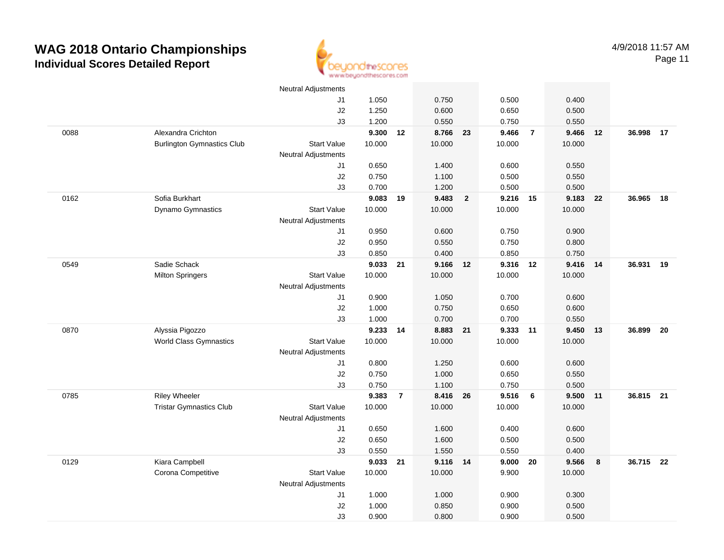

|      |                                   | <b>Neutral Adjustments</b> |                 |                |                   |                         |                 |                |                 |    |           |    |
|------|-----------------------------------|----------------------------|-----------------|----------------|-------------------|-------------------------|-----------------|----------------|-----------------|----|-----------|----|
|      |                                   | J1                         | 1.050           |                | 0.750             |                         | 0.500           |                | 0.400           |    |           |    |
|      |                                   | J2                         | 1.250           |                | 0.600             |                         | 0.650           |                | 0.500           |    |           |    |
|      |                                   | J3                         | 1.200           |                | 0.550             |                         | 0.750           |                | 0.550           |    |           |    |
| 0088 | Alexandra Crichton                |                            | 9.300           | 12             | 8.766             | 23                      | 9.466           | $\overline{7}$ | 9.466           | 12 | 36.998    | 17 |
|      | <b>Burlington Gymnastics Club</b> | <b>Start Value</b>         | 10.000          |                | 10.000            |                         | 10.000          |                | 10.000          |    |           |    |
|      |                                   | <b>Neutral Adjustments</b> |                 |                |                   |                         |                 |                |                 |    |           |    |
|      |                                   | J1                         | 0.650           |                | 1.400             |                         | 0.600           |                | 0.550           |    |           |    |
|      |                                   | J2                         | 0.750           |                | 1.100             |                         | 0.500           |                | 0.550           |    |           |    |
|      |                                   | J3                         | 0.700           |                | 1.200             |                         | 0.500           |                | 0.500           |    |           |    |
| 0162 | Sofia Burkhart                    |                            | 9.083           | 19             | 9.483             | $\overline{\mathbf{2}}$ | 9.216           | 15             | 9.183           | 22 | 36.965    | 18 |
|      | Dynamo Gymnastics                 | <b>Start Value</b>         | 10.000          |                | 10.000            |                         | 10.000          |                | 10.000          |    |           |    |
|      |                                   | <b>Neutral Adjustments</b> |                 |                |                   |                         |                 |                |                 |    |           |    |
|      |                                   | J1                         | 0.950           |                | 0.600             |                         | 0.750           |                | 0.900           |    |           |    |
|      |                                   | J2                         | 0.950           |                | 0.550             |                         | 0.750           |                | 0.800           |    |           |    |
|      |                                   | J3                         | 0.850           |                | 0.400             |                         | 0.850           |                | 0.750           |    |           |    |
| 0549 | Sadie Schack                      |                            | 9.033 21        |                | 9.166 12          |                         | 9.316           | 12             | 9.416           | 14 | 36.931    | 19 |
|      | <b>Milton Springers</b>           | <b>Start Value</b>         | 10.000          |                | 10.000            |                         | 10.000          |                | 10.000          |    |           |    |
|      |                                   | <b>Neutral Adjustments</b> |                 |                |                   |                         |                 |                |                 |    |           |    |
|      |                                   | J1                         | 0.900           |                | 1.050             |                         | 0.700           |                | 0.600           |    |           |    |
|      |                                   | J2                         | 1.000           |                | 0.750             |                         | 0.650           |                | 0.600           |    |           |    |
|      |                                   | J3                         | 1.000           |                | 0.700             |                         | 0.700           |                | 0.550           |    |           |    |
| 0870 | Alyssia Pigozzo                   |                            | 9.233           | 14             | 8.883             | 21                      | 9.333           | 11             | 9.450           | 13 | 36.899    | 20 |
|      | <b>World Class Gymnastics</b>     | <b>Start Value</b>         | 10.000          |                | 10.000            |                         | 10.000          |                | 10.000          |    |           |    |
|      |                                   | <b>Neutral Adjustments</b> |                 |                |                   |                         |                 |                |                 |    |           |    |
|      |                                   | J1                         | 0.800           |                | 1.250             |                         | 0.600           |                | 0.600           |    |           |    |
|      |                                   | J2                         | 0.750           |                | 1.000             |                         | 0.650           |                | 0.550           |    |           |    |
|      |                                   | J3                         | 0.750           | $\overline{7}$ | 1.100<br>8.416 26 |                         | 0.750           |                | 0.500           |    | 36.815 21 |    |
| 0785 | <b>Riley Wheeler</b>              | <b>Start Value</b>         | 9.383<br>10.000 |                | 10.000            |                         | 9.516<br>10.000 | 6              | 9.500<br>10.000 | 11 |           |    |
|      | <b>Tristar Gymnastics Club</b>    | <b>Neutral Adjustments</b> |                 |                |                   |                         |                 |                |                 |    |           |    |
|      |                                   | J1                         | 0.650           |                | 1.600             |                         | 0.400           |                | 0.600           |    |           |    |
|      |                                   | J2                         | 0.650           |                | 1.600             |                         | 0.500           |                | 0.500           |    |           |    |
|      |                                   | J3                         | 0.550           |                | 1.550             |                         | 0.550           |                | 0.400           |    |           |    |
| 0129 | Kiara Campbell                    |                            | 9.033 21        |                | 9.116 14          |                         | 9.000           | 20             | 9.566           | 8  | 36.715 22 |    |
|      | Corona Competitive                | <b>Start Value</b>         | 10.000          |                | 10.000            |                         | 9.900           |                | 10.000          |    |           |    |
|      |                                   | <b>Neutral Adjustments</b> |                 |                |                   |                         |                 |                |                 |    |           |    |
|      |                                   | J1                         | 1.000           |                | 1.000             |                         | 0.900           |                | 0.300           |    |           |    |
|      |                                   | J2                         | 1.000           |                | 0.850             |                         | 0.900           |                | 0.500           |    |           |    |
|      |                                   | J3                         | 0.900           |                | 0.800             |                         | 0.900           |                | 0.500           |    |           |    |
|      |                                   |                            |                 |                |                   |                         |                 |                |                 |    |           |    |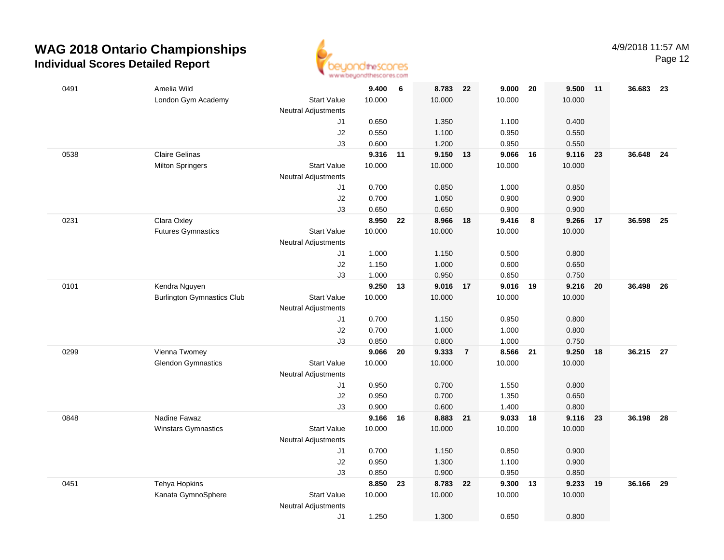

Page 12

| 0491 | Amelia Wild                       |                                  | 9.400             | 6  | 8.783             | 22             | 9.000             | 20 | 9.500          | 11   | 36.683 | - 23 |
|------|-----------------------------------|----------------------------------|-------------------|----|-------------------|----------------|-------------------|----|----------------|------|--------|------|
|      | London Gym Academy                | <b>Start Value</b>               | 10.000            |    | 10.000            |                | 10.000            |    | 10.000         |      |        |      |
|      |                                   | <b>Neutral Adjustments</b><br>J1 | 0.650             |    | 1.350             |                | 1.100             |    | 0.400          |      |        |      |
|      |                                   | J2                               | 0.550             |    | 1.100             |                | 0.950             |    | 0.550          |      |        |      |
|      |                                   | J3                               | 0.600             |    | 1.200             |                | 0.950             |    | 0.550          |      |        |      |
| 0538 | <b>Claire Gelinas</b>             |                                  | 9.316             | 11 | 9.150             | 13             | 9.066             | 16 | 9.116          | 23   | 36.648 | 24   |
|      | <b>Milton Springers</b>           | <b>Start Value</b>               | 10.000            |    | 10.000            |                | 10.000            |    | 10.000         |      |        |      |
|      |                                   | <b>Neutral Adjustments</b>       |                   |    |                   |                |                   |    |                |      |        |      |
|      |                                   | J1                               | 0.700             |    | 0.850             |                | 1.000             |    | 0.850          |      |        |      |
|      |                                   | J2                               | 0.700             |    | 1.050             |                | 0.900             |    | 0.900          |      |        |      |
|      |                                   | J3                               | 0.650             |    | 0.650             |                | 0.900             |    | 0.900          |      |        |      |
| 0231 | Clara Oxley                       |                                  | 8.950             | 22 | 8.966 18          |                | 9.416             | 8  | 9.266          | 17   | 36.598 | 25   |
|      | <b>Futures Gymnastics</b>         | <b>Start Value</b>               | 10.000            |    | 10.000            |                | 10.000            |    | 10.000         |      |        |      |
|      |                                   | Neutral Adjustments              |                   |    |                   |                |                   |    |                |      |        |      |
|      |                                   | J1                               | 1.000             |    | 1.150             |                | 0.500             |    | 0.800          |      |        |      |
|      |                                   | J2                               | 1.150             |    | 1.000             |                | 0.600             |    | 0.650          |      |        |      |
| 0101 | Kendra Nguyen                     | J3                               | 1.000<br>9.250 13 |    | 0.950<br>9.016 17 |                | 0.650<br>9.016 19 |    | 0.750<br>9.216 |      | 36.498 | - 26 |
|      | <b>Burlington Gymnastics Club</b> | <b>Start Value</b>               | 10.000            |    | 10.000            |                | 10.000            |    | 10.000         | - 20 |        |      |
|      |                                   | <b>Neutral Adjustments</b>       |                   |    |                   |                |                   |    |                |      |        |      |
|      |                                   | J1                               | 0.700             |    | 1.150             |                | 0.950             |    | 0.800          |      |        |      |
|      |                                   | $\sf J2$                         | 0.700             |    | 1.000             |                | 1.000             |    | 0.800          |      |        |      |
|      |                                   | J3                               | 0.850             |    | 0.800             |                | 1.000             |    | 0.750          |      |        |      |
| 0299 | Vienna Twomey                     |                                  | 9.066             | 20 | 9.333             | $\overline{7}$ | 8.566             | 21 | 9.250          | 18   | 36.215 | - 27 |
|      | <b>Glendon Gymnastics</b>         | <b>Start Value</b>               | 10.000            |    | 10.000            |                | 10.000            |    | 10.000         |      |        |      |
|      |                                   | <b>Neutral Adjustments</b>       |                   |    |                   |                |                   |    |                |      |        |      |
|      |                                   | J1                               | 0.950             |    | 0.700             |                | 1.550             |    | 0.800          |      |        |      |
|      |                                   | J2                               | 0.950             |    | 0.700             |                | 1.350             |    | 0.650          |      |        |      |
|      |                                   | JЗ                               | 0.900             |    | 0.600             |                | 1.400             |    | 0.800          |      |        |      |
| 0848 | Nadine Fawaz                      |                                  | 9.166             | 16 | 8.883 21          |                | 9.033             | 18 | 9.116          | 23   | 36.198 | - 28 |
|      | Winstars Gymnastics               | <b>Start Value</b>               | 10.000            |    | 10.000            |                | 10.000            |    | 10.000         |      |        |      |
|      |                                   | <b>Neutral Adjustments</b>       |                   |    |                   |                |                   |    |                |      |        |      |
|      |                                   | J1                               | 0.700             |    | 1.150             |                | 0.850             |    | 0.900          |      |        |      |
|      |                                   | J2                               | 0.950             |    | 1.300             |                | 1.100             |    | 0.900          |      |        |      |
| 0451 | Tehya Hopkins                     | J3                               | 0.850<br>8.850    | 23 | 0.900<br>8.783    | 22             | 0.950<br>9.300    | 13 | 0.850<br>9.233 | 19   | 36.166 | 29   |
|      | Kanata GymnoSphere                | <b>Start Value</b>               | 10.000            |    | 10.000            |                | 10.000            |    | 10.000         |      |        |      |
|      |                                   | Neutral Adjustments              |                   |    |                   |                |                   |    |                |      |        |      |
|      |                                   | J1                               | 1.250             |    | 1.300             |                | 0.650             |    | 0.800          |      |        |      |
|      |                                   |                                  |                   |    |                   |                |                   |    |                |      |        |      |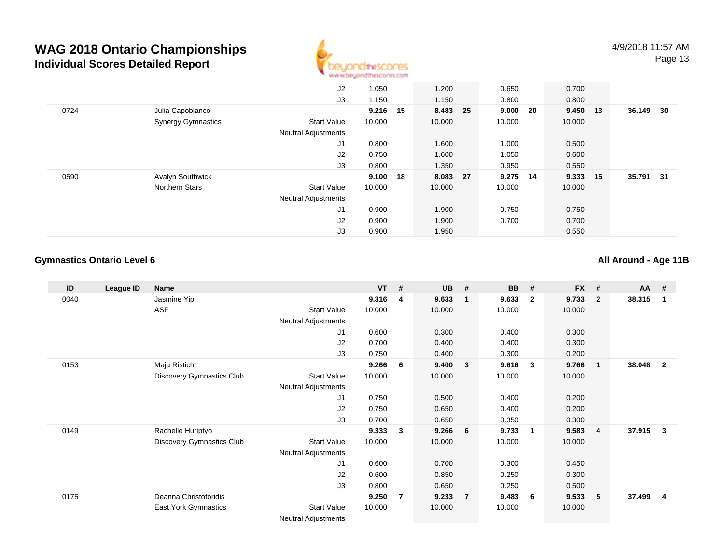

|      |                           | J2                         | 1.050    |    | 1.200    | 0.650    |      | 0.700    |        |      |
|------|---------------------------|----------------------------|----------|----|----------|----------|------|----------|--------|------|
|      |                           | J3                         | 1.150    |    | 1.150    | 0.800    |      | 0.800    |        |      |
| 0724 | Julia Capobianco          |                            | 9.216 15 |    | 8.483 25 | 9.000    | - 20 | 9.450 13 | 36.149 | - 30 |
|      | <b>Synergy Gymnastics</b> | Start Value                | 10.000   |    | 10.000   | 10.000   |      | 10.000   |        |      |
|      |                           | <b>Neutral Adjustments</b> |          |    |          |          |      |          |        |      |
|      |                           | J1                         | 0.800    |    | 1.600    | 1.000    |      | 0.500    |        |      |
|      |                           | J2                         | 0.750    |    | 1.600    | 1.050    |      | 0.600    |        |      |
|      |                           | J3                         | 0.800    |    | 1.350    | 0.950    |      | 0.550    |        |      |
| 0590 | <b>Avalyn Southwick</b>   |                            | 9.100    | 18 | 8.083 27 | 9.275 14 |      | 9.333 15 | 35.791 | - 31 |
|      | Northern Stars            | Start Value                | 10.000   |    | 10.000   | 10.000   |      | 10.000   |        |      |
|      |                           | <b>Neutral Adjustments</b> |          |    |          |          |      |          |        |      |
|      |                           | J1                         | 0.900    |    | 1.900    | 0.750    |      | 0.750    |        |      |
|      |                           | J2                         | 0.900    |    | 1.900    | 0.700    |      | 0.700    |        |      |
|      |                           | J3                         | 0.900    |    | 1.950    |          |      | 0.550    |        |      |

#### **Gymnastics Ontario Level 6**

**All Around - Age 11B**

| ID   | League ID | <b>Name</b>                      |                            | <b>VT</b> | #              | <b>UB</b> | #              | <b>BB</b> | #                       | <b>FX</b> | #                       | AA     | #              |
|------|-----------|----------------------------------|----------------------------|-----------|----------------|-----------|----------------|-----------|-------------------------|-----------|-------------------------|--------|----------------|
| 0040 |           | Jasmine Yip                      |                            | 9.316     | 4              | 9.633     | $\mathbf{1}$   | 9.633     | $\overline{2}$          | 9.733     | $\overline{\mathbf{2}}$ | 38.315 | -1             |
|      |           | <b>ASF</b>                       | <b>Start Value</b>         | 10.000    |                | 10.000    |                | 10.000    |                         | 10.000    |                         |        |                |
|      |           |                                  | Neutral Adjustments        |           |                |           |                |           |                         |           |                         |        |                |
|      |           |                                  | J1                         | 0.600     |                | 0.300     |                | 0.400     |                         | 0.300     |                         |        |                |
|      |           |                                  | J2                         | 0.700     |                | 0.400     |                | 0.400     |                         | 0.300     |                         |        |                |
|      |           |                                  | J3                         | 0.750     |                | 0.400     |                | 0.300     |                         | 0.200     |                         |        |                |
| 0153 |           | Maja Ristich                     |                            | 9.266     | - 6            | 9.400     | 3              | 9.616     | $\overline{\mathbf{3}}$ | 9.766     | $\overline{\mathbf{1}}$ | 38.048 | $\overline{2}$ |
|      |           | <b>Discovery Gymnastics Club</b> | <b>Start Value</b>         | 10.000    |                | 10.000    |                | 10.000    |                         | 10.000    |                         |        |                |
|      |           |                                  | Neutral Adjustments        |           |                |           |                |           |                         |           |                         |        |                |
|      |           |                                  | J1                         | 0.750     |                | 0.500     |                | 0.400     |                         | 0.200     |                         |        |                |
|      |           |                                  | J2                         | 0.750     |                | 0.650     |                | 0.400     |                         | 0.200     |                         |        |                |
|      |           |                                  | J3                         | 0.700     |                | 0.650     |                | 0.350     |                         | 0.300     |                         |        |                |
| 0149 |           | Rachelle Huriptyo                |                            | 9.333     | 3              | 9.266     | 6              | 9.733     | -1                      | 9.583     | $\overline{4}$          | 37.915 | 3              |
|      |           | Discovery Gymnastics Club        | <b>Start Value</b>         | 10.000    |                | 10.000    |                | 10.000    |                         | 10.000    |                         |        |                |
|      |           |                                  | Neutral Adjustments        |           |                |           |                |           |                         |           |                         |        |                |
|      |           |                                  | J1                         | 0.600     |                | 0.700     |                | 0.300     |                         | 0.450     |                         |        |                |
|      |           |                                  | J2                         | 0.600     |                | 0.850     |                | 0.250     |                         | 0.300     |                         |        |                |
|      |           |                                  | J3                         | 0.800     |                | 0.650     |                | 0.250     |                         | 0.500     |                         |        |                |
| 0175 |           | Deanna Christoforidis            |                            | 9.250     | $\overline{7}$ | 9.233     | $\overline{7}$ | 9.483     | - 6                     | 9.533     | 5                       | 37.499 | -4             |
|      |           | East York Gymnastics             | <b>Start Value</b>         | 10.000    |                | 10.000    |                | 10.000    |                         | 10.000    |                         |        |                |
|      |           |                                  | <b>Neutral Adjustments</b> |           |                |           |                |           |                         |           |                         |        |                |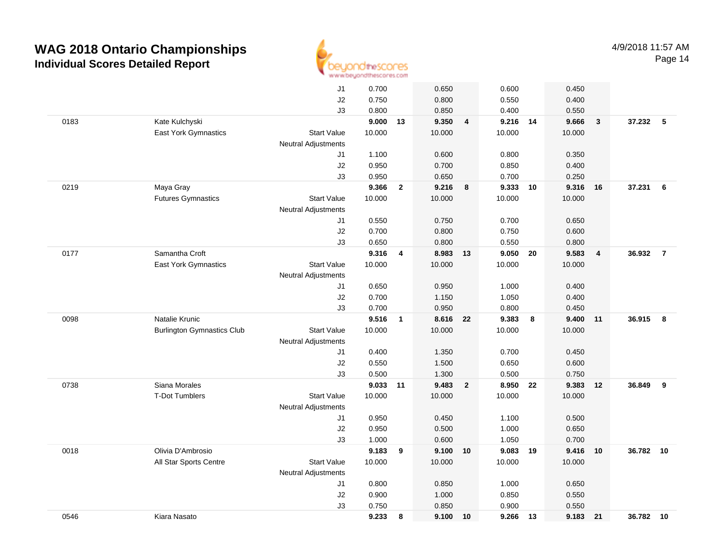

|      |                                   | J1                         | 0.700  |                         | 0.650    |                         | 0.600    |    | 0.450  |                |           |                |
|------|-----------------------------------|----------------------------|--------|-------------------------|----------|-------------------------|----------|----|--------|----------------|-----------|----------------|
|      |                                   | J2                         | 0.750  |                         | 0.800    |                         | 0.550    |    | 0.400  |                |           |                |
|      |                                   | J3                         | 0.800  |                         | 0.850    |                         | 0.400    |    | 0.550  |                |           |                |
| 0183 | Kate Kulchyski                    |                            | 9.000  | 13                      | 9.350    | $\overline{\mathbf{4}}$ | 9.216 14 |    | 9.666  | $\mathbf{3}$   | 37.232 5  |                |
|      | <b>East York Gymnastics</b>       | <b>Start Value</b>         | 10.000 |                         | 10.000   |                         | 10.000   |    | 10.000 |                |           |                |
|      |                                   | <b>Neutral Adjustments</b> |        |                         |          |                         |          |    |        |                |           |                |
|      |                                   | J1                         | 1.100  |                         | 0.600    |                         | 0.800    |    | 0.350  |                |           |                |
|      |                                   | J2                         | 0.950  |                         | 0.700    |                         | 0.850    |    | 0.400  |                |           |                |
|      |                                   | J3                         | 0.950  |                         | 0.650    |                         | 0.700    |    | 0.250  |                |           |                |
| 0219 | Maya Gray                         |                            | 9.366  | $\mathbf{2}$            | 9.216    | 8                       | 9.333    | 10 | 9.316  | 16             | 37.231    | 6              |
|      | <b>Futures Gymnastics</b>         | <b>Start Value</b>         | 10.000 |                         | 10.000   |                         | 10.000   |    | 10.000 |                |           |                |
|      |                                   | <b>Neutral Adjustments</b> |        |                         |          |                         |          |    |        |                |           |                |
|      |                                   | J1                         | 0.550  |                         | 0.750    |                         | 0.700    |    | 0.650  |                |           |                |
|      |                                   | J2                         | 0.700  |                         | 0.800    |                         | 0.750    |    | 0.600  |                |           |                |
|      |                                   | J3                         | 0.650  |                         | 0.800    |                         | 0.550    |    | 0.800  |                |           |                |
| 0177 | Samantha Croft                    |                            | 9.316  | $\overline{\mathbf{4}}$ | 8.983 13 |                         | 9.050 20 |    | 9.583  | $\overline{4}$ | 36.932    | $\overline{7}$ |
|      | <b>East York Gymnastics</b>       | <b>Start Value</b>         | 10.000 |                         | 10.000   |                         | 10.000   |    | 10.000 |                |           |                |
|      |                                   | <b>Neutral Adjustments</b> |        |                         |          |                         |          |    |        |                |           |                |
|      |                                   | J1                         | 0.650  |                         | 0.950    |                         | 1.000    |    | 0.400  |                |           |                |
|      |                                   | J2                         | 0.700  |                         | 1.150    |                         | 1.050    |    | 0.400  |                |           |                |
|      |                                   | J3                         | 0.700  |                         | 0.950    |                         | 0.800    |    | 0.450  |                |           |                |
| 0098 | Natalie Krunic                    |                            | 9.516  | $\mathbf{1}$            | 8.616    | 22                      | 9.383    | 8  | 9.400  | 11             | 36.915    | 8              |
|      | <b>Burlington Gymnastics Club</b> | <b>Start Value</b>         | 10.000 |                         | 10.000   |                         | 10.000   |    | 10.000 |                |           |                |
|      |                                   | <b>Neutral Adjustments</b> |        |                         |          |                         |          |    |        |                |           |                |
|      |                                   | J1                         | 0.400  |                         | 1.350    |                         | 0.700    |    | 0.450  |                |           |                |
|      |                                   | J <sub>2</sub>             | 0.550  |                         | 1.500    |                         | 0.650    |    | 0.600  |                |           |                |
|      |                                   | J3                         | 0.500  |                         | 1.300    |                         | 0.500    |    | 0.750  |                |           |                |
| 0738 | Siana Morales                     |                            | 9.033  | 11                      | 9.483    | $\overline{2}$          | 8.950 22 |    | 9.383  | 12             | 36.849    | 9              |
|      | <b>T-Dot Tumblers</b>             | <b>Start Value</b>         | 10.000 |                         | 10.000   |                         | 10.000   |    | 10.000 |                |           |                |
|      |                                   | <b>Neutral Adjustments</b> |        |                         |          |                         |          |    |        |                |           |                |
|      |                                   | J1                         | 0.950  |                         | 0.450    |                         | 1.100    |    | 0.500  |                |           |                |
|      |                                   | J2                         | 0.950  |                         | 0.500    |                         | 1.000    |    | 0.650  |                |           |                |
|      |                                   | J3                         | 1.000  |                         | 0.600    |                         | 1.050    |    | 0.700  |                |           |                |
| 0018 | Olivia D'Ambrosio                 |                            | 9.183  | 9                       | 9.100    | 10                      | 9.083    | 19 | 9.416  | 10             | 36.782 10 |                |
|      | All Star Sports Centre            | <b>Start Value</b>         | 10.000 |                         | 10.000   |                         | 10.000   |    | 10.000 |                |           |                |
|      |                                   | <b>Neutral Adjustments</b> |        |                         |          |                         |          |    |        |                |           |                |
|      |                                   | J1                         | 0.800  |                         | 0.850    |                         | 1.000    |    | 0.650  |                |           |                |
|      |                                   | J2                         | 0.900  |                         | 1.000    |                         | 0.850    |    | 0.550  |                |           |                |
|      |                                   | J3                         | 0.750  |                         | 0.850    |                         | 0.900    |    | 0.550  |                |           |                |
| 0546 | Kiara Nasato                      |                            | 9.233  | 8                       | 9.100    | 10                      | 9.266    | 13 | 9.183  | 21             | 36.782 10 |                |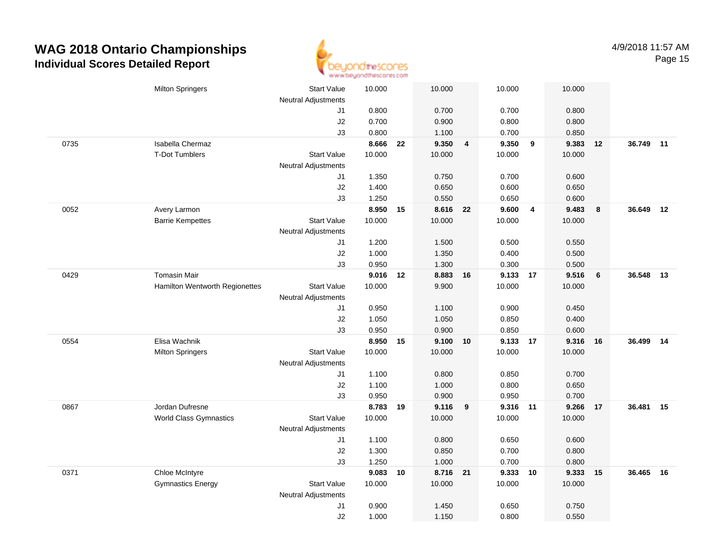

|      | <b>Milton Springers</b>        | Start Value<br><b>Neutral Adjustments</b> | 10.000         |    | 10.000         |                         | 10.000         |                         | 10.000         |    |           |    |
|------|--------------------------------|-------------------------------------------|----------------|----|----------------|-------------------------|----------------|-------------------------|----------------|----|-----------|----|
|      |                                | J1                                        | 0.800          |    | 0.700          |                         | 0.700          |                         | 0.800          |    |           |    |
|      |                                | J2                                        | 0.700          |    | 0.900          |                         | 0.800          |                         | 0.800          |    |           |    |
|      |                                | J3                                        | 0.800          |    | 1.100          |                         | 0.700          |                         | 0.850          |    |           |    |
| 0735 | Isabella Chermaz               |                                           | 8.666          | 22 | 9.350          | $\overline{\mathbf{4}}$ | 9.350          | $\overline{\mathbf{9}}$ | 9.383          | 12 | 36.749 11 |    |
|      | <b>T-Dot Tumblers</b>          | <b>Start Value</b>                        | 10.000         |    | 10.000         |                         | 10.000         |                         | 10.000         |    |           |    |
|      |                                | <b>Neutral Adjustments</b>                |                |    |                |                         |                |                         |                |    |           |    |
|      |                                | J1                                        | 1.350          |    | 0.750          |                         | 0.700          |                         | 0.600          |    |           |    |
|      |                                | $\sf J2$                                  | 1.400          |    | 0.650          |                         | 0.600          |                         | 0.650          |    |           |    |
|      |                                | J3                                        | 1.250          |    | 0.550          |                         | 0.650          |                         | 0.600          |    |           |    |
| 0052 | Avery Larmon                   |                                           | 8.950 15       |    | 8.616 22       |                         | 9.600          | $\overline{4}$          | 9.483          | 8  | 36.649    | 12 |
|      | <b>Barrie Kempettes</b>        | <b>Start Value</b>                        | 10.000         |    | 10.000         |                         | 10.000         |                         | 10.000         |    |           |    |
|      |                                | <b>Neutral Adjustments</b>                |                |    |                |                         |                |                         |                |    |           |    |
|      |                                | J1                                        | 1.200          |    | 1.500          |                         | 0.500          |                         | 0.550          |    |           |    |
|      |                                | J2                                        | 1.000          |    | 1.350          |                         | 0.400          |                         | 0.500          |    |           |    |
|      |                                | J3                                        | 0.950          |    | 1.300          |                         | 0.300          |                         | 0.500          |    |           |    |
| 0429 | <b>Tomasin Mair</b>            |                                           | 9.016 12       |    | 8.883 16       |                         | 9.133 17       |                         | 9.516          | 6  | 36.548    | 13 |
|      | Hamilton Wentworth Regionettes | <b>Start Value</b>                        | 10.000         |    | 9.900          |                         | 10.000         |                         | 10.000         |    |           |    |
|      |                                | Neutral Adjustments                       |                |    |                |                         |                |                         |                |    |           |    |
|      |                                | J1                                        | 0.950          |    | 1.100          |                         | 0.900          |                         | 0.450          |    |           |    |
|      |                                | J2                                        | 1.050          |    | 1.050          |                         | 0.850          |                         | 0.400          |    |           |    |
|      |                                | J3                                        | 0.950          |    | 0.900          |                         | 0.850          |                         | 0.600          |    |           |    |
| 0554 | Elisa Wachnik                  |                                           | 8.950          | 15 | 9.100          | 10                      | 9.133 17       |                         | 9.316          | 16 | 36.499    | 14 |
|      | <b>Milton Springers</b>        | <b>Start Value</b>                        | 10.000         |    | 10.000         |                         | 10.000         |                         | 10.000         |    |           |    |
|      |                                | <b>Neutral Adjustments</b>                |                |    |                |                         |                |                         |                |    |           |    |
|      |                                | J1                                        | 1.100          |    | 0.800          |                         | 0.850          |                         | 0.700          |    |           |    |
|      |                                | J2                                        | 1.100          |    | 1.000          |                         | 0.800          |                         | 0.650          |    |           |    |
|      |                                | J3                                        | 0.950          |    | 0.900          |                         | 0.950          |                         | 0.700          |    |           |    |
| 0867 | Jordan Dufresne                |                                           | 8.783 19       |    | $9.116$ 9      |                         | 9.316 11       |                         | 9.266          | 17 | 36.481 15 |    |
|      | World Class Gymnastics         | <b>Start Value</b>                        | 10.000         |    | 10.000         |                         | 10.000         |                         | 10.000         |    |           |    |
|      |                                | <b>Neutral Adjustments</b>                |                |    |                |                         |                |                         |                |    |           |    |
|      |                                | J1                                        | 1.100          |    | 0.800          |                         | 0.650          |                         | 0.600          |    |           |    |
|      |                                | J2<br>J3                                  | 1.300<br>1.250 |    | 0.850<br>1.000 |                         | 0.700<br>0.700 |                         | 0.800<br>0.800 |    |           |    |
| 0371 | Chloe McIntyre                 |                                           | 9.083          |    | 8.716 21       |                         | 9.333 10       |                         | 9.333          |    | 36.465    | 16 |
|      | <b>Gymnastics Energy</b>       | <b>Start Value</b>                        | 10.000         | 10 | 10.000         |                         | 10.000         |                         | 10.000         | 15 |           |    |
|      |                                | <b>Neutral Adjustments</b>                |                |    |                |                         |                |                         |                |    |           |    |
|      |                                | J1                                        | 0.900          |    | 1.450          |                         | 0.650          |                         | 0.750          |    |           |    |
|      |                                | J2                                        | 1.000          |    | 1.150          |                         | 0.800          |                         | 0.550          |    |           |    |
|      |                                |                                           |                |    |                |                         |                |                         |                |    |           |    |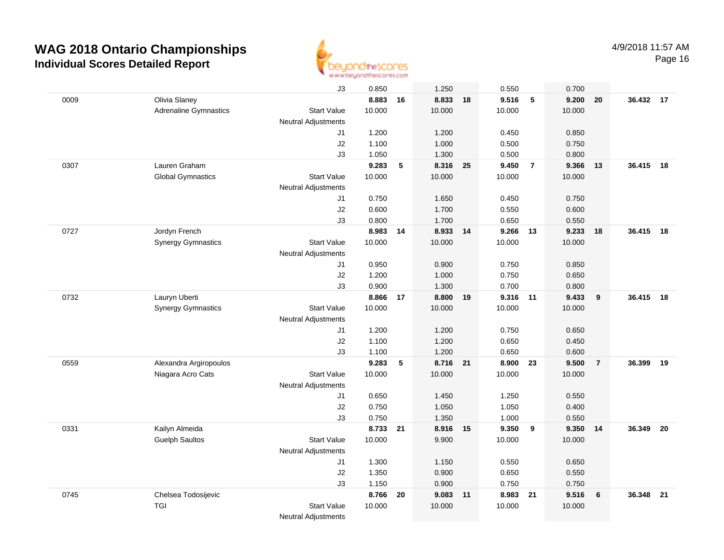

|      |                              | J3                         | 0.850          |    | 1.250             |    | 0.550          |                | 0.700          |                |           |    |
|------|------------------------------|----------------------------|----------------|----|-------------------|----|----------------|----------------|----------------|----------------|-----------|----|
| 0009 | Olivia Slaney                |                            | 8.883          | 16 | 8.833             | 18 | 9.516          | 5              | 9.200          | 20             | 36.432 17 |    |
|      | <b>Adrenaline Gymnastics</b> | <b>Start Value</b>         | 10.000         |    | 10.000            |    | 10.000         |                | 10.000         |                |           |    |
|      |                              | <b>Neutral Adjustments</b> |                |    |                   |    |                |                |                |                |           |    |
|      |                              | J1                         | 1.200          |    | 1.200             |    | 0.450          |                | 0.850          |                |           |    |
|      |                              | J2                         | 1.100          |    | 1.000             |    | 0.500          |                | 0.750          |                |           |    |
|      |                              | J3                         | 1.050          |    | 1.300             |    | 0.500          |                | 0.800          |                |           |    |
| 0307 | Lauren Graham                |                            | 9.283          | 5  | 8.316             | 25 | 9.450          | $\overline{7}$ | 9.366          | 13             | 36.415    | 18 |
|      | <b>Global Gymnastics</b>     | <b>Start Value</b>         | 10.000         |    | 10.000            |    | 10.000         |                | 10.000         |                |           |    |
|      |                              | Neutral Adjustments        |                |    |                   |    |                |                |                |                |           |    |
|      |                              | J1                         | 0.750          |    | 1.650             |    | 0.450          |                | 0.750          |                |           |    |
|      |                              | J2                         | 0.600          |    | 1.700             |    | 0.550          |                | 0.600          |                |           |    |
|      |                              | J3                         | 0.800          |    | 1.700             |    | 0.650          |                | 0.550          |                |           |    |
| 0727 | Jordyn French                |                            | 8.983          | 14 | 8.933 14          |    | 9.266          | - 13           | 9.233          | 18             | 36.415    | 18 |
|      | <b>Synergy Gymnastics</b>    | <b>Start Value</b>         | 10.000         |    | 10.000            |    | 10.000         |                | 10.000         |                |           |    |
|      |                              | <b>Neutral Adjustments</b> |                |    |                   |    |                |                |                |                |           |    |
|      |                              | J1                         | 0.950          |    | 0.900             |    | 0.750          |                | 0.850          |                |           |    |
|      |                              | J2                         | 1.200          |    | 1.000             |    | 0.750          |                | 0.650          |                |           |    |
|      |                              | J3                         | 0.900          |    | 1.300             |    | 0.700          |                | 0.800          |                |           |    |
| 0732 | Lauryn Uberti                |                            | 8.866 17       |    | 8.800 19          |    | 9.316 11       |                | 9.433          | 9              | 36.415    | 18 |
|      | <b>Synergy Gymnastics</b>    | <b>Start Value</b>         | 10.000         |    | 10.000            |    | 10.000         |                | 10.000         |                |           |    |
|      |                              | <b>Neutral Adjustments</b> |                |    |                   |    |                |                |                |                |           |    |
|      |                              | J1                         | 1.200          |    | 1.200             |    | 0.750          |                | 0.650          |                |           |    |
|      |                              | J2                         | 1.100          |    | 1.200             |    | 0.650          |                | 0.450          |                |           |    |
|      |                              | J3                         | 1.100          |    | 1.200             |    | 0.650          |                | 0.600          |                |           |    |
| 0559 | Alexandra Argiropoulos       |                            | 9.283          | 5  | 8.716             | 21 | 8.900          | 23             | 9.500          | $\overline{7}$ | 36.399    | 19 |
|      | Niagara Acro Cats            | <b>Start Value</b>         | 10.000         |    | 10.000            |    | 10.000         |                | 10.000         |                |           |    |
|      |                              | <b>Neutral Adjustments</b> |                |    |                   |    |                |                |                |                |           |    |
|      |                              | J1                         | 0.650          |    | 1.450             |    | 1.250          |                | 0.550          |                |           |    |
|      |                              | J2                         | 0.750          |    | 1.050             |    | 1.050          |                | 0.400          |                |           |    |
| 0331 | Kailyn Almeida               | J3                         | 0.750<br>8.733 |    | 1.350<br>8.916 15 |    | 1.000<br>9.350 | 9              | 0.550<br>9.350 |                | 36.349    | 20 |
|      | <b>Guelph Saultos</b>        | <b>Start Value</b>         | 10.000         | 21 | 9.900             |    | 10.000         |                | 10.000         | 14             |           |    |
|      |                              | Neutral Adjustments        |                |    |                   |    |                |                |                |                |           |    |
|      |                              | J1                         | 1.300          |    | 1.150             |    | 0.550          |                | 0.650          |                |           |    |
|      |                              | J2                         | 1.350          |    | 0.900             |    | 0.650          |                | 0.550          |                |           |    |
|      |                              | J3                         | 1.150          |    | 0.900             |    | 0.750          |                | 0.750          |                |           |    |
| 0745 | Chelsea Todosijevic          |                            | 8.766          | 20 | 9.083 11          |    | 8.983 21       |                | 9.516          | 6              | 36.348    | 21 |
|      | <b>TGI</b>                   | <b>Start Value</b>         | 10.000         |    | 10.000            |    | 10.000         |                | 10.000         |                |           |    |
|      |                              | <b>Neutral Adjustments</b> |                |    |                   |    |                |                |                |                |           |    |
|      |                              |                            |                |    |                   |    |                |                |                |                |           |    |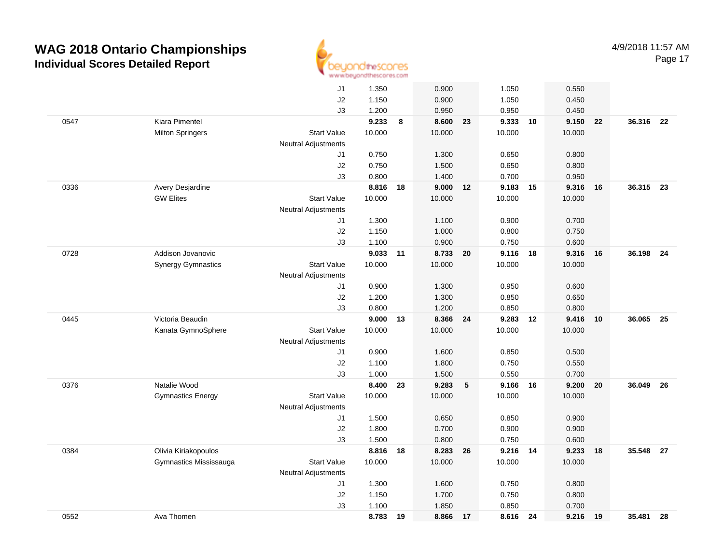

|      |                           |                            | to an autonoffer used activities and even |    |          |    |          |    |        |    |           |      |
|------|---------------------------|----------------------------|-------------------------------------------|----|----------|----|----------|----|--------|----|-----------|------|
|      |                           | J1                         | 1.350                                     |    | 0.900    |    | 1.050    |    | 0.550  |    |           |      |
|      |                           | J2                         | 1.150                                     |    | 0.900    |    | 1.050    |    | 0.450  |    |           |      |
|      |                           | J3                         | 1.200                                     |    | 0.950    |    | 0.950    |    | 0.450  |    |           |      |
| 0547 | Kiara Pimentel            |                            | 9.233                                     | 8  | 8.600    | 23 | 9.333    | 10 | 9.150  | 22 | 36.316 22 |      |
|      | <b>Milton Springers</b>   | <b>Start Value</b>         | 10.000                                    |    | 10.000   |    | 10.000   |    | 10.000 |    |           |      |
|      |                           | <b>Neutral Adjustments</b> |                                           |    |          |    |          |    |        |    |           |      |
|      |                           | J1                         | 0.750                                     |    | 1.300    |    | 0.650    |    | 0.800  |    |           |      |
|      |                           | J2                         | 0.750                                     |    | 1.500    |    | 0.650    |    | 0.800  |    |           |      |
|      |                           | J3                         | 0.800                                     |    | 1.400    |    | 0.700    |    | 0.950  |    |           |      |
| 0336 | Avery Desjardine          |                            | 8.816                                     | 18 | 9.000    | 12 | 9.183    | 15 | 9.316  | 16 | 36.315    | 23   |
|      | <b>GW Elites</b>          | <b>Start Value</b>         | 10.000                                    |    | 10.000   |    | 10.000   |    | 10.000 |    |           |      |
|      |                           | Neutral Adjustments        |                                           |    |          |    |          |    |        |    |           |      |
|      |                           | J1                         | 1.300                                     |    | 1.100    |    | 0.900    |    | 0.700  |    |           |      |
|      |                           | J2                         | 1.150                                     |    | 1.000    |    | 0.800    |    | 0.750  |    |           |      |
|      |                           | J3                         | 1.100                                     |    | 0.900    |    | 0.750    |    | 0.600  |    |           |      |
| 0728 | Addison Jovanovic         |                            | 9.033                                     | 11 | 8.733 20 |    | 9.116    | 18 | 9.316  | 16 | 36.198    | - 24 |
|      | <b>Synergy Gymnastics</b> | <b>Start Value</b>         | 10.000                                    |    | 10.000   |    | 10.000   |    | 10.000 |    |           |      |
|      |                           | <b>Neutral Adjustments</b> |                                           |    |          |    |          |    |        |    |           |      |
|      |                           | J1                         | 0.900                                     |    | 1.300    |    | 0.950    |    | 0.600  |    |           |      |
|      |                           | J2                         | 1.200                                     |    | 1.300    |    | 0.850    |    | 0.650  |    |           |      |
|      |                           | J3                         | 0.800                                     |    | 1.200    |    | 0.850    |    | 0.800  |    |           |      |
| 0445 | Victoria Beaudin          |                            | 9.000                                     | 13 | 8.366    | 24 | 9.283    | 12 | 9.416  | 10 | 36.065    | 25   |
|      | Kanata GymnoSphere        | <b>Start Value</b>         | 10.000                                    |    | 10.000   |    | 10.000   |    | 10.000 |    |           |      |
|      |                           | Neutral Adjustments        |                                           |    |          |    |          |    |        |    |           |      |
|      |                           | J1                         | 0.900                                     |    | 1.600    |    | 0.850    |    | 0.500  |    |           |      |
|      |                           | J2                         | 1.100                                     |    | 1.800    |    | 0.750    |    | 0.550  |    |           |      |
|      |                           | J3                         | 1.000                                     |    | 1.500    |    | 0.550    |    | 0.700  |    |           |      |
| 0376 | Natalie Wood              |                            | 8.400                                     | 23 | 9.283    | 5  | 9.166    | 16 | 9.200  | 20 | 36.049    | 26   |
|      | <b>Gymnastics Energy</b>  | <b>Start Value</b>         | 10.000                                    |    | 10.000   |    | 10.000   |    | 10.000 |    |           |      |
|      |                           | Neutral Adjustments        |                                           |    |          |    |          |    |        |    |           |      |
|      |                           | J1                         | 1.500                                     |    | 0.650    |    | 0.850    |    | 0.900  |    |           |      |
|      |                           | J2                         | 1.800                                     |    | 0.700    |    | 0.900    |    | 0.900  |    |           |      |
|      |                           | J3                         | 1.500                                     |    | 0.800    |    | 0.750    |    | 0.600  |    |           |      |
| 0384 | Olivia Kiriakopoulos      |                            | 8.816                                     | 18 | 8.283 26 |    | 9.216 14 |    | 9.233  | 18 | 35.548 27 |      |
|      | Gymnastics Mississauga    | <b>Start Value</b>         | 10.000                                    |    | 10.000   |    | 10.000   |    | 10.000 |    |           |      |
|      |                           | <b>Neutral Adjustments</b> |                                           |    |          |    |          |    |        |    |           |      |
|      |                           | J1                         | 1.300                                     |    | 1.600    |    | 0.750    |    | 0.800  |    |           |      |
|      |                           | J2                         | 1.150                                     |    | 1.700    |    | 0.750    |    | 0.800  |    |           |      |
|      |                           | J3                         | 1.100                                     |    | 1.850    |    | 0.850    |    | 0.700  |    |           |      |
| 0552 | Ava Thomen                |                            | 8.783                                     | 19 | 8.866    | 17 | 8.616 24 |    | 9.216  | 19 | 35.481    | 28   |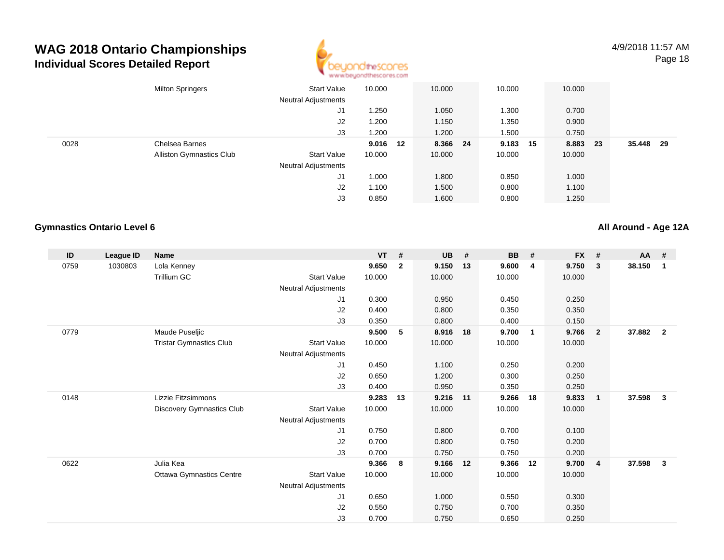

|      | <b>Milton Springers</b>         | <b>Start Value</b><br><b>Neutral Adjustments</b> | 10.000   | 10.000   | 10.000   | 10.000 |      |        |      |  |
|------|---------------------------------|--------------------------------------------------|----------|----------|----------|--------|------|--------|------|--|
|      |                                 | J1                                               | .250     | 1.050    | 1.300    | 0.700  |      |        |      |  |
|      |                                 | J2                                               | 1.200    | 1.150    | 1.350    | 0.900  |      |        |      |  |
|      |                                 | J3                                               | 1.200    | 1.200    | 1.500    | 0.750  |      |        |      |  |
| 0028 | Chelsea Barnes                  |                                                  | 9.016 12 | 8.366 24 | 9.183 15 | 8.883  | - 23 | 35.448 | - 29 |  |
|      | <b>Alliston Gymnastics Club</b> | <b>Start Value</b>                               | 10.000   | 10.000   | 10.000   | 10.000 |      |        |      |  |
|      |                                 | <b>Neutral Adjustments</b>                       |          |          |          |        |      |        |      |  |
|      |                                 | J1                                               | 1.000    | 1.800    | 0.850    | 1.000  |      |        |      |  |
|      |                                 | J2                                               | 1.100    | 1.500    | 0.800    | 1.100  |      |        |      |  |
|      |                                 | J3                                               | 0.850    | 1.600    | 0.800    | 1.250  |      |        |      |  |

#### **Gymnastics Ontario Level 6**

**All Around - Age 12A**

| ID   | League ID | <b>Name</b>                      |                     | <b>VT</b> | #              | <b>UB</b> | #  | <b>BB</b> | #              | <b>FX</b> | #              | AA #   |                |
|------|-----------|----------------------------------|---------------------|-----------|----------------|-----------|----|-----------|----------------|-----------|----------------|--------|----------------|
| 0759 | 1030803   | Lola Kenney                      |                     | 9.650     | $\overline{2}$ | 9.150     | 13 | 9.600     | 4              | 9.750     | 3              | 38.150 | 1              |
|      |           | Trillium GC                      | <b>Start Value</b>  | 10.000    |                | 10.000    |    | 10.000    |                | 10.000    |                |        |                |
|      |           |                                  | Neutral Adjustments |           |                |           |    |           |                |           |                |        |                |
|      |           |                                  | J1                  | 0.300     |                | 0.950     |    | 0.450     |                | 0.250     |                |        |                |
|      |           |                                  | J2                  | 0.400     |                | 0.800     |    | 0.350     |                | 0.350     |                |        |                |
|      |           |                                  | J3                  | 0.350     |                | 0.800     |    | 0.400     |                | 0.150     |                |        |                |
| 0779 |           | Maude Puseljic                   |                     | 9.500     | 5              | 8.916     | 18 | 9.700     | $\overline{1}$ | 9.766     | $\overline{2}$ | 37.882 | $\overline{2}$ |
|      |           | <b>Tristar Gymnastics Club</b>   | <b>Start Value</b>  | 10.000    |                | 10.000    |    | 10.000    |                | 10.000    |                |        |                |
|      |           |                                  | Neutral Adjustments |           |                |           |    |           |                |           |                |        |                |
|      |           |                                  | J1                  | 0.450     |                | 1.100     |    | 0.250     |                | 0.200     |                |        |                |
|      |           |                                  | J2                  | 0.650     |                | 1.200     |    | 0.300     |                | 0.250     |                |        |                |
|      |           |                                  | J3                  | 0.400     |                | 0.950     |    | 0.350     |                | 0.250     |                |        |                |
| 0148 |           | Lizzie Fitzsimmons               |                     | 9.283     | 13             | 9.216     | 11 | 9.266     | 18             | 9.833     | $\overline{1}$ | 37.598 | 3              |
|      |           | <b>Discovery Gymnastics Club</b> | <b>Start Value</b>  | 10.000    |                | 10.000    |    | 10.000    |                | 10.000    |                |        |                |
|      |           |                                  | Neutral Adjustments |           |                |           |    |           |                |           |                |        |                |
|      |           |                                  | J1                  | 0.750     |                | 0.800     |    | 0.700     |                | 0.100     |                |        |                |
|      |           |                                  | J2                  | 0.700     |                | 0.800     |    | 0.750     |                | 0.200     |                |        |                |
|      |           |                                  | J3                  | 0.700     |                | 0.750     |    | 0.750     |                | 0.200     |                |        |                |
| 0622 |           | Julia Kea                        |                     | 9.366     | 8              | 9.166     | 12 | 9.366     | 12             | 9.700     | $\overline{4}$ | 37.598 | $\mathbf{3}$   |
|      |           | <b>Ottawa Gymnastics Centre</b>  | <b>Start Value</b>  | 10.000    |                | 10.000    |    | 10.000    |                | 10.000    |                |        |                |
|      |           |                                  | Neutral Adjustments |           |                |           |    |           |                |           |                |        |                |
|      |           |                                  | J1                  | 0.650     |                | 1.000     |    | 0.550     |                | 0.300     |                |        |                |
|      |           |                                  | J2                  | 0.550     |                | 0.750     |    | 0.700     |                | 0.350     |                |        |                |
|      |           |                                  | J3                  | 0.700     |                | 0.750     |    | 0.650     |                | 0.250     |                |        |                |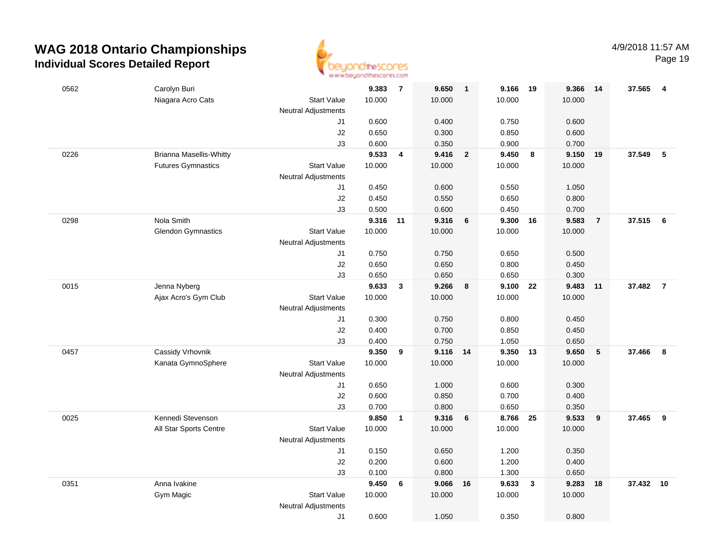

Page 19

| 0562 | Carolyn Buri                   |                            | 9.383          | $\overline{7}$ | 9.650          | $\mathbf{1}$   | 9.166          | 19                      | 9.366          | 14             | 37.565   | $\overline{4}$ |
|------|--------------------------------|----------------------------|----------------|----------------|----------------|----------------|----------------|-------------------------|----------------|----------------|----------|----------------|
|      | Niagara Acro Cats              | <b>Start Value</b>         | 10.000         |                | 10.000         |                | 10.000         |                         | 10.000         |                |          |                |
|      |                                | <b>Neutral Adjustments</b> |                |                |                |                |                |                         |                |                |          |                |
|      |                                | J1                         | 0.600          |                | 0.400          |                | 0.750          |                         | 0.600          |                |          |                |
|      |                                | J2                         | 0.650          |                | 0.300          |                | 0.850          |                         | 0.600          |                |          |                |
|      |                                | J3                         | 0.600          |                | 0.350          |                | 0.900          |                         | 0.700          |                |          |                |
| 0226 | <b>Brianna Masellis-Whitty</b> |                            | 9.533          | 4              | 9.416          | $\overline{2}$ | 9.450          | 8                       | 9.150          | 19             | 37.549   | $\sqrt{5}$     |
|      | <b>Futures Gymnastics</b>      | <b>Start Value</b>         | 10.000         |                | 10.000         |                | 10.000         |                         | 10.000         |                |          |                |
|      |                                | <b>Neutral Adjustments</b> |                |                |                |                |                |                         |                |                |          |                |
|      |                                | J1                         | 0.450          |                | 0.600          |                | 0.550          |                         | 1.050          |                |          |                |
|      |                                | J2                         | 0.450          |                | 0.550          |                | 0.650          |                         | 0.800          |                |          |                |
|      |                                | J3                         | 0.500          |                | 0.600          |                | 0.450          |                         | 0.700          |                |          |                |
| 0298 | Nola Smith                     |                            | 9.316          | 11             | 9.316          | 6              | 9.300          | 16                      | 9.583          | $\overline{7}$ | 37.515 6 |                |
|      | <b>Glendon Gymnastics</b>      | <b>Start Value</b>         | 10.000         |                | 10.000         |                | 10.000         |                         | 10.000         |                |          |                |
|      |                                | <b>Neutral Adjustments</b> |                |                |                |                |                |                         |                |                |          |                |
|      |                                | J1<br>J2                   | 0.750<br>0.650 |                | 0.750<br>0.650 |                | 0.650<br>0.800 |                         | 0.500<br>0.450 |                |          |                |
|      |                                | J3                         |                |                |                |                | 0.650          |                         |                |                |          |                |
| 0015 | Jenna Nyberg                   |                            | 0.650<br>9.633 | $\mathbf{3}$   | 0.650<br>9.266 | 8              | 9.100          | 22                      | 0.300<br>9.483 | 11             | 37.482   | $\overline{7}$ |
|      | Ajax Acro's Gym Club           | <b>Start Value</b>         | 10.000         |                | 10.000         |                | 10.000         |                         | 10.000         |                |          |                |
|      |                                | <b>Neutral Adjustments</b> |                |                |                |                |                |                         |                |                |          |                |
|      |                                | J1                         | 0.300          |                | 0.750          |                | 0.800          |                         | 0.450          |                |          |                |
|      |                                | J2                         | 0.400          |                | 0.700          |                | 0.850          |                         | 0.450          |                |          |                |
|      |                                | J3                         | 0.400          |                | 0.750          |                | 1.050          |                         | 0.650          |                |          |                |
| 0457 | Cassidy Vrhovnik               |                            | 9.350          | 9              | 9.116          | 14             | 9.350          | - 13                    | 9.650          | 5              | 37.466   | 8              |
|      | Kanata GymnoSphere             | <b>Start Value</b>         | 10.000         |                | 10.000         |                | 10.000         |                         | 10.000         |                |          |                |
|      |                                | <b>Neutral Adjustments</b> |                |                |                |                |                |                         |                |                |          |                |
|      |                                | J1                         | 0.650          |                | 1.000          |                | 0.600          |                         | 0.300          |                |          |                |
|      |                                | $\sf J2$                   | 0.600          |                | 0.850          |                | 0.700          |                         | 0.400          |                |          |                |
|      |                                | J3                         | 0.700          |                | 0.800          |                | 0.650          |                         | 0.350          |                |          |                |
| 0025 | Kennedi Stevenson              |                            | 9.850          | $\mathbf{1}$   | 9.316          | 6              | 8.766          | 25                      | 9.533          | 9              | 37.465   | 9              |
|      | All Star Sports Centre         | <b>Start Value</b>         | 10.000         |                | 10.000         |                | 10.000         |                         | 10.000         |                |          |                |
|      |                                | <b>Neutral Adjustments</b> |                |                |                |                |                |                         |                |                |          |                |
|      |                                | J1                         | 0.150          |                | 0.650          |                | 1.200          |                         | 0.350          |                |          |                |
|      |                                | J2                         | 0.200          |                | 0.600          |                | 1.200          |                         | 0.400          |                |          |                |
|      |                                | J3                         | 0.100          |                | 0.800          |                | 1.300          |                         | 0.650          |                |          |                |
| 0351 | Anna Ivakine                   |                            | 9.450          | 6              | 9.066          | 16             | 9.633          | $\overline{\mathbf{3}}$ | 9.283          | 18             | 37.432   | 10             |
|      | Gym Magic                      | <b>Start Value</b>         | 10.000         |                | 10.000         |                | 10.000         |                         | 10.000         |                |          |                |
|      |                                | <b>Neutral Adjustments</b> |                |                |                |                |                |                         |                |                |          |                |
|      |                                | J1                         | 0.600          |                | 1.050          |                | 0.350          |                         | 0.800          |                |          |                |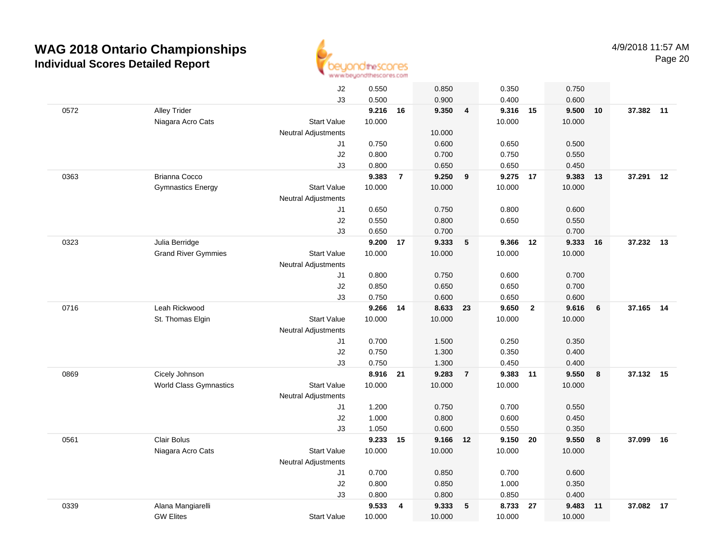

|      |                               | J2                         | 0.550    |                | 0.850    |                         | 0.350    |                | 0.750  |         |           |    |
|------|-------------------------------|----------------------------|----------|----------------|----------|-------------------------|----------|----------------|--------|---------|-----------|----|
|      |                               | J3                         | 0.500    |                | 0.900    |                         | 0.400    |                | 0.600  |         |           |    |
| 0572 | <b>Alley Trider</b>           |                            | 9.216 16 |                | 9.350    | $\overline{\mathbf{4}}$ | 9.316 15 |                | 9.500  | 10      | 37.382 11 |    |
|      | Niagara Acro Cats             | <b>Start Value</b>         | 10.000   |                |          |                         | 10.000   |                | 10.000 |         |           |    |
|      |                               | <b>Neutral Adjustments</b> |          |                | 10.000   |                         |          |                |        |         |           |    |
|      |                               | J1                         | 0.750    |                | 0.600    |                         | 0.650    |                | 0.500  |         |           |    |
|      |                               | J2                         | 0.800    |                | 0.700    |                         | 0.750    |                | 0.550  |         |           |    |
|      |                               | J3                         | 0.800    |                | 0.650    |                         | 0.650    |                | 0.450  |         |           |    |
| 0363 | Brianna Cocco                 |                            | 9.383    | $\overline{7}$ | 9.250    | 9                       | 9.275    | 17             | 9.383  | 13      | 37.291 12 |    |
|      | <b>Gymnastics Energy</b>      | <b>Start Value</b>         | 10.000   |                | 10.000   |                         | 10.000   |                | 10.000 |         |           |    |
|      |                               | <b>Neutral Adjustments</b> |          |                |          |                         |          |                |        |         |           |    |
|      |                               | J1                         | 0.650    |                | 0.750    |                         | 0.800    |                | 0.600  |         |           |    |
|      |                               | J2                         | 0.550    |                | 0.800    |                         | 0.650    |                | 0.550  |         |           |    |
|      |                               | J3                         | 0.650    |                | 0.700    |                         |          |                | 0.700  |         |           |    |
| 0323 | Julia Berridge                |                            | 9.200 17 |                | 9.333    | 5                       | 9.366 12 |                | 9.333  | 16      | 37.232 13 |    |
|      | <b>Grand River Gymmies</b>    | <b>Start Value</b>         | 10.000   |                | 10.000   |                         | 10.000   |                | 10.000 |         |           |    |
|      |                               | <b>Neutral Adjustments</b> |          |                |          |                         |          |                |        |         |           |    |
|      |                               | J1                         | 0.800    |                | 0.750    |                         | 0.600    |                | 0.700  |         |           |    |
|      |                               | J2                         | 0.850    |                | 0.650    |                         | 0.650    |                | 0.700  |         |           |    |
|      |                               | J3                         | 0.750    |                | 0.600    |                         | 0.650    |                | 0.600  |         |           |    |
| 0716 | Leah Rickwood                 |                            | 9.266    | 14             | 8.633    | 23                      | 9.650    | $\overline{2}$ | 9.616  | $\bf 6$ | 37.165 14 |    |
|      | St. Thomas Elgin              | <b>Start Value</b>         | 10.000   |                | 10.000   |                         | 10.000   |                | 10.000 |         |           |    |
|      |                               | Neutral Adjustments        |          |                |          |                         |          |                |        |         |           |    |
|      |                               | J1                         | 0.700    |                | 1.500    |                         | 0.250    |                | 0.350  |         |           |    |
|      |                               | J2                         | 0.750    |                | 1.300    |                         | 0.350    |                | 0.400  |         |           |    |
|      |                               | J3                         | 0.750    |                | 1.300    |                         | 0.450    |                | 0.400  |         |           |    |
| 0869 | Cicely Johnson                |                            | 8.916    | 21             | 9.283    | $\overline{7}$          | 9.383    | 11             | 9.550  | 8       | 37.132 15 |    |
|      | <b>World Class Gymnastics</b> | <b>Start Value</b>         | 10.000   |                | 10.000   |                         | 10.000   |                | 10.000 |         |           |    |
|      |                               | <b>Neutral Adjustments</b> |          |                |          |                         |          |                |        |         |           |    |
|      |                               | J1                         | 1.200    |                | 0.750    |                         | 0.700    |                | 0.550  |         |           |    |
|      |                               | J2                         | 1.000    |                | 0.800    |                         | 0.600    |                | 0.450  |         |           |    |
|      |                               | J3                         | 1.050    |                | 0.600    |                         | 0.550    |                | 0.350  |         |           |    |
| 0561 | Clair Bolus                   |                            | 9.233 15 |                | 9.166 12 |                         | 9.150 20 |                | 9.550  | 8       | 37.099 16 |    |
|      | Niagara Acro Cats             | <b>Start Value</b>         | 10.000   |                | 10.000   |                         | 10.000   |                | 10.000 |         |           |    |
|      |                               | <b>Neutral Adjustments</b> |          |                |          |                         |          |                |        |         |           |    |
|      |                               | J1                         | 0.700    |                | 0.850    |                         | 0.700    |                | 0.600  |         |           |    |
|      |                               | J2                         | 0.800    |                | 0.850    |                         | 1.000    |                | 0.350  |         |           |    |
|      |                               | J3                         | 0.800    |                | 0.800    |                         | 0.850    |                | 0.400  |         |           |    |
| 0339 | Alana Mangiarelli             |                            | 9.533    | 4              | 9.333    | 5                       | 8.733    | 27             | 9.483  | 11      | 37.082    | 17 |
|      | <b>GW Elites</b>              | <b>Start Value</b>         | 10.000   |                | 10.000   |                         | 10.000   |                | 10.000 |         |           |    |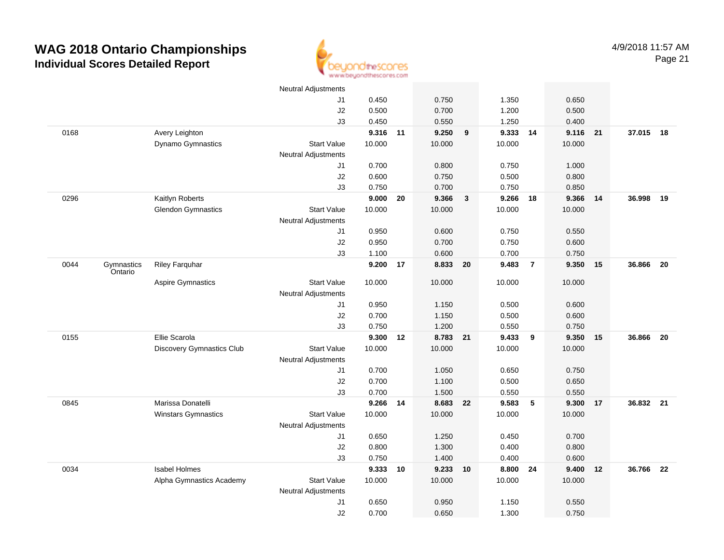

|      |                       |                            | <b>Neutral Adjustments</b> |          |    |          |                         |        |                |        |    |           |    |
|------|-----------------------|----------------------------|----------------------------|----------|----|----------|-------------------------|--------|----------------|--------|----|-----------|----|
|      |                       |                            | J1                         | 0.450    |    | 0.750    |                         | 1.350  |                | 0.650  |    |           |    |
|      |                       |                            | J2                         | 0.500    |    | 0.700    |                         | 1.200  |                | 0.500  |    |           |    |
|      |                       |                            | J3                         | 0.450    |    | 0.550    |                         | 1.250  |                | 0.400  |    |           |    |
| 0168 |                       | Avery Leighton             |                            | 9.316 11 |    | 9.250    | 9                       | 9.333  | 14             | 9.116  | 21 | 37.015 18 |    |
|      |                       | Dynamo Gymnastics          | <b>Start Value</b>         | 10.000   |    | 10.000   |                         | 10.000 |                | 10.000 |    |           |    |
|      |                       |                            | <b>Neutral Adjustments</b> |          |    |          |                         |        |                |        |    |           |    |
|      |                       |                            | J1                         | 0.700    |    | 0.800    |                         | 0.750  |                | 1.000  |    |           |    |
|      |                       |                            | J2                         | 0.600    |    | 0.750    |                         | 0.500  |                | 0.800  |    |           |    |
|      |                       |                            | J3                         | 0.750    |    | 0.700    |                         | 0.750  |                | 0.850  |    |           |    |
| 0296 |                       | Kaitlyn Roberts            |                            | 9.000    | 20 | 9.366    | $\overline{\mathbf{3}}$ | 9.266  | 18             | 9.366  | 14 | 36.998    | 19 |
|      |                       | <b>Glendon Gymnastics</b>  | <b>Start Value</b>         | 10.000   |    | 10.000   |                         | 10.000 |                | 10.000 |    |           |    |
|      |                       |                            | <b>Neutral Adjustments</b> |          |    |          |                         |        |                |        |    |           |    |
|      |                       |                            | J1                         | 0.950    |    | 0.600    |                         | 0.750  |                | 0.550  |    |           |    |
|      |                       |                            | J2                         | 0.950    |    | 0.700    |                         | 0.750  |                | 0.600  |    |           |    |
|      |                       |                            | J3                         | 1.100    |    | 0.600    |                         | 0.700  |                | 0.750  |    |           |    |
| 0044 | Gymnastics<br>Ontario | <b>Riley Farquhar</b>      |                            | 9.200    | 17 | 8.833    | 20                      | 9.483  | $\overline{7}$ | 9.350  | 15 | 36.866    | 20 |
|      |                       | Aspire Gymnastics          | <b>Start Value</b>         | 10.000   |    | 10.000   |                         | 10.000 |                | 10.000 |    |           |    |
|      |                       |                            | <b>Neutral Adjustments</b> |          |    |          |                         |        |                |        |    |           |    |
|      |                       |                            | J1                         | 0.950    |    | 1.150    |                         | 0.500  |                | 0.600  |    |           |    |
|      |                       |                            | J2                         | 0.700    |    | 1.150    |                         | 0.500  |                | 0.600  |    |           |    |
|      |                       |                            | J3                         | 0.750    |    | 1.200    |                         | 0.550  |                | 0.750  |    |           |    |
| 0155 |                       | Ellie Scarola              |                            | 9.300    | 12 | 8.783 21 |                         | 9.433  | 9              | 9.350  | 15 | 36.866    | 20 |
|      |                       | Discovery Gymnastics Club  | <b>Start Value</b>         | 10.000   |    | 10.000   |                         | 10.000 |                | 10.000 |    |           |    |
|      |                       |                            | <b>Neutral Adjustments</b> |          |    |          |                         |        |                |        |    |           |    |
|      |                       |                            | J1                         | 0.700    |    | 1.050    |                         | 0.650  |                | 0.750  |    |           |    |
|      |                       |                            | $\sf J2$                   | 0.700    |    | 1.100    |                         | 0.500  |                | 0.650  |    |           |    |
|      |                       |                            | J3                         | 0.700    |    | 1.500    |                         | 0.550  |                | 0.550  |    |           |    |
| 0845 |                       | Marissa Donatelli          |                            | 9.266 14 |    | 8.683 22 |                         | 9.583  | 5              | 9.300  | 17 | 36.832 21 |    |
|      |                       | <b>Winstars Gymnastics</b> | <b>Start Value</b>         | 10.000   |    | 10.000   |                         | 10.000 |                | 10.000 |    |           |    |
|      |                       |                            | <b>Neutral Adjustments</b> |          |    |          |                         |        |                |        |    |           |    |
|      |                       |                            | J <sub>1</sub>             | 0.650    |    | 1.250    |                         | 0.450  |                | 0.700  |    |           |    |
|      |                       |                            | J2                         | 0.800    |    | 1.300    |                         | 0.400  |                | 0.800  |    |           |    |
|      |                       |                            | J3                         | 0.750    |    | 1.400    |                         | 0.400  |                | 0.600  |    |           |    |
| 0034 |                       | <b>Isabel Holmes</b>       |                            | 9.333    | 10 | 9.233    | 10                      | 8.800  | 24             | 9.400  | 12 | 36.766    | 22 |
|      |                       | Alpha Gymnastics Academy   | <b>Start Value</b>         | 10.000   |    | 10.000   |                         | 10.000 |                | 10.000 |    |           |    |
|      |                       |                            | <b>Neutral Adjustments</b> |          |    |          |                         |        |                |        |    |           |    |
|      |                       |                            | J <sub>1</sub>             | 0.650    |    | 0.950    |                         | 1.150  |                | 0.550  |    |           |    |
|      |                       |                            | J2                         | 0.700    |    | 0.650    |                         | 1.300  |                | 0.750  |    |           |    |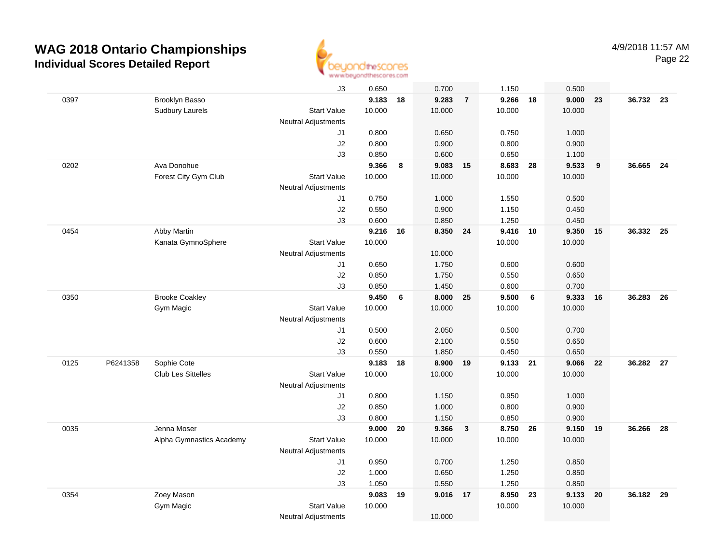

|      |          |                           | J3                         | 0.650    |    | 0.700    |                         | 1.150    |                 | 0.500  |    |           |      |
|------|----------|---------------------------|----------------------------|----------|----|----------|-------------------------|----------|-----------------|--------|----|-----------|------|
| 0397 |          | Brooklyn Basso            |                            | 9.183 18 |    | 9.283    | $\overline{7}$          | 9.266    | 18              | 9.000  | 23 | 36.732 23 |      |
|      |          | <b>Sudbury Laurels</b>    | <b>Start Value</b>         | 10.000   |    | 10.000   |                         | 10.000   |                 | 10.000 |    |           |      |
|      |          |                           | <b>Neutral Adjustments</b> |          |    |          |                         |          |                 |        |    |           |      |
|      |          |                           | J1                         | 0.800    |    | 0.650    |                         | 0.750    |                 | 1.000  |    |           |      |
|      |          |                           | J2                         | 0.800    |    | 0.900    |                         | 0.800    |                 | 0.900  |    |           |      |
|      |          |                           | J3                         | 0.850    |    | 0.600    |                         | 0.650    |                 | 1.100  |    |           |      |
| 0202 |          | Ava Donohue               |                            | 9.366    | 8  | 9.083    | 15                      | 8.683    | 28              | 9.533  | 9  | 36.665    | 24   |
|      |          | Forest City Gym Club      | <b>Start Value</b>         | 10.000   |    | 10.000   |                         | 10.000   |                 | 10.000 |    |           |      |
|      |          |                           | <b>Neutral Adjustments</b> |          |    |          |                         |          |                 |        |    |           |      |
|      |          |                           | J1                         | 0.750    |    | 1.000    |                         | 1.550    |                 | 0.500  |    |           |      |
|      |          |                           | J2                         | 0.550    |    | 0.900    |                         | 1.150    |                 | 0.450  |    |           |      |
|      |          |                           | J3                         | 0.600    |    | 0.850    |                         | 1.250    |                 | 0.450  |    |           |      |
| 0454 |          | Abby Martin               |                            | 9.216    | 16 | 8.350 24 |                         | 9.416 10 |                 | 9.350  | 15 | 36.332    | 25   |
|      |          | Kanata GymnoSphere        | <b>Start Value</b>         | 10.000   |    |          |                         | 10.000   |                 | 10.000 |    |           |      |
|      |          |                           | <b>Neutral Adjustments</b> |          |    | 10.000   |                         |          |                 |        |    |           |      |
|      |          |                           | J1                         | 0.650    |    | 1.750    |                         | 0.600    |                 | 0.600  |    |           |      |
|      |          |                           | J2                         | 0.850    |    | 1.750    |                         | 0.550    |                 | 0.650  |    |           |      |
|      |          |                           | J3                         | 0.850    |    | 1.450    |                         | 0.600    |                 | 0.700  |    |           |      |
| 0350 |          | <b>Brooke Coakley</b>     |                            | 9.450    | 6  | 8.000    | 25                      | 9.500    | $6\phantom{1}6$ | 9.333  | 16 | 36.283    | 26   |
|      |          | Gym Magic                 | <b>Start Value</b>         | 10.000   |    | 10.000   |                         | 10.000   |                 | 10.000 |    |           |      |
|      |          |                           | <b>Neutral Adjustments</b> |          |    |          |                         |          |                 |        |    |           |      |
|      |          |                           | J1                         | 0.500    |    | 2.050    |                         | 0.500    |                 | 0.700  |    |           |      |
|      |          |                           | J2                         | 0.600    |    | 2.100    |                         | 0.550    |                 | 0.650  |    |           |      |
|      |          |                           | J3                         | 0.550    |    | 1.850    |                         | 0.450    |                 | 0.650  |    |           |      |
| 0125 | P6241358 | Sophie Cote               |                            | 9.183    | 18 | 8.900    | 19                      | 9.133 21 |                 | 9.066  | 22 | 36.282 27 |      |
|      |          | <b>Club Les Sittelles</b> | <b>Start Value</b>         | 10.000   |    | 10.000   |                         | 10.000   |                 | 10.000 |    |           |      |
|      |          |                           | <b>Neutral Adjustments</b> |          |    |          |                         |          |                 |        |    |           |      |
|      |          |                           | J1                         | 0.800    |    | 1.150    |                         | 0.950    |                 | 1.000  |    |           |      |
|      |          |                           | J2                         | 0.850    |    | 1.000    |                         | 0.800    |                 | 0.900  |    |           |      |
|      |          |                           | J3                         | 0.800    |    | 1.150    |                         | 0.850    |                 | 0.900  |    |           |      |
| 0035 |          | Jenna Moser               |                            | 9.000    | 20 | 9.366    | $\overline{\mathbf{3}}$ | 8.750    | 26              | 9.150  | 19 | 36.266    | 28   |
|      |          | Alpha Gymnastics Academy  | <b>Start Value</b>         | 10.000   |    | 10.000   |                         | 10.000   |                 | 10.000 |    |           |      |
|      |          |                           | <b>Neutral Adjustments</b> |          |    |          |                         |          |                 |        |    |           |      |
|      |          |                           | J1                         | 0.950    |    | 0.700    |                         | 1.250    |                 | 0.850  |    |           |      |
|      |          |                           | J2                         | 1.000    |    | 0.650    |                         | 1.250    |                 | 0.850  |    |           |      |
|      |          |                           | J3                         | 1.050    |    | 0.550    |                         | 1.250    |                 | 0.850  |    |           |      |
| 0354 |          | Zoey Mason                |                            | 9.083    | 19 | 9.016 17 |                         | 8.950    | 23              | 9.133  | 20 | 36.182    | - 29 |
|      |          | Gym Magic                 | <b>Start Value</b>         | 10.000   |    |          |                         | 10.000   |                 | 10.000 |    |           |      |
|      |          |                           | <b>Neutral Adjustments</b> |          |    | 10.000   |                         |          |                 |        |    |           |      |
|      |          |                           |                            |          |    |          |                         |          |                 |        |    |           |      |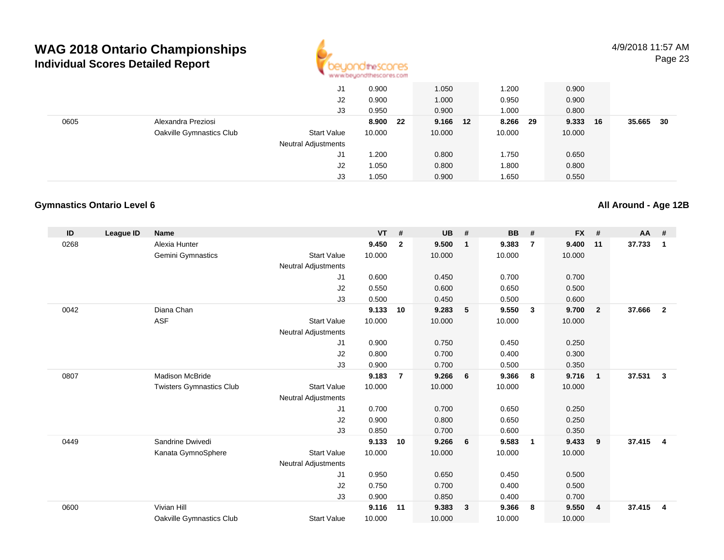

|      |                          | J1                         | 0.900        | 1.050    | .200          | 0.900       |              |
|------|--------------------------|----------------------------|--------------|----------|---------------|-------------|--------------|
|      |                          | J2                         | 0.900        | 1.000    | 0.950         | 0.900       |              |
|      |                          | J3                         | 0.950        | 0.900    | 1.000         | 0.800       |              |
| 0605 | Alexandra Preziosi       |                            | 8.900<br>-22 | 9.166 12 | 8.266<br>- 29 | 9.333<br>16 | 35.665<br>30 |
|      | Oakville Gymnastics Club | <b>Start Value</b>         | 10.000       | 10.000   | 10.000        | 10.000      |              |
|      |                          | <b>Neutral Adjustments</b> |              |          |               |             |              |
|      |                          | J1                         | 1.200        | 0.800    | 1.750         | 0.650       |              |
|      |                          | J2                         | 1.050        | 0.800    | 1.800         | 0.800       |              |
|      |                          | J3                         | 1.050        | 0.900    | 1.650         | 0.550       |              |

#### **Gymnastics Ontario Level 6**

**All Around - Age 12B**

| ID   | <b>League ID</b> | <b>Name</b>                     |                            | $VT$ # |                | <b>UB</b> | #            | BB     | #                       | <b>FX</b> | #              | AA #   |                         |
|------|------------------|---------------------------------|----------------------------|--------|----------------|-----------|--------------|--------|-------------------------|-----------|----------------|--------|-------------------------|
| 0268 |                  | Alexia Hunter                   |                            | 9.450  | $\overline{2}$ | 9.500     | $\mathbf{1}$ | 9.383  | $\overline{7}$          | 9.400     | 11             | 37.733 | $\overline{\mathbf{1}}$ |
|      |                  | Gemini Gymnastics               | <b>Start Value</b>         | 10.000 |                | 10.000    |              | 10.000 |                         | 10.000    |                |        |                         |
|      |                  |                                 | <b>Neutral Adjustments</b> |        |                |           |              |        |                         |           |                |        |                         |
|      |                  |                                 | J1                         | 0.600  |                | 0.450     |              | 0.700  |                         | 0.700     |                |        |                         |
|      |                  |                                 | J2                         | 0.550  |                | 0.600     |              | 0.650  |                         | 0.500     |                |        |                         |
|      |                  |                                 | J3                         | 0.500  |                | 0.450     |              | 0.500  |                         | 0.600     |                |        |                         |
| 0042 |                  | Diana Chan                      |                            | 9.133  | 10             | 9.283     | 5            | 9.550  | $\overline{\mathbf{3}}$ | 9.700     | $\overline{2}$ | 37.666 | $\overline{2}$          |
|      |                  | <b>ASF</b>                      | <b>Start Value</b>         | 10.000 |                | 10.000    |              | 10.000 |                         | 10.000    |                |        |                         |
|      |                  |                                 | <b>Neutral Adjustments</b> |        |                |           |              |        |                         |           |                |        |                         |
|      |                  |                                 | J <sub>1</sub>             | 0.900  |                | 0.750     |              | 0.450  |                         | 0.250     |                |        |                         |
|      |                  |                                 | J2                         | 0.800  |                | 0.700     |              | 0.400  |                         | 0.300     |                |        |                         |
|      |                  |                                 | J3                         | 0.900  |                | 0.700     |              | 0.500  |                         | 0.350     |                |        |                         |
| 0807 |                  | <b>Madison McBride</b>          |                            | 9.183  | $\overline{7}$ | 9.266     | 6            | 9.366  | 8                       | 9.716     | $\mathbf{1}$   | 37.531 | $\overline{\mathbf{3}}$ |
|      |                  | <b>Twisters Gymnastics Club</b> | <b>Start Value</b>         | 10.000 |                | 10.000    |              | 10.000 |                         | 10.000    |                |        |                         |
|      |                  |                                 | <b>Neutral Adjustments</b> |        |                |           |              |        |                         |           |                |        |                         |
|      |                  |                                 | J1                         | 0.700  |                | 0.700     |              | 0.650  |                         | 0.250     |                |        |                         |
|      |                  |                                 | J2                         | 0.900  |                | 0.800     |              | 0.650  |                         | 0.250     |                |        |                         |
|      |                  |                                 | J3                         | 0.850  |                | 0.700     |              | 0.600  |                         | 0.350     |                |        |                         |
| 0449 |                  | Sandrine Dwivedi                |                            | 9.133  | 10             | 9.266     | 6            | 9.583  | $\mathbf{1}$            | 9.433     | 9              | 37.415 | $\overline{4}$          |
|      |                  | Kanata GymnoSphere              | <b>Start Value</b>         | 10.000 |                | 10.000    |              | 10.000 |                         | 10.000    |                |        |                         |
|      |                  |                                 | <b>Neutral Adjustments</b> |        |                |           |              |        |                         |           |                |        |                         |
|      |                  |                                 | J <sub>1</sub>             | 0.950  |                | 0.650     |              | 0.450  |                         | 0.500     |                |        |                         |
|      |                  |                                 | J <sub>2</sub>             | 0.750  |                | 0.700     |              | 0.400  |                         | 0.500     |                |        |                         |
|      |                  |                                 | J3                         | 0.900  |                | 0.850     |              | 0.400  |                         | 0.700     |                |        |                         |
| 0600 |                  | Vivian Hill                     |                            | 9.116  | 11             | 9.383     | $\mathbf{3}$ | 9.366  | 8                       | 9.550     | 4              | 37.415 | $\overline{4}$          |
|      |                  | Oakville Gymnastics Club        | <b>Start Value</b>         | 10.000 |                | 10.000    |              | 10.000 |                         | 10.000    |                |        |                         |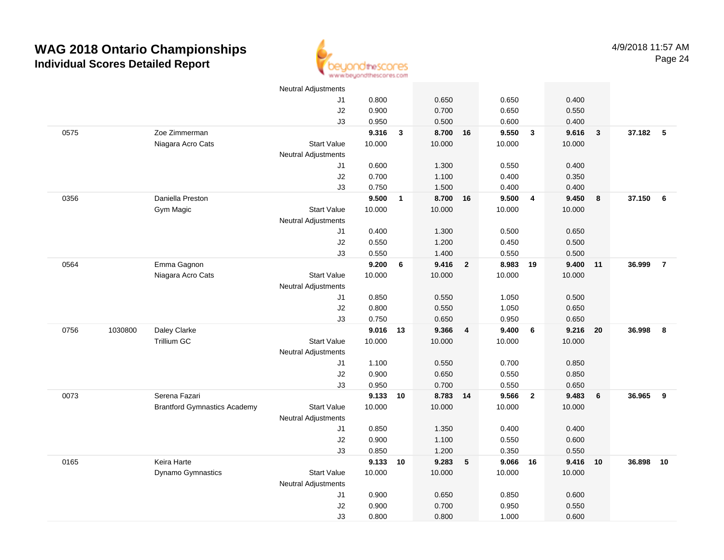

|      |         |                                     | <b>Neutral Adjustments</b> |          |              |          |                         |        |                |        |              |          |                |
|------|---------|-------------------------------------|----------------------------|----------|--------------|----------|-------------------------|--------|----------------|--------|--------------|----------|----------------|
|      |         |                                     | J1                         | 0.800    |              | 0.650    |                         | 0.650  |                | 0.400  |              |          |                |
|      |         |                                     | J2                         | 0.900    |              | 0.700    |                         | 0.650  |                | 0.550  |              |          |                |
|      |         |                                     | J3                         | 0.950    |              | 0.500    |                         | 0.600  |                | 0.400  |              |          |                |
| 0575 |         | Zoe Zimmerman                       |                            | 9.316    | $\mathbf{3}$ | 8.700 16 |                         | 9.550  | $\mathbf{3}$   | 9.616  | $\mathbf{3}$ | 37.182 5 |                |
|      |         | Niagara Acro Cats                   | Start Value                | 10.000   |              | 10.000   |                         | 10.000 |                | 10.000 |              |          |                |
|      |         |                                     | <b>Neutral Adjustments</b> |          |              |          |                         |        |                |        |              |          |                |
|      |         |                                     | J1                         | 0.600    |              | 1.300    |                         | 0.550  |                | 0.400  |              |          |                |
|      |         |                                     | J2                         | 0.700    |              | 1.100    |                         | 0.400  |                | 0.350  |              |          |                |
|      |         |                                     | J3                         | 0.750    |              | 1.500    |                         | 0.400  |                | 0.400  |              |          |                |
| 0356 |         | Daniella Preston                    |                            | 9.500    | $\mathbf{1}$ | 8.700 16 |                         | 9.500  | $\overline{4}$ | 9.450  | 8            | 37.150   | 6              |
|      |         | Gym Magic                           | <b>Start Value</b>         | 10.000   |              | 10.000   |                         | 10.000 |                | 10.000 |              |          |                |
|      |         |                                     | <b>Neutral Adjustments</b> |          |              |          |                         |        |                |        |              |          |                |
|      |         |                                     | J1                         | 0.400    |              | 1.300    |                         | 0.500  |                | 0.650  |              |          |                |
|      |         |                                     | J2                         | 0.550    |              | 1.200    |                         | 0.450  |                | 0.500  |              |          |                |
|      |         |                                     | J3                         | 0.550    |              | 1.400    |                         | 0.550  |                | 0.500  |              |          |                |
| 0564 |         | Emma Gagnon                         |                            | 9.200    | $\bf 6$      | 9.416    | $\overline{\mathbf{2}}$ | 8.983  | 19             | 9.400  | 11           | 36.999   | $\overline{7}$ |
|      |         | Niagara Acro Cats                   | <b>Start Value</b>         | 10.000   |              | 10.000   |                         | 10.000 |                | 10.000 |              |          |                |
|      |         |                                     | <b>Neutral Adjustments</b> |          |              |          |                         |        |                |        |              |          |                |
|      |         |                                     | J <sub>1</sub>             | 0.850    |              | 0.550    |                         | 1.050  |                | 0.500  |              |          |                |
|      |         |                                     | J2                         | 0.800    |              | 0.550    |                         | 1.050  |                | 0.650  |              |          |                |
|      |         |                                     | J3                         | 0.750    |              | 0.650    |                         | 0.950  |                | 0.650  |              |          |                |
| 0756 | 1030800 | Daley Clarke                        |                            | 9.016    | 13           | 9.366    | $\overline{4}$          | 9.400  | 6              | 9.216  | 20           | 36.998   | 8              |
|      |         | Trillium GC                         | <b>Start Value</b>         | 10.000   |              | 10.000   |                         | 10.000 |                | 10.000 |              |          |                |
|      |         |                                     | <b>Neutral Adjustments</b> |          |              |          |                         |        |                |        |              |          |                |
|      |         |                                     | J1                         | 1.100    |              | 0.550    |                         | 0.700  |                | 0.850  |              |          |                |
|      |         |                                     | J2                         | 0.900    |              | 0.650    |                         | 0.550  |                | 0.850  |              |          |                |
|      |         |                                     | J3                         | 0.950    |              | 0.700    |                         | 0.550  |                | 0.650  |              |          |                |
| 0073 |         | Serena Fazari                       |                            | 9.133 10 |              | 8.783 14 |                         | 9.566  | $\overline{2}$ | 9.483  | 6            | 36.965   | 9              |
|      |         | <b>Brantford Gymnastics Academy</b> | <b>Start Value</b>         | 10.000   |              | 10.000   |                         | 10.000 |                | 10.000 |              |          |                |
|      |         |                                     | <b>Neutral Adjustments</b> |          |              |          |                         |        |                |        |              |          |                |
|      |         |                                     | J1                         | 0.850    |              | 1.350    |                         | 0.400  |                | 0.400  |              |          |                |
|      |         |                                     | J2                         | 0.900    |              | 1.100    |                         | 0.550  |                | 0.600  |              |          |                |
|      |         |                                     | J3                         | 0.850    |              | 1.200    |                         | 0.350  |                | 0.550  |              |          |                |
| 0165 |         | Keira Harte                         |                            | 9.133 10 |              | 9.283    | 5                       | 9.066  | 16             | 9.416  | 10           | 36.898   | 10             |
|      |         | Dynamo Gymnastics                   | <b>Start Value</b>         | 10.000   |              | 10.000   |                         | 10.000 |                | 10.000 |              |          |                |
|      |         |                                     | <b>Neutral Adjustments</b> |          |              |          |                         |        |                |        |              |          |                |
|      |         |                                     | J1                         | 0.900    |              | 0.650    |                         | 0.850  |                | 0.600  |              |          |                |
|      |         |                                     | J2                         | 0.900    |              | 0.700    |                         | 0.950  |                | 0.550  |              |          |                |
|      |         |                                     | J3                         | 0.800    |              | 0.800    |                         | 1.000  |                | 0.600  |              |          |                |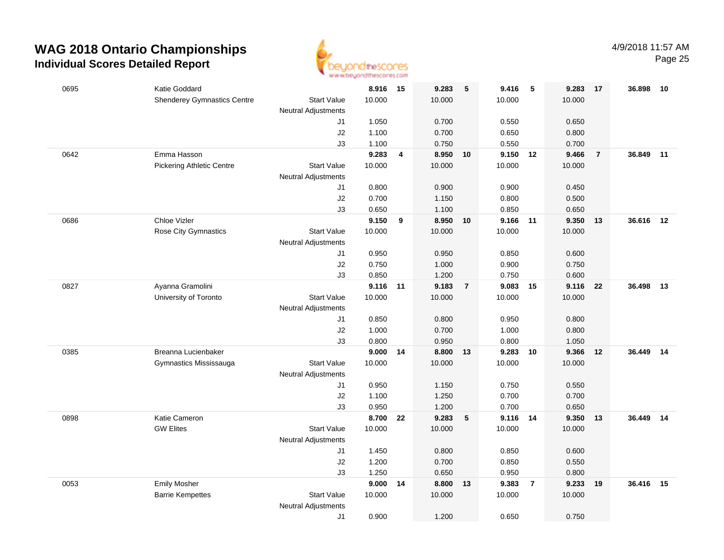

| 0695 | Katie Goddard                             |                            | 8.916 15           |    | 9.283           | $-5$           | 9.416           | - 5            | 9.283           | 17             | 36.898    | 10 |
|------|-------------------------------------------|----------------------------|--------------------|----|-----------------|----------------|-----------------|----------------|-----------------|----------------|-----------|----|
|      | <b>Shenderey Gymnastics Centre</b>        | <b>Start Value</b>         | 10.000             |    | 10.000          |                | 10.000          |                | 10.000          |                |           |    |
|      |                                           | <b>Neutral Adjustments</b> |                    |    |                 |                |                 |                |                 |                |           |    |
|      |                                           | J1                         | 1.050              |    | 0.700           |                | 0.550           |                | 0.650           |                |           |    |
|      |                                           | J2                         | 1.100              |    | 0.700           |                | 0.650           |                | 0.800           |                |           |    |
|      |                                           | J3                         | 1.100              |    | 0.750           |                | 0.550           |                | 0.700           |                |           |    |
| 0642 | Emma Hasson                               |                            | 9.283              | 4  | 8.950           | 10             | 9.150 12        |                | 9.466           | $\overline{7}$ | 36.849    | 11 |
|      | <b>Pickering Athletic Centre</b>          | <b>Start Value</b>         | 10.000             |    | 10.000          |                | 10.000          |                | 10.000          |                |           |    |
|      |                                           | <b>Neutral Adjustments</b> |                    |    |                 |                |                 |                |                 |                |           |    |
|      |                                           | J1                         | 0.800              |    | 0.900           |                | 0.900           |                | 0.450           |                |           |    |
|      |                                           | J2                         | 0.700              |    | 1.150           |                | 0.800           |                | 0.500           |                |           |    |
|      |                                           | J3                         | 0.650              |    | 1.100           |                | 0.850           |                | 0.650           |                |           |    |
| 0686 | Chloe Vizler                              |                            | 9.150              | 9  | 8.950           | 10             | 9.166           | 11             | 9.350           | 13             | 36.616    | 12 |
|      | Rose City Gymnastics                      | <b>Start Value</b>         | 10.000             |    | 10.000          |                | 10.000          |                | 10.000          |                |           |    |
|      |                                           | <b>Neutral Adjustments</b> |                    |    |                 |                |                 |                |                 |                |           |    |
|      |                                           | J1                         | 0.950              |    | 0.950           |                | 0.850           |                | 0.600           |                |           |    |
|      |                                           | J2                         | 0.750              |    | 1.000           |                | 0.900           |                | 0.750           |                |           |    |
|      |                                           | J3                         | 0.850              |    | 1.200           | $\overline{7}$ | 0.750           | 15             | 0.600           |                | 36.498    |    |
| 0827 | Ayanna Gramolini<br>University of Toronto | <b>Start Value</b>         | 9.116 11<br>10.000 |    | 9.183<br>10.000 |                | 9.083<br>10.000 |                | 9.116<br>10.000 | - 22           |           | 13 |
|      |                                           | <b>Neutral Adjustments</b> |                    |    |                 |                |                 |                |                 |                |           |    |
|      |                                           | J1                         | 0.850              |    | 0.800           |                | 0.950           |                | 0.800           |                |           |    |
|      |                                           | J2                         | 1.000              |    | 0.700           |                | 1.000           |                | 0.800           |                |           |    |
|      |                                           | J3                         | 0.800              |    | 0.950           |                | 0.800           |                | 1.050           |                |           |    |
| 0385 | Breanna Lucienbaker                       |                            | 9.000              | 14 | 8.800           | 13             | 9.283           | 10             | 9.366           | 12             | 36.449    | 14 |
|      | Gymnastics Mississauga                    | <b>Start Value</b>         | 10.000             |    | 10.000          |                | 10.000          |                | 10.000          |                |           |    |
|      |                                           | <b>Neutral Adjustments</b> |                    |    |                 |                |                 |                |                 |                |           |    |
|      |                                           | J1                         | 0.950              |    | 1.150           |                | 0.750           |                | 0.550           |                |           |    |
|      |                                           | J2                         | 1.100              |    | 1.250           |                | 0.700           |                | 0.700           |                |           |    |
|      |                                           | J3                         | 0.950              |    | 1.200           |                | 0.700           |                | 0.650           |                |           |    |
| 0898 | Katie Cameron                             |                            | 8.700              | 22 | 9.283           | 5              | 9.116 14        |                | 9.350           | 13             | 36.449 14 |    |
|      | <b>GW Elites</b>                          | <b>Start Value</b>         | 10.000             |    | 10.000          |                | 10.000          |                | 10.000          |                |           |    |
|      |                                           | <b>Neutral Adjustments</b> |                    |    |                 |                |                 |                |                 |                |           |    |
|      |                                           | J1                         | 1.450              |    | 0.800           |                | 0.850           |                | 0.600           |                |           |    |
|      |                                           | J2                         | 1.200              |    | 0.700           |                | 0.850           |                | 0.550           |                |           |    |
|      |                                           | J3                         | 1.250              |    | 0.650           |                | 0.950           |                | 0.800           |                |           |    |
| 0053 | <b>Emily Mosher</b>                       |                            | 9.000              | 14 | 8.800           | 13             | 9.383           | $\overline{7}$ | 9.233           | 19             | 36.416    | 15 |
|      | <b>Barrie Kempettes</b>                   | <b>Start Value</b>         | 10.000             |    | 10.000          |                | 10.000          |                | 10.000          |                |           |    |
|      |                                           | <b>Neutral Adjustments</b> |                    |    |                 |                |                 |                |                 |                |           |    |
|      |                                           | J1                         | 0.900              |    | 1.200           |                | 0.650           |                | 0.750           |                |           |    |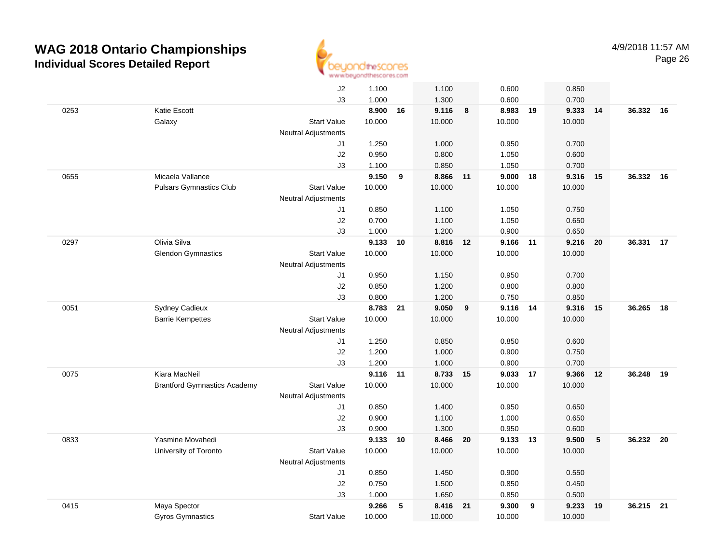

|      |                                     | J2                         | 1.100    |    | 1.100    |    | 0.600    |    | 0.850  |      |           |    |
|------|-------------------------------------|----------------------------|----------|----|----------|----|----------|----|--------|------|-----------|----|
|      |                                     | J3                         | 1.000    |    | 1.300    |    | 0.600    |    | 0.700  |      |           |    |
| 0253 | Katie Escott                        |                            | 8.900    | 16 | 9.116    | 8  | 8.983    | 19 | 9.333  | 14   | 36.332 16 |    |
|      | Galaxy                              | <b>Start Value</b>         | 10.000   |    | 10.000   |    | 10.000   |    | 10.000 |      |           |    |
|      |                                     | <b>Neutral Adjustments</b> |          |    |          |    |          |    |        |      |           |    |
|      |                                     | J1                         | 1.250    |    | 1.000    |    | 0.950    |    | 0.700  |      |           |    |
|      |                                     | J2                         | 0.950    |    | 0.800    |    | 1.050    |    | 0.600  |      |           |    |
|      |                                     | J3                         | 1.100    |    | 0.850    |    | 1.050    |    | 0.700  |      |           |    |
| 0655 | Micaela Vallance                    |                            | 9.150    | 9  | 8.866    | 11 | 9.000    | 18 | 9.316  | 15   | 36.332 16 |    |
|      | <b>Pulsars Gymnastics Club</b>      | <b>Start Value</b>         | 10.000   |    | 10.000   |    | 10.000   |    | 10.000 |      |           |    |
|      |                                     | <b>Neutral Adjustments</b> |          |    |          |    |          |    |        |      |           |    |
|      |                                     | J1                         | 0.850    |    | 1.100    |    | 1.050    |    | 0.750  |      |           |    |
|      |                                     | J2                         | 0.700    |    | 1.100    |    | 1.050    |    | 0.650  |      |           |    |
|      |                                     | J3                         | 1.000    |    | 1.200    |    | 0.900    |    | 0.650  |      |           |    |
| 0297 | Olivia Silva                        |                            | 9.133 10 |    | 8.816 12 |    | 9.166 11 |    | 9.216  | - 20 | 36.331 17 |    |
|      | <b>Glendon Gymnastics</b>           | <b>Start Value</b>         | 10.000   |    | 10.000   |    | 10.000   |    | 10.000 |      |           |    |
|      |                                     | <b>Neutral Adjustments</b> |          |    |          |    |          |    |        |      |           |    |
|      |                                     | J1                         | 0.950    |    | 1.150    |    | 0.950    |    | 0.700  |      |           |    |
|      |                                     | J2                         | 0.850    |    | 1.200    |    | 0.800    |    | 0.800  |      |           |    |
|      |                                     | J3                         | 0.800    |    | 1.200    |    | 0.750    |    | 0.850  |      |           |    |
| 0051 | Sydney Cadieux                      |                            | 8.783    | 21 | 9.050    | 9  | 9.116    | 14 | 9.316  | 15   | 36.265    | 18 |
|      | <b>Barrie Kempettes</b>             | <b>Start Value</b>         | 10.000   |    | 10.000   |    | 10.000   |    | 10.000 |      |           |    |
|      |                                     | Neutral Adjustments        |          |    |          |    |          |    |        |      |           |    |
|      |                                     | J1                         | 1.250    |    | 0.850    |    | 0.850    |    | 0.600  |      |           |    |
|      |                                     | J2                         | 1.200    |    | 1.000    |    | 0.900    |    | 0.750  |      |           |    |
|      |                                     | J3                         | 1.200    |    | 1.000    |    | 0.900    |    | 0.700  |      |           |    |
| 0075 | Kiara MacNeil                       |                            | 9.116    | 11 | 8.733    | 15 | 9.033 17 |    | 9.366  | 12   | 36.248    | 19 |
|      | <b>Brantford Gymnastics Academy</b> | <b>Start Value</b>         | 10.000   |    | 10.000   |    | 10.000   |    | 10.000 |      |           |    |
|      |                                     | <b>Neutral Adjustments</b> |          |    |          |    |          |    |        |      |           |    |
|      |                                     | J1                         | 0.850    |    | 1.400    |    | 0.950    |    | 0.650  |      |           |    |
|      |                                     | J2                         | 0.900    |    | 1.100    |    | 1.000    |    | 0.650  |      |           |    |
|      |                                     | J3                         | 0.900    |    | 1.300    |    | 0.950    |    | 0.600  |      |           |    |
| 0833 | Yasmine Movahedi                    |                            | 9.133 10 |    | 8.466    | 20 | 9.133 13 |    | 9.500  | 5    | 36.232 20 |    |
|      | University of Toronto               | <b>Start Value</b>         | 10.000   |    | 10.000   |    | 10.000   |    | 10.000 |      |           |    |
|      |                                     | <b>Neutral Adjustments</b> |          |    |          |    |          |    |        |      |           |    |
|      |                                     | J1                         | 0.850    |    | 1.450    |    | 0.900    |    | 0.550  |      |           |    |
|      |                                     | J2                         | 0.750    |    | 1.500    |    | 0.850    |    | 0.450  |      |           |    |
|      |                                     | J3                         | 1.000    |    | 1.650    |    | 0.850    |    | 0.500  |      |           |    |
| 0415 | Maya Spector                        |                            | 9.266    | 5  | 8.416    | 21 | 9.300    | 9  | 9.233  | 19   | 36.215    | 21 |
|      | <b>Gyros Gymnastics</b>             | <b>Start Value</b>         | 10.000   |    | 10.000   |    | 10.000   |    | 10.000 |      |           |    |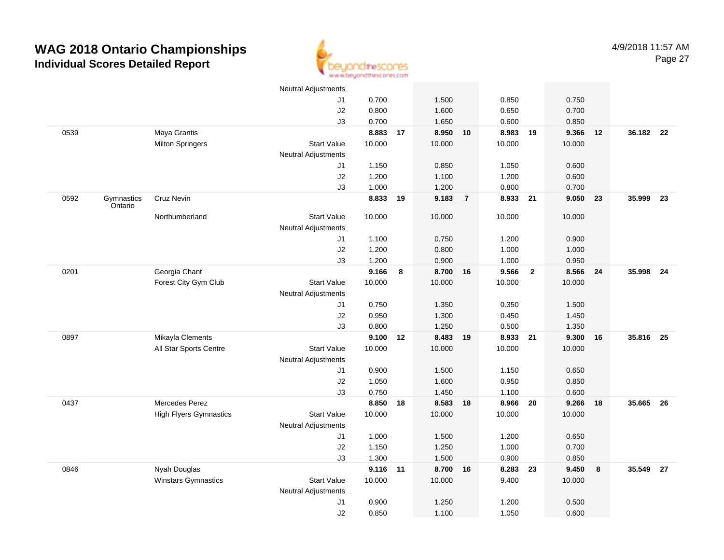

|      |                       |                               | <b>Neutral Adjustments</b>                       |          |    |          |                |          |                |        |    |           |      |
|------|-----------------------|-------------------------------|--------------------------------------------------|----------|----|----------|----------------|----------|----------------|--------|----|-----------|------|
|      |                       |                               | J1                                               | 0.700    |    | 1.500    |                | 0.850    |                | 0.750  |    |           |      |
|      |                       |                               | J2                                               | 0.800    |    | 1.600    |                | 0.650    |                | 0.700  |    |           |      |
|      |                       |                               | J3                                               | 0.700    |    | 1.650    |                | 0.600    |                | 0.850  |    |           |      |
| 0539 |                       | Maya Grantis                  |                                                  | 8.883    | 17 | 8.950    | 10             | 8.983    | 19             | 9.366  | 12 | 36.182 22 |      |
|      |                       | <b>Milton Springers</b>       | <b>Start Value</b>                               | 10.000   |    | 10.000   |                | 10.000   |                | 10.000 |    |           |      |
|      |                       |                               | <b>Neutral Adjustments</b>                       |          |    |          |                |          |                |        |    |           |      |
|      |                       |                               | J1                                               | 1.150    |    | 0.850    |                | 1.050    |                | 0.600  |    |           |      |
|      |                       |                               | J2                                               | 1.200    |    | 1.100    |                | 1.200    |                | 0.600  |    |           |      |
|      |                       |                               | J3                                               | 1.000    |    | 1.200    |                | 0.800    |                | 0.700  |    |           |      |
| 0592 | Gymnastics<br>Ontario | Cruz Nevin                    |                                                  | 8.833    | 19 | 9.183    | $\overline{7}$ | 8.933 21 |                | 9.050  | 23 | 35.999    | - 23 |
|      |                       | Northumberland                | <b>Start Value</b><br><b>Neutral Adjustments</b> | 10.000   |    | 10.000   |                | 10.000   |                | 10.000 |    |           |      |
|      |                       |                               | J1                                               | 1.100    |    | 0.750    |                | 1.200    |                | 0.900  |    |           |      |
|      |                       |                               | J2                                               | 1.200    |    | 0.800    |                | 1.000    |                | 1.000  |    |           |      |
|      |                       |                               | J3                                               | 1.200    |    | 0.900    |                | 1.000    |                | 0.950  |    |           |      |
| 0201 |                       | Georgia Chant                 |                                                  | 9.166    | 8  | 8.700    | 16             | 9.566    | $\overline{2}$ | 8.566  | 24 | 35.998    | 24   |
|      |                       | Forest City Gym Club          | <b>Start Value</b>                               | 10.000   |    | 10.000   |                | 10.000   |                | 10.000 |    |           |      |
|      |                       |                               | <b>Neutral Adjustments</b>                       |          |    |          |                |          |                |        |    |           |      |
|      |                       |                               | J1                                               | 0.750    |    | 1.350    |                | 0.350    |                | 1.500  |    |           |      |
|      |                       |                               | J2                                               | 0.950    |    | 1.300    |                | 0.450    |                | 1.450  |    |           |      |
|      |                       |                               | J3                                               | 0.800    |    | 1.250    |                | 0.500    |                | 1.350  |    |           |      |
| 0897 |                       | Mikayla Clements              |                                                  | 9.100    | 12 | 8.483    | 19             | 8.933 21 |                | 9.300  | 16 | 35.816    | 25   |
|      |                       | All Star Sports Centre        | <b>Start Value</b>                               | 10.000   |    | 10.000   |                | 10.000   |                | 10.000 |    |           |      |
|      |                       |                               | <b>Neutral Adjustments</b>                       |          |    |          |                |          |                |        |    |           |      |
|      |                       |                               | J1                                               | 0.900    |    | 1.500    |                | 1.150    |                | 0.650  |    |           |      |
|      |                       |                               | $\sf J2$                                         | 1.050    |    | 1.600    |                | 0.950    |                | 0.850  |    |           |      |
|      |                       |                               | J3                                               | 0.750    |    | 1.450    |                | 1.100    |                | 0.600  |    |           |      |
| 0437 |                       | Mercedes Perez                |                                                  | 8.850    | 18 | 8.583 18 |                | 8.966 20 |                | 9.266  | 18 | 35.665    | - 26 |
|      |                       | <b>High Flyers Gymnastics</b> | <b>Start Value</b>                               | 10.000   |    | 10.000   |                | 10.000   |                | 10.000 |    |           |      |
|      |                       |                               | <b>Neutral Adjustments</b>                       |          |    |          |                |          |                |        |    |           |      |
|      |                       |                               | J1                                               | 1.000    |    | 1.500    |                | 1.200    |                | 0.650  |    |           |      |
|      |                       |                               | J2                                               | 1.150    |    | 1.250    |                | 1.000    |                | 0.700  |    |           |      |
|      |                       |                               | J3                                               | 1.300    |    | 1.500    |                | 0.900    |                | 0.850  |    |           |      |
| 0846 |                       | Nyah Douglas                  |                                                  | 9.116 11 |    | 8.700    | 16             | 8.283    | 23             | 9.450  | 8  | 35.549    | 27   |
|      |                       | Winstars Gymnastics           | <b>Start Value</b>                               | 10.000   |    | 10.000   |                | 9.400    |                | 10.000 |    |           |      |
|      |                       |                               | <b>Neutral Adjustments</b>                       |          |    |          |                |          |                |        |    |           |      |
|      |                       |                               | J1                                               | 0.900    |    | 1.250    |                | 1.200    |                | 0.500  |    |           |      |
|      |                       |                               | J2                                               | 0.850    |    | 1.100    |                | 1.050    |                | 0.600  |    |           |      |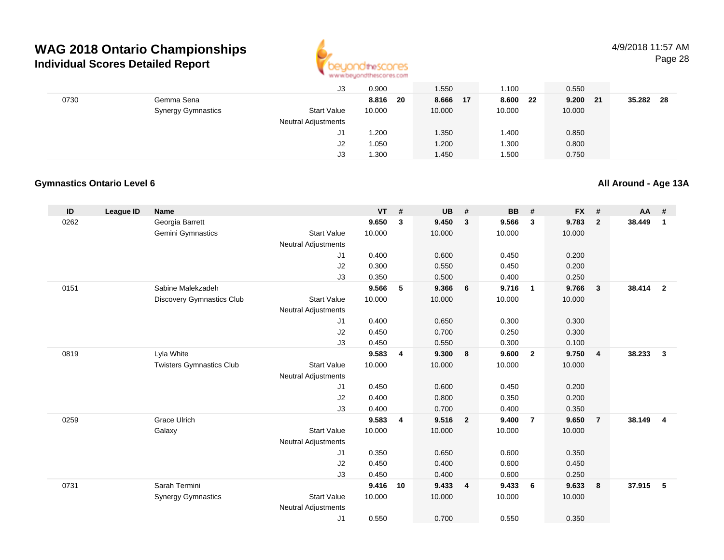

#### 4/9/2018 11:57 AMPage 28

|      |                           | J3                         | 0.900        | 1.550  | 1.100       | 0.550                 |               |
|------|---------------------------|----------------------------|--------------|--------|-------------|-----------------------|---------------|
| 0730 | Gemma Sena                |                            | 8.816<br>-20 | 8.666  | 8.600<br>17 | 9.200<br>- 22<br>- 21 | 35.282<br>-28 |
|      | <b>Synergy Gymnastics</b> | <b>Start Value</b>         | 10.000       | 10.000 | 10.000      | 10.000                |               |
|      |                           | <b>Neutral Adjustments</b> |              |        |             |                       |               |
|      |                           | J1                         | 1.200        | 1.350  | 1.400       | 0.850                 |               |
|      |                           | J2                         | 1.050        | 1.200  | 1.300       | 0.800                 |               |
|      |                           | J3                         | 1.300        | 1.450  | 1.500       | 0.750                 |               |

#### **Gymnastics Ontario Level 6**

**All Around - Age 13A**

| ID   | <b>League ID</b> | <b>Name</b>                     |                            | <b>VT</b> | $\pmb{\#}$     | <b>UB</b> | #                       | BB     | #                       | <b>FX</b> | #              | AA     | #                       |
|------|------------------|---------------------------------|----------------------------|-----------|----------------|-----------|-------------------------|--------|-------------------------|-----------|----------------|--------|-------------------------|
| 0262 |                  | Georgia Barrett                 |                            | 9.650     | 3              | 9.450     | $\mathbf{3}$            | 9.566  | $\overline{\mathbf{3}}$ | 9.783     | $\overline{2}$ | 38.449 | $\mathbf{1}$            |
|      |                  | Gemini Gymnastics               | <b>Start Value</b>         | 10.000    |                | 10.000    |                         | 10.000 |                         | 10.000    |                |        |                         |
|      |                  |                                 | <b>Neutral Adjustments</b> |           |                |           |                         |        |                         |           |                |        |                         |
|      |                  |                                 | J1                         | 0.400     |                | 0.600     |                         | 0.450  |                         | 0.200     |                |        |                         |
|      |                  |                                 | J <sub>2</sub>             | 0.300     |                | 0.550     |                         | 0.450  |                         | 0.200     |                |        |                         |
|      |                  |                                 | J3                         | 0.350     |                | 0.500     |                         | 0.400  |                         | 0.250     |                |        |                         |
| 0151 |                  | Sabine Malekzadeh               |                            | 9.566     | 5              | 9.366     | 6                       | 9.716  | $\overline{1}$          | 9.766     | 3              | 38.414 | $\overline{\mathbf{2}}$ |
|      |                  | Discovery Gymnastics Club       | <b>Start Value</b>         | 10.000    |                | 10.000    |                         | 10.000 |                         | 10.000    |                |        |                         |
|      |                  |                                 | <b>Neutral Adjustments</b> |           |                |           |                         |        |                         |           |                |        |                         |
|      |                  |                                 | J1                         | 0.400     |                | 0.650     |                         | 0.300  |                         | 0.300     |                |        |                         |
|      |                  |                                 | J2                         | 0.450     |                | 0.700     |                         | 0.250  |                         | 0.300     |                |        |                         |
|      |                  |                                 | J3                         | 0.450     |                | 0.550     |                         | 0.300  |                         | 0.100     |                |        |                         |
| 0819 |                  | Lyla White                      |                            | 9.583     | $\overline{4}$ | 9.300     | 8                       | 9.600  | $\overline{2}$          | 9.750     | $\overline{4}$ | 38.233 | $\mathbf{3}$            |
|      |                  | <b>Twisters Gymnastics Club</b> | <b>Start Value</b>         | 10.000    |                | 10.000    |                         | 10.000 |                         | 10.000    |                |        |                         |
|      |                  |                                 | <b>Neutral Adjustments</b> |           |                |           |                         |        |                         |           |                |        |                         |
|      |                  |                                 | J <sub>1</sub>             | 0.450     |                | 0.600     |                         | 0.450  |                         | 0.200     |                |        |                         |
|      |                  |                                 | J <sub>2</sub>             | 0.400     |                | 0.800     |                         | 0.350  |                         | 0.200     |                |        |                         |
|      |                  |                                 | J3                         | 0.400     |                | 0.700     |                         | 0.400  |                         | 0.350     |                |        |                         |
| 0259 |                  | <b>Grace Ulrich</b>             |                            | 9.583     | 4              | 9.516     | $\overline{\mathbf{2}}$ | 9.400  | $\overline{7}$          | 9.650     | $\overline{7}$ | 38.149 | $\overline{4}$          |
|      |                  | Galaxy                          | <b>Start Value</b>         | 10.000    |                | 10.000    |                         | 10.000 |                         | 10.000    |                |        |                         |
|      |                  |                                 | <b>Neutral Adjustments</b> |           |                |           |                         |        |                         |           |                |        |                         |
|      |                  |                                 | J1                         | 0.350     |                | 0.650     |                         | 0.600  |                         | 0.350     |                |        |                         |
|      |                  |                                 | J2                         | 0.450     |                | 0.400     |                         | 0.600  |                         | 0.450     |                |        |                         |
|      |                  |                                 | J3                         | 0.450     |                | 0.400     |                         | 0.600  |                         | 0.250     |                |        |                         |
| 0731 |                  | Sarah Termini                   |                            | 9.416     | 10             | 9.433     | $\overline{4}$          | 9.433  | - 6                     | 9.633     | 8              | 37.915 | 5                       |
|      |                  | <b>Synergy Gymnastics</b>       | <b>Start Value</b>         | 10.000    |                | 10.000    |                         | 10.000 |                         | 10.000    |                |        |                         |
|      |                  |                                 | <b>Neutral Adjustments</b> |           |                |           |                         |        |                         |           |                |        |                         |
|      |                  |                                 | J <sub>1</sub>             | 0.550     |                | 0.700     |                         | 0.550  |                         | 0.350     |                |        |                         |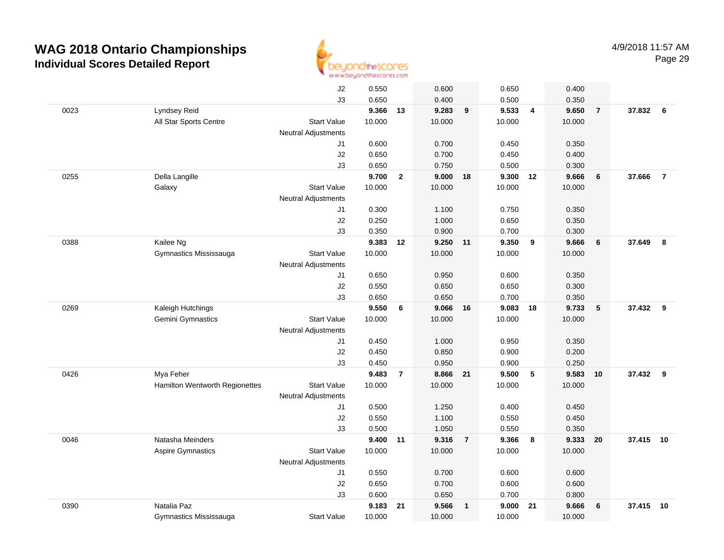

|      |                                | J2                         | 0.550  |                | 0.600    |                | 0.650  |                | 0.400  |                 |           |                |
|------|--------------------------------|----------------------------|--------|----------------|----------|----------------|--------|----------------|--------|-----------------|-----------|----------------|
|      |                                | J3                         | 0.650  |                | 0.400    |                | 0.500  |                | 0.350  |                 |           |                |
| 0023 | Lyndsey Reid                   |                            | 9.366  | 13             | 9.283    | 9              | 9.533  | $\overline{4}$ | 9.650  | $\overline{7}$  | 37.832    | 6              |
|      | All Star Sports Centre         | <b>Start Value</b>         | 10.000 |                | 10.000   |                | 10.000 |                | 10.000 |                 |           |                |
|      |                                | <b>Neutral Adjustments</b> |        |                |          |                |        |                |        |                 |           |                |
|      |                                | J1                         | 0.600  |                | 0.700    |                | 0.450  |                | 0.350  |                 |           |                |
|      |                                | J2                         | 0.650  |                | 0.700    |                | 0.450  |                | 0.400  |                 |           |                |
|      |                                | J3                         | 0.650  |                | 0.750    |                | 0.500  |                | 0.300  |                 |           |                |
| 0255 | Della Langille                 |                            | 9.700  | $\mathbf{2}$   | 9.000    | 18             | 9.300  | 12             | 9.666  | $6\phantom{1}6$ | 37.666    | $\overline{7}$ |
|      | Galaxy                         | <b>Start Value</b>         | 10.000 |                | 10.000   |                | 10.000 |                | 10.000 |                 |           |                |
|      |                                | <b>Neutral Adjustments</b> |        |                |          |                |        |                |        |                 |           |                |
|      |                                | J1                         | 0.300  |                | 1.100    |                | 0.750  |                | 0.350  |                 |           |                |
|      |                                | J2                         | 0.250  |                | 1.000    |                | 0.650  |                | 0.350  |                 |           |                |
|      |                                | J3                         | 0.350  |                | 0.900    |                | 0.700  |                | 0.300  |                 |           |                |
| 0388 | Kailee Ng                      |                            | 9.383  | 12             | 9.250 11 |                | 9.350  | 9              | 9.666  | $6\phantom{1}6$ | 37.649    | 8              |
|      | Gymnastics Mississauga         | <b>Start Value</b>         | 10.000 |                | 10.000   |                | 10.000 |                | 10.000 |                 |           |                |
|      |                                | <b>Neutral Adjustments</b> |        |                |          |                |        |                |        |                 |           |                |
|      |                                | J1                         | 0.650  |                | 0.950    |                | 0.600  |                | 0.350  |                 |           |                |
|      |                                | J2                         | 0.550  |                | 0.650    |                | 0.650  |                | 0.300  |                 |           |                |
|      |                                | J3                         | 0.650  |                | 0.650    |                | 0.700  |                | 0.350  |                 |           |                |
| 0269 | Kaleigh Hutchings              |                            | 9.550  | 6              | 9.066    | 16             | 9.083  | 18             | 9.733  | ${\bf 5}$       | 37.432    | 9              |
|      | Gemini Gymnastics              | <b>Start Value</b>         | 10.000 |                | 10.000   |                | 10.000 |                | 10.000 |                 |           |                |
|      |                                | <b>Neutral Adjustments</b> |        |                |          |                |        |                |        |                 |           |                |
|      |                                | J1                         | 0.450  |                | 1.000    |                | 0.950  |                | 0.350  |                 |           |                |
|      |                                | J2                         | 0.450  |                | 0.850    |                | 0.900  |                | 0.200  |                 |           |                |
|      |                                | J3                         | 0.450  |                | 0.950    |                | 0.900  |                | 0.250  |                 |           |                |
| 0426 | Mya Feher                      |                            | 9.483  | $\overline{7}$ | 8.866    | 21             | 9.500  | -5             | 9.583  | 10              | 37.432    | 9              |
|      | Hamilton Wentworth Regionettes | <b>Start Value</b>         | 10.000 |                | 10.000   |                | 10.000 |                | 10.000 |                 |           |                |
|      |                                | <b>Neutral Adjustments</b> |        |                |          |                |        |                |        |                 |           |                |
|      |                                | J1                         | 0.500  |                | 1.250    |                | 0.400  |                | 0.450  |                 |           |                |
|      |                                | J2                         | 0.550  |                | 1.100    |                | 0.550  |                | 0.450  |                 |           |                |
|      |                                | J3                         | 0.500  |                | 1.050    |                | 0.550  |                | 0.350  |                 |           |                |
| 0046 | Natasha Meinders               |                            | 9.400  | 11             | 9.316    | $\overline{7}$ | 9.366  | 8              | 9.333  | 20              | 37.415 10 |                |
|      | Aspire Gymnastics              | <b>Start Value</b>         | 10.000 |                | 10.000   |                | 10.000 |                | 10.000 |                 |           |                |
|      |                                | <b>Neutral Adjustments</b> |        |                |          |                |        |                |        |                 |           |                |
|      |                                | J1                         | 0.550  |                | 0.700    |                | 0.600  |                | 0.600  |                 |           |                |
|      |                                | J2                         | 0.650  |                | 0.700    |                | 0.600  |                | 0.600  |                 |           |                |
|      |                                | J3                         | 0.600  |                | 0.650    |                | 0.700  |                | 0.800  |                 |           |                |
| 0390 | Natalia Paz                    |                            | 9.183  | 21             | 9.566    | $\mathbf{1}$   | 9.000  | 21             | 9.666  | 6               | 37.415    | 10             |
|      | Gymnastics Mississauga         | <b>Start Value</b>         | 10.000 |                | 10.000   |                | 10.000 |                | 10.000 |                 |           |                |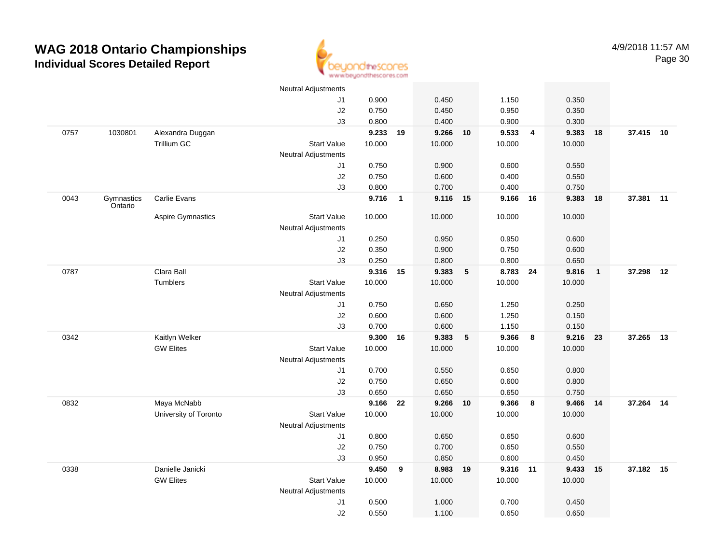

|      |                       |                       | <b>Neutral Adjustments</b> |          |                |          |                 |        |                         |        |                |           |    |
|------|-----------------------|-----------------------|----------------------------|----------|----------------|----------|-----------------|--------|-------------------------|--------|----------------|-----------|----|
|      |                       |                       | J1                         | 0.900    |                | 0.450    |                 | 1.150  |                         | 0.350  |                |           |    |
|      |                       |                       | J2                         | 0.750    |                | 0.450    |                 | 0.950  |                         | 0.350  |                |           |    |
|      |                       |                       | J3                         | 0.800    |                | 0.400    |                 | 0.900  |                         | 0.300  |                |           |    |
| 0757 | 1030801               | Alexandra Duggan      |                            | 9.233    | 19             | 9.266    | 10              | 9.533  | $\overline{4}$          | 9.383  | 18             | 37.415 10 |    |
|      |                       | Trillium GC           | <b>Start Value</b>         | 10.000   |                | 10.000   |                 | 10.000 |                         | 10.000 |                |           |    |
|      |                       |                       | <b>Neutral Adjustments</b> |          |                |          |                 |        |                         |        |                |           |    |
|      |                       |                       | J1                         | 0.750    |                | 0.900    |                 | 0.600  |                         | 0.550  |                |           |    |
|      |                       |                       | J2                         | 0.750    |                | 0.600    |                 | 0.400  |                         | 0.550  |                |           |    |
|      |                       |                       | J3                         | 0.800    |                | 0.700    |                 | 0.400  |                         | 0.750  |                |           |    |
| 0043 | Gymnastics<br>Ontario | Carlie Evans          |                            | 9.716    | $\overline{1}$ | 9.116 15 |                 | 9.166  | 16                      | 9.383  | 18             | 37.381    | 11 |
|      |                       | Aspire Gymnastics     | <b>Start Value</b>         | 10.000   |                | 10.000   |                 | 10.000 |                         | 10.000 |                |           |    |
|      |                       |                       | <b>Neutral Adjustments</b> |          |                |          |                 |        |                         |        |                |           |    |
|      |                       |                       | J1                         | 0.250    |                | 0.950    |                 | 0.950  |                         | 0.600  |                |           |    |
|      |                       |                       | J2                         | 0.350    |                | 0.900    |                 | 0.750  |                         | 0.600  |                |           |    |
|      |                       |                       | J3                         | 0.250    |                | 0.800    |                 | 0.800  |                         | 0.650  |                |           |    |
| 0787 |                       | Clara Ball            |                            | 9.316    | 15             | 9.383    | $\sqrt{5}$      | 8.783  | 24                      | 9.816  | $\overline{1}$ | 37.298    | 12 |
|      |                       | Tumblers              | <b>Start Value</b>         | 10.000   |                | 10.000   |                 | 10.000 |                         | 10.000 |                |           |    |
|      |                       |                       | <b>Neutral Adjustments</b> |          |                |          |                 |        |                         |        |                |           |    |
|      |                       |                       | J1                         | 0.750    |                | 0.650    |                 | 1.250  |                         | 0.250  |                |           |    |
|      |                       |                       | J2                         | 0.600    |                | 0.600    |                 | 1.250  |                         | 0.150  |                |           |    |
|      |                       |                       | J3                         | 0.700    |                | 0.600    |                 | 1.150  |                         | 0.150  |                |           |    |
| 0342 |                       | Kaitlyn Welker        |                            | 9.300    | 16             | 9.383    | $5\phantom{.0}$ | 9.366  | 8                       | 9.216  | 23             | 37.265    | 13 |
|      |                       | <b>GW Elites</b>      | <b>Start Value</b>         | 10.000   |                | 10.000   |                 | 10.000 |                         | 10.000 |                |           |    |
|      |                       |                       | <b>Neutral Adjustments</b> |          |                |          |                 |        |                         |        |                |           |    |
|      |                       |                       | J1                         | 0.700    |                | 0.550    |                 | 0.650  |                         | 0.800  |                |           |    |
|      |                       |                       | J2                         | 0.750    |                | 0.650    |                 | 0.600  |                         | 0.800  |                |           |    |
|      |                       |                       | J3                         | 0.650    |                | 0.650    |                 | 0.650  |                         | 0.750  |                |           |    |
| 0832 |                       | Maya McNabb           |                            | 9.166 22 |                | 9.266 10 |                 | 9.366  | $\overline{\mathbf{8}}$ | 9.466  | 14             | 37.264 14 |    |
|      |                       | University of Toronto | <b>Start Value</b>         | 10.000   |                | 10.000   |                 | 10.000 |                         | 10.000 |                |           |    |
|      |                       |                       | <b>Neutral Adjustments</b> |          |                |          |                 |        |                         |        |                |           |    |
|      |                       |                       | J1                         | 0.800    |                | 0.650    |                 | 0.650  |                         | 0.600  |                |           |    |
|      |                       |                       | J2                         | 0.750    |                | 0.700    |                 | 0.650  |                         | 0.550  |                |           |    |
|      |                       |                       | J3                         | 0.950    |                | 0.850    |                 | 0.600  |                         | 0.450  |                |           |    |
| 0338 |                       | Danielle Janicki      |                            | 9.450    | 9              | 8.983    | 19              | 9.316  | 11                      | 9.433  | 15             | 37.182 15 |    |
|      |                       | <b>GW Elites</b>      | <b>Start Value</b>         | 10.000   |                | 10.000   |                 | 10.000 |                         | 10.000 |                |           |    |
|      |                       |                       | <b>Neutral Adjustments</b> |          |                |          |                 |        |                         |        |                |           |    |
|      |                       |                       | J1                         | 0.500    |                | 1.000    |                 | 0.700  |                         | 0.450  |                |           |    |
|      |                       |                       | J2                         | 0.550    |                | 1.100    |                 | 0.650  |                         | 0.650  |                |           |    |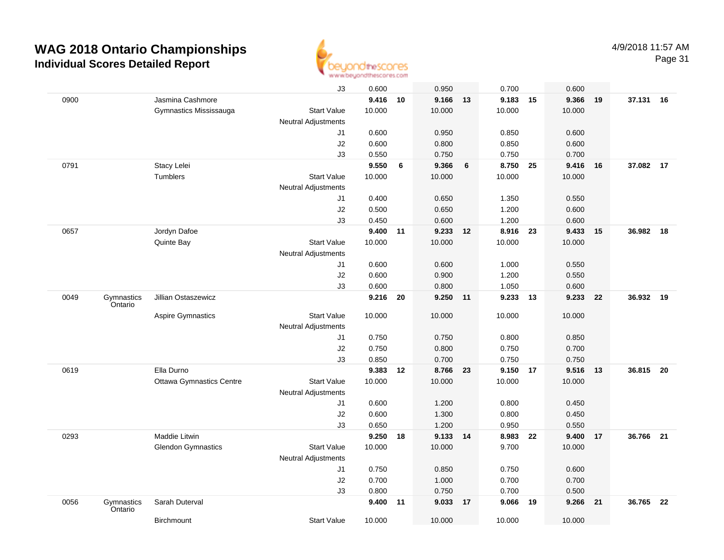

|      |                       |                                 | J3                         | 0.600    |    | 0.950    |    | 0.700    |    | 0.600  |    |           |      |
|------|-----------------------|---------------------------------|----------------------------|----------|----|----------|----|----------|----|--------|----|-----------|------|
| 0900 |                       | Jasmina Cashmore                |                            | 9.416 10 |    | 9.166 13 |    | 9.183 15 |    | 9.366  | 19 | 37.131 16 |      |
|      |                       | Gymnastics Mississauga          | <b>Start Value</b>         | 10.000   |    | 10.000   |    | 10.000   |    | 10.000 |    |           |      |
|      |                       |                                 | Neutral Adjustments        |          |    |          |    |          |    |        |    |           |      |
|      |                       |                                 | J1                         | 0.600    |    | 0.950    |    | 0.850    |    | 0.600  |    |           |      |
|      |                       |                                 | J2                         | 0.600    |    | 0.800    |    | 0.850    |    | 0.600  |    |           |      |
|      |                       |                                 | J3                         | 0.550    |    | 0.750    |    | 0.750    |    | 0.700  |    |           |      |
| 0791 |                       | Stacy Lelei                     |                            | 9.550    | 6  | 9.366    | 6  | 8.750 25 |    | 9.416  | 16 | 37.082 17 |      |
|      |                       | Tumblers                        | <b>Start Value</b>         | 10.000   |    | 10.000   |    | 10.000   |    | 10.000 |    |           |      |
|      |                       |                                 | Neutral Adjustments        |          |    |          |    |          |    |        |    |           |      |
|      |                       |                                 | J1                         | 0.400    |    | 0.650    |    | 1.350    |    | 0.550  |    |           |      |
|      |                       |                                 | J2                         | 0.500    |    | 0.650    |    | 1.200    |    | 0.600  |    |           |      |
|      |                       |                                 | J3                         | 0.450    |    | 0.600    |    | 1.200    |    | 0.600  |    |           |      |
| 0657 |                       | Jordyn Dafoe                    |                            | 9.400 11 |    | 9.233 12 |    | 8.916 23 |    | 9.433  | 15 | 36.982    | 18   |
|      |                       | Quinte Bay                      | <b>Start Value</b>         | 10.000   |    | 10.000   |    | 10.000   |    | 10.000 |    |           |      |
|      |                       |                                 | Neutral Adjustments        |          |    |          |    |          |    |        |    |           |      |
|      |                       |                                 | J1                         | 0.600    |    | 0.600    |    | 1.000    |    | 0.550  |    |           |      |
|      |                       |                                 | J2                         | 0.600    |    | 0.900    |    | 1.200    |    | 0.550  |    |           |      |
|      |                       |                                 | J3                         | 0.600    |    | 0.800    |    | 1.050    |    | 0.600  |    |           |      |
| 0049 | Gymnastics<br>Ontario | Jillian Ostaszewicz             |                            | 9.216    | 20 | 9.250    | 11 | 9.233 13 |    | 9.233  | 22 | 36.932    | 19   |
|      |                       | <b>Aspire Gymnastics</b>        | <b>Start Value</b>         | 10.000   |    | 10.000   |    | 10.000   |    | 10.000 |    |           |      |
|      |                       |                                 | <b>Neutral Adjustments</b> |          |    |          |    |          |    |        |    |           |      |
|      |                       |                                 | J1                         | 0.750    |    | 0.750    |    | 0.800    |    | 0.850  |    |           |      |
|      |                       |                                 | J2                         | 0.750    |    | 0.800    |    | 0.750    |    | 0.700  |    |           |      |
|      |                       |                                 | J3                         | 0.850    |    | 0.700    |    | 0.750    |    | 0.750  |    |           |      |
| 0619 |                       | Ella Durno                      |                            | 9.383    | 12 | 8.766    | 23 | 9.150 17 |    | 9.516  | 13 | 36.815    | 20   |
|      |                       | <b>Ottawa Gymnastics Centre</b> | <b>Start Value</b>         | 10.000   |    | 10.000   |    | 10.000   |    | 10.000 |    |           |      |
|      |                       |                                 | <b>Neutral Adjustments</b> |          |    |          |    |          |    |        |    |           |      |
|      |                       |                                 | J1                         | 0.600    |    | 1.200    |    | 0.800    |    | 0.450  |    |           |      |
|      |                       |                                 | J2                         | 0.600    |    | 1.300    |    | 0.800    |    | 0.450  |    |           |      |
|      |                       |                                 | J3                         | 0.650    |    | 1.200    |    | 0.950    |    | 0.550  |    |           |      |
| 0293 |                       | Maddie Litwin                   |                            | 9.250    | 18 | 9.133 14 |    | 8.983    | 22 | 9.400  | 17 | 36.766    | 21   |
|      |                       | <b>Glendon Gymnastics</b>       | <b>Start Value</b>         | 10.000   |    | 10.000   |    | 9.700    |    | 10.000 |    |           |      |
|      |                       |                                 | Neutral Adjustments        |          |    |          |    |          |    |        |    |           |      |
|      |                       |                                 | J1                         | 0.750    |    | 0.850    |    | 0.750    |    | 0.600  |    |           |      |
|      |                       |                                 | J2                         | 0.700    |    | 1.000    |    | 0.700    |    | 0.700  |    |           |      |
|      |                       |                                 | J3                         | 0.800    |    | 0.750    |    | 0.700    |    | 0.500  |    |           |      |
| 0056 | Gymnastics<br>Ontario | Sarah Duterval                  |                            | 9.400    | 11 | 9.033    | 17 | 9.066    | 19 | 9.266  | 21 | 36.765    | - 22 |
|      |                       | <b>Birchmount</b>               | <b>Start Value</b>         | 10.000   |    | 10.000   |    | 10.000   |    | 10.000 |    |           |      |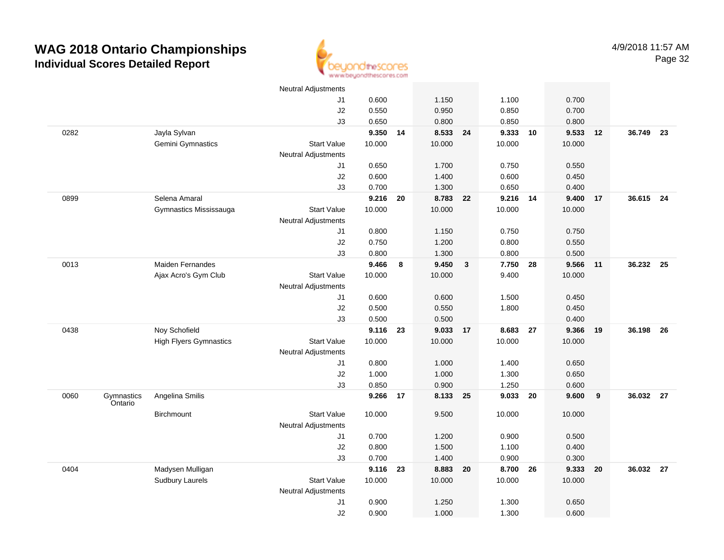

|      |                       |                               | <b>Neutral Adjustments</b> |        |    |          |                         |          |    |        |    |           |    |
|------|-----------------------|-------------------------------|----------------------------|--------|----|----------|-------------------------|----------|----|--------|----|-----------|----|
|      |                       |                               | J1                         | 0.600  |    | 1.150    |                         | 1.100    |    | 0.700  |    |           |    |
|      |                       |                               | J2                         | 0.550  |    | 0.950    |                         | 0.850    |    | 0.700  |    |           |    |
|      |                       |                               | J3                         | 0.650  |    | 0.800    |                         | 0.850    |    | 0.800  |    |           |    |
| 0282 |                       | Jayla Sylvan                  |                            | 9.350  | 14 | 8.533 24 |                         | 9.333    | 10 | 9.533  | 12 | 36.749    | 23 |
|      |                       | Gemini Gymnastics             | <b>Start Value</b>         | 10.000 |    | 10.000   |                         | 10.000   |    | 10.000 |    |           |    |
|      |                       |                               | <b>Neutral Adjustments</b> |        |    |          |                         |          |    |        |    |           |    |
|      |                       |                               | J1                         | 0.650  |    | 1.700    |                         | 0.750    |    | 0.550  |    |           |    |
|      |                       |                               | J2                         | 0.600  |    | 1.400    |                         | 0.600    |    | 0.450  |    |           |    |
|      |                       |                               | J3                         | 0.700  |    | 1.300    |                         | 0.650    |    | 0.400  |    |           |    |
| 0899 |                       | Selena Amaral                 |                            | 9.216  | 20 | 8.783 22 |                         | 9.216    | 14 | 9.400  | 17 | 36.615 24 |    |
|      |                       | Gymnastics Mississauga        | <b>Start Value</b>         | 10.000 |    | 10.000   |                         | 10.000   |    | 10.000 |    |           |    |
|      |                       |                               | <b>Neutral Adjustments</b> |        |    |          |                         |          |    |        |    |           |    |
|      |                       |                               | J1                         | 0.800  |    | 1.150    |                         | 0.750    |    | 0.750  |    |           |    |
|      |                       |                               | J2                         | 0.750  |    | 1.200    |                         | 0.800    |    | 0.550  |    |           |    |
|      |                       |                               | J3                         | 0.800  |    | 1.300    |                         | 0.800    |    | 0.500  |    |           |    |
| 0013 |                       | Maiden Fernandes              |                            | 9.466  | 8  | 9.450    | $\overline{\mathbf{3}}$ | 7.750 28 |    | 9.566  | 11 | 36.232 25 |    |
|      |                       | Ajax Acro's Gym Club          | <b>Start Value</b>         | 10.000 |    | 10.000   |                         | 9.400    |    | 10.000 |    |           |    |
|      |                       |                               | <b>Neutral Adjustments</b> |        |    |          |                         |          |    |        |    |           |    |
|      |                       |                               | J1                         | 0.600  |    | 0.600    |                         | 1.500    |    | 0.450  |    |           |    |
|      |                       |                               | J2                         | 0.500  |    | 0.550    |                         | 1.800    |    | 0.450  |    |           |    |
|      |                       |                               | J3                         | 0.500  |    | 0.500    |                         |          |    | 0.400  |    |           |    |
| 0438 |                       | Noy Schofield                 |                            | 9.116  | 23 | 9.033    | 17                      | 8.683    | 27 | 9.366  | 19 | 36.198    | 26 |
|      |                       | <b>High Flyers Gymnastics</b> | <b>Start Value</b>         | 10.000 |    | 10.000   |                         | 10.000   |    | 10.000 |    |           |    |
|      |                       |                               | <b>Neutral Adjustments</b> |        |    |          |                         |          |    |        |    |           |    |
|      |                       |                               | J1                         | 0.800  |    | 1.000    |                         | 1.400    |    | 0.650  |    |           |    |
|      |                       |                               | J2                         | 1.000  |    | 1.000    |                         | 1.300    |    | 0.650  |    |           |    |
|      |                       |                               | J3                         | 0.850  |    | 0.900    |                         | 1.250    |    | 0.600  |    |           |    |
| 0060 | Gymnastics<br>Ontario | Angelina Smilis               |                            | 9.266  | 17 | 8.133 25 |                         | 9.033    | 20 | 9.600  | 9  | 36.032 27 |    |
|      |                       | <b>Birchmount</b>             | <b>Start Value</b>         | 10.000 |    | 9.500    |                         | 10.000   |    | 10.000 |    |           |    |
|      |                       |                               | <b>Neutral Adjustments</b> |        |    |          |                         |          |    |        |    |           |    |
|      |                       |                               | J1                         | 0.700  |    | 1.200    |                         | 0.900    |    | 0.500  |    |           |    |
|      |                       |                               | J2                         | 0.800  |    | 1.500    |                         | 1.100    |    | 0.400  |    |           |    |
|      |                       |                               | J3                         | 0.700  |    | 1.400    |                         | 0.900    |    | 0.300  |    |           |    |
| 0404 |                       | Madysen Mulligan              |                            | 9.116  | 23 | 8.883    | 20                      | 8.700    | 26 | 9.333  | 20 | 36.032 27 |    |
|      |                       | Sudbury Laurels               | <b>Start Value</b>         | 10.000 |    | 10.000   |                         | 10.000   |    | 10.000 |    |           |    |
|      |                       |                               | <b>Neutral Adjustments</b> |        |    |          |                         |          |    |        |    |           |    |
|      |                       |                               | J1                         | 0.900  |    | 1.250    |                         | 1.300    |    | 0.650  |    |           |    |
|      |                       |                               | J2                         | 0.900  |    | 1.000    |                         | 1.300    |    | 0.600  |    |           |    |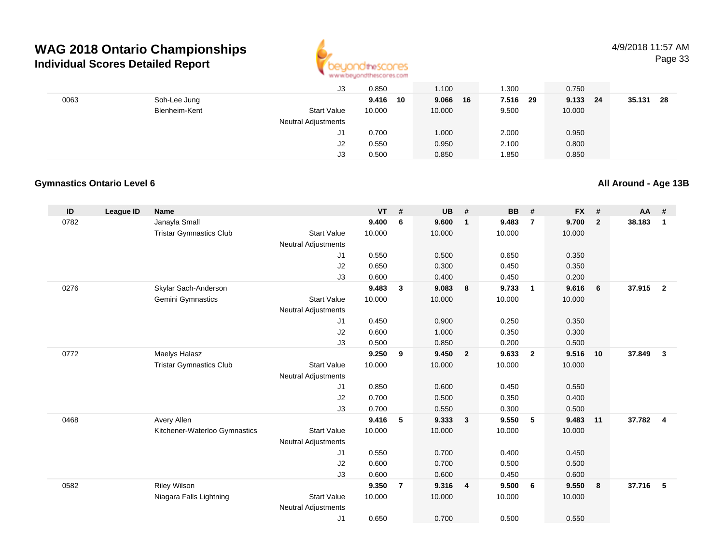

|      |               | J3                         | 0.850  |    | 1.100       | 1.300         | 0.750    |               |
|------|---------------|----------------------------|--------|----|-------------|---------------|----------|---------------|
| 0063 | Soh-Lee Jung  |                            | 9.416  | 10 | 9.066<br>16 | 7.516<br>- 29 | 9.133 24 | 35.131<br>-28 |
|      | Blenheim-Kent | <b>Start Value</b>         | 10.000 |    | 10.000      | 9.500         | 10.000   |               |
|      |               | <b>Neutral Adjustments</b> |        |    |             |               |          |               |
|      |               | J1                         | 0.700  |    | 1.000       | 2.000         | 0.950    |               |
|      |               | J2                         | 0.550  |    | 0.950       | 2.100         | 0.800    |               |
|      |               | J3                         | 0.500  |    | 0.850       | 1.850         | 0.850    |               |

#### **Gymnastics Ontario Level 6**

**All Around - Age 13B**

| ID   | League ID | Name                           |                            | <b>VT</b> | $\pmb{\#}$     | <b>UB</b> | #                       | <b>BB</b> | #              | <b>FX</b> | #              | AA     | #              |
|------|-----------|--------------------------------|----------------------------|-----------|----------------|-----------|-------------------------|-----------|----------------|-----------|----------------|--------|----------------|
| 0782 |           | Janayla Small                  |                            | 9.400     | 6              | 9.600     | $\mathbf{1}$            | 9.483     | $\overline{7}$ | 9.700     | $\overline{2}$ | 38.183 | $\mathbf{1}$   |
|      |           | <b>Tristar Gymnastics Club</b> | <b>Start Value</b>         | 10.000    |                | 10.000    |                         | 10.000    |                | 10.000    |                |        |                |
|      |           |                                | <b>Neutral Adjustments</b> |           |                |           |                         |           |                |           |                |        |                |
|      |           |                                | J1                         | 0.550     |                | 0.500     |                         | 0.650     |                | 0.350     |                |        |                |
|      |           |                                | J2                         | 0.650     |                | 0.300     |                         | 0.450     |                | 0.350     |                |        |                |
|      |           |                                | J3                         | 0.600     |                | 0.400     |                         | 0.450     |                | 0.200     |                |        |                |
| 0276 |           | Skylar Sach-Anderson           |                            | 9.483     | 3              | 9.083     | 8                       | 9.733     | $\overline{1}$ | 9.616     | 6              | 37.915 | $\overline{2}$ |
|      |           | Gemini Gymnastics              | <b>Start Value</b>         | 10.000    |                | 10.000    |                         | 10.000    |                | 10.000    |                |        |                |
|      |           |                                | <b>Neutral Adjustments</b> |           |                |           |                         |           |                |           |                |        |                |
|      |           |                                | J1                         | 0.450     |                | 0.900     |                         | 0.250     |                | 0.350     |                |        |                |
|      |           |                                | J2                         | 0.600     |                | 1.000     |                         | 0.350     |                | 0.300     |                |        |                |
|      |           |                                | J3                         | 0.500     |                | 0.850     |                         | 0.200     |                | 0.500     |                |        |                |
| 0772 |           | Maelys Halasz                  |                            | 9.250     | 9              | 9.450     | $\overline{\mathbf{2}}$ | 9.633     | $\overline{2}$ | 9.516     | 10             | 37.849 | $\mathbf{3}$   |
|      |           | <b>Tristar Gymnastics Club</b> | <b>Start Value</b>         | 10.000    |                | 10.000    |                         | 10.000    |                | 10.000    |                |        |                |
|      |           |                                | <b>Neutral Adjustments</b> |           |                |           |                         |           |                |           |                |        |                |
|      |           |                                | J1                         | 0.850     |                | 0.600     |                         | 0.450     |                | 0.550     |                |        |                |
|      |           |                                | J2                         | 0.700     |                | 0.500     |                         | 0.350     |                | 0.400     |                |        |                |
|      |           |                                | J3                         | 0.700     |                | 0.550     |                         | 0.300     |                | 0.500     |                |        |                |
| 0468 |           | Avery Allen                    |                            | 9.416     | 5              | 9.333     | $\overline{\mathbf{3}}$ | 9.550     | 5              | 9.483     | 11             | 37.782 | $\overline{4}$ |
|      |           | Kitchener-Waterloo Gymnastics  | <b>Start Value</b>         | 10.000    |                | 10.000    |                         | 10.000    |                | 10.000    |                |        |                |
|      |           |                                | <b>Neutral Adjustments</b> |           |                |           |                         |           |                |           |                |        |                |
|      |           |                                | J1                         | 0.550     |                | 0.700     |                         | 0.400     |                | 0.450     |                |        |                |
|      |           |                                | J2                         | 0.600     |                | 0.700     |                         | 0.500     |                | 0.500     |                |        |                |
|      |           |                                | J3                         | 0.600     |                | 0.600     |                         | 0.450     |                | 0.600     |                |        |                |
| 0582 |           | <b>Riley Wilson</b>            |                            | 9.350     | $\overline{7}$ | 9.316     | $\overline{\mathbf{4}}$ | 9.500     | - 6            | 9.550     | 8              | 37.716 | 5              |
|      |           | Niagara Falls Lightning        | <b>Start Value</b>         | 10.000    |                | 10.000    |                         | 10.000    |                | 10.000    |                |        |                |
|      |           |                                | <b>Neutral Adjustments</b> |           |                |           |                         |           |                |           |                |        |                |
|      |           |                                | J1                         | 0.650     |                | 0.700     |                         | 0.500     |                | 0.550     |                |        |                |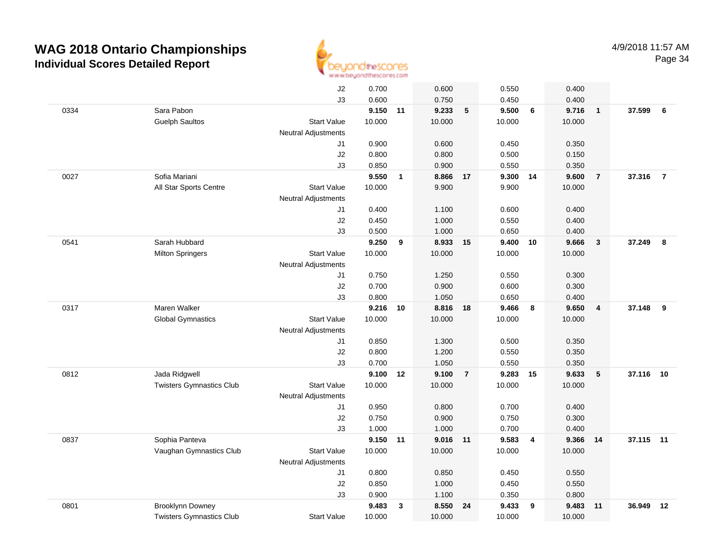

|      |                                 | J2                         | 0.700    |              | 0.600    |                 | 0.550  |                | 0.400  |                |           |                |
|------|---------------------------------|----------------------------|----------|--------------|----------|-----------------|--------|----------------|--------|----------------|-----------|----------------|
|      |                                 | J3                         | 0.600    |              | 0.750    |                 | 0.450  |                | 0.400  |                |           |                |
| 0334 | Sara Pabon                      |                            | 9.150 11 |              | 9.233    | $5\phantom{.0}$ | 9.500  | 6              | 9.716  | $\overline{1}$ | 37.599 6  |                |
|      | <b>Guelph Saultos</b>           | <b>Start Value</b>         | 10.000   |              | 10.000   |                 | 10.000 |                | 10.000 |                |           |                |
|      |                                 | <b>Neutral Adjustments</b> |          |              |          |                 |        |                |        |                |           |                |
|      |                                 | J1                         | 0.900    |              | 0.600    |                 | 0.450  |                | 0.350  |                |           |                |
|      |                                 | J2                         | 0.800    |              | 0.800    |                 | 0.500  |                | 0.150  |                |           |                |
|      |                                 | J3                         | 0.850    |              | 0.900    |                 | 0.550  |                | 0.350  |                |           |                |
| 0027 | Sofia Mariani                   |                            | 9.550    | $\mathbf{1}$ | 8.866    | 17              | 9.300  | 14             | 9.600  | $\overline{7}$ | 37.316    | $\overline{7}$ |
|      | All Star Sports Centre          | <b>Start Value</b>         | 10.000   |              | 9.900    |                 | 9.900  |                | 10.000 |                |           |                |
|      |                                 | <b>Neutral Adjustments</b> |          |              |          |                 |        |                |        |                |           |                |
|      |                                 | J1                         | 0.400    |              | 1.100    |                 | 0.600  |                | 0.400  |                |           |                |
|      |                                 | J2                         | 0.450    |              | 1.000    |                 | 0.550  |                | 0.400  |                |           |                |
|      |                                 | J3                         | 0.500    |              | 1.000    |                 | 0.650  |                | 0.400  |                |           |                |
| 0541 | Sarah Hubbard                   |                            | 9.250    | 9            | 8.933 15 |                 | 9.400  | 10             | 9.666  | $\mathbf{3}$   | 37.249    | 8              |
|      | <b>Milton Springers</b>         | <b>Start Value</b>         | 10.000   |              | 10.000   |                 | 10.000 |                | 10.000 |                |           |                |
|      |                                 | <b>Neutral Adjustments</b> |          |              |          |                 |        |                |        |                |           |                |
|      |                                 | J1                         | 0.750    |              | 1.250    |                 | 0.550  |                | 0.300  |                |           |                |
|      |                                 | J2                         | 0.700    |              | 0.900    |                 | 0.600  |                | 0.300  |                |           |                |
|      |                                 | J3                         | 0.800    |              | 1.050    |                 | 0.650  |                | 0.400  |                |           |                |
| 0317 | Maren Walker                    |                            | 9.216    | 10           | 8.816    | 18              | 9.466  | 8              | 9.650  | $\overline{4}$ | 37.148    | 9              |
|      | <b>Global Gymnastics</b>        | <b>Start Value</b>         | 10.000   |              | 10.000   |                 | 10.000 |                | 10.000 |                |           |                |
|      |                                 | <b>Neutral Adjustments</b> |          |              |          |                 |        |                |        |                |           |                |
|      |                                 | J1                         | 0.850    |              | 1.300    |                 | 0.500  |                | 0.350  |                |           |                |
|      |                                 | J2                         | 0.800    |              | 1.200    |                 | 0.550  |                | 0.350  |                |           |                |
|      |                                 | J3                         | 0.700    |              | 1.050    |                 | 0.550  |                | 0.350  |                |           |                |
| 0812 | Jada Ridgwell                   |                            | 9.100    | 12           | 9.100    | $\overline{7}$  | 9.283  | 15             | 9.633  | 5              | 37.116    | 10             |
|      | <b>Twisters Gymnastics Club</b> | <b>Start Value</b>         | 10.000   |              | 10.000   |                 | 10.000 |                | 10.000 |                |           |                |
|      |                                 | <b>Neutral Adjustments</b> |          |              |          |                 |        |                |        |                |           |                |
|      |                                 | J1                         | 0.950    |              | 0.800    |                 | 0.700  |                | 0.400  |                |           |                |
|      |                                 | J2                         | 0.750    |              | 0.900    |                 | 0.750  |                | 0.300  |                |           |                |
|      |                                 | J3                         | 1.000    |              | 1.000    |                 | 0.700  |                | 0.400  |                |           |                |
| 0837 | Sophia Panteva                  |                            | 9.150    | 11           | 9.016 11 |                 | 9.583  | $\overline{4}$ | 9.366  | 14             | 37.115 11 |                |
|      | Vaughan Gymnastics Club         | <b>Start Value</b>         | 10.000   |              | 10.000   |                 | 10.000 |                | 10.000 |                |           |                |
|      |                                 | <b>Neutral Adjustments</b> |          |              |          |                 |        |                |        |                |           |                |
|      |                                 | J1                         | 0.800    |              | 0.850    |                 | 0.450  |                | 0.550  |                |           |                |
|      |                                 | $\sf J2$                   | 0.850    |              | 1.000    |                 | 0.450  |                | 0.550  |                |           |                |
|      |                                 | J3                         | 0.900    |              | 1.100    |                 | 0.350  |                | 0.800  |                |           |                |
| 0801 | <b>Brooklynn Downey</b>         |                            | 9.483    | 3            | 8.550    | 24              | 9.433  | - 9            | 9.483  | 11             | 36.949    | 12             |
|      | <b>Twisters Gymnastics Club</b> | <b>Start Value</b>         | 10.000   |              | 10.000   |                 | 10.000 |                | 10.000 |                |           |                |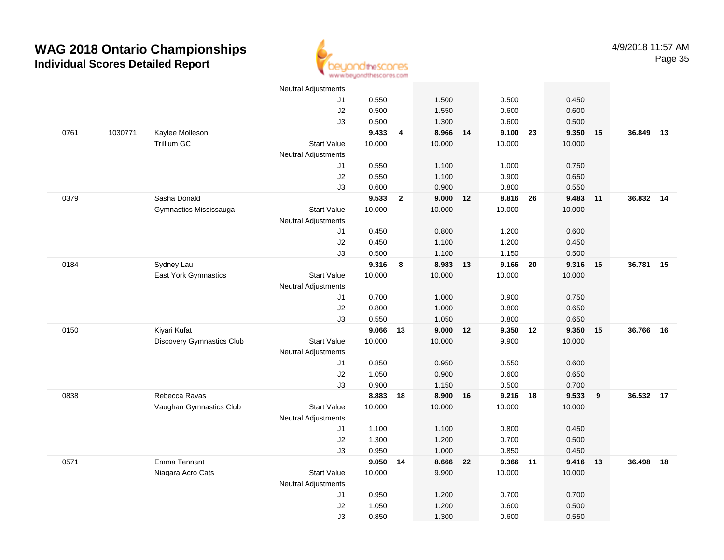

|      |         |                                  | <b>Neutral Adjustments</b> |        |                |          |    |          |        |    |           |    |
|------|---------|----------------------------------|----------------------------|--------|----------------|----------|----|----------|--------|----|-----------|----|
|      |         |                                  | J1                         | 0.550  |                | 1.500    |    | 0.500    | 0.450  |    |           |    |
|      |         |                                  | J2                         | 0.500  |                | 1.550    |    | 0.600    | 0.600  |    |           |    |
|      |         |                                  | J3                         | 0.500  |                | 1.300    |    | 0.600    | 0.500  |    |           |    |
| 0761 | 1030771 | Kaylee Molleson                  |                            | 9.433  | 4              | 8.966    | 14 | 9.100 23 | 9.350  | 15 | 36.849    | 13 |
|      |         | Trillium GC                      | <b>Start Value</b>         | 10.000 |                | 10.000   |    | 10.000   | 10.000 |    |           |    |
|      |         |                                  | Neutral Adjustments        |        |                |          |    |          |        |    |           |    |
|      |         |                                  | J1                         | 0.550  |                | 1.100    |    | 1.000    | 0.750  |    |           |    |
|      |         |                                  | J2                         | 0.550  |                | 1.100    |    | 0.900    | 0.650  |    |           |    |
|      |         |                                  | J3                         | 0.600  |                | 0.900    |    | 0.800    | 0.550  |    |           |    |
| 0379 |         | Sasha Donald                     |                            | 9.533  | $\overline{2}$ | 9.000 12 |    | 8.816 26 | 9.483  | 11 | 36.832 14 |    |
|      |         | Gymnastics Mississauga           | <b>Start Value</b>         | 10.000 |                | 10.000   |    | 10.000   | 10.000 |    |           |    |
|      |         |                                  | <b>Neutral Adjustments</b> |        |                |          |    |          |        |    |           |    |
|      |         |                                  | J1                         | 0.450  |                | 0.800    |    | 1.200    | 0.600  |    |           |    |
|      |         |                                  | J2                         | 0.450  |                | 1.100    |    | 1.200    | 0.450  |    |           |    |
|      |         |                                  | J3                         | 0.500  |                | 1.100    |    | 1.150    | 0.500  |    |           |    |
| 0184 |         | Sydney Lau                       |                            | 9.316  | 8              | 8.983 13 |    | 9.166 20 | 9.316  | 16 | 36.781 15 |    |
|      |         | <b>East York Gymnastics</b>      | <b>Start Value</b>         | 10.000 |                | 10.000   |    | 10.000   | 10.000 |    |           |    |
|      |         |                                  | <b>Neutral Adjustments</b> |        |                |          |    |          |        |    |           |    |
|      |         |                                  | J1                         | 0.700  |                | 1.000    |    | 0.900    | 0.750  |    |           |    |
|      |         |                                  | J2                         | 0.800  |                | 1.000    |    | 0.800    | 0.650  |    |           |    |
|      |         |                                  | J3                         | 0.550  |                | 1.050    |    | 0.800    | 0.650  |    |           |    |
| 0150 |         | Kiyari Kufat                     |                            | 9.066  | 13             | 9.000 12 |    | 9.350 12 | 9.350  | 15 | 36.766    | 16 |
|      |         | <b>Discovery Gymnastics Club</b> | <b>Start Value</b>         | 10.000 |                | 10.000   |    | 9.900    | 10.000 |    |           |    |
|      |         |                                  | Neutral Adjustments        |        |                |          |    |          |        |    |           |    |
|      |         |                                  | J1                         | 0.850  |                | 0.950    |    | 0.550    | 0.600  |    |           |    |
|      |         |                                  | J2                         | 1.050  |                | 0.900    |    | 0.600    | 0.650  |    |           |    |
|      |         |                                  | J3                         | 0.900  |                | 1.150    |    | 0.500    | 0.700  |    |           |    |
| 0838 |         | Rebecca Ravas                    |                            | 8.883  | 18             | 8.900    | 16 | 9.216 18 | 9.533  | 9  | 36.532 17 |    |
|      |         | Vaughan Gymnastics Club          | <b>Start Value</b>         | 10.000 |                | 10.000   |    | 10.000   | 10.000 |    |           |    |
|      |         |                                  | Neutral Adjustments        |        |                |          |    |          |        |    |           |    |
|      |         |                                  | J1                         | 1.100  |                | 1.100    |    | 0.800    | 0.450  |    |           |    |
|      |         |                                  | J2                         | 1.300  |                | 1.200    |    | 0.700    | 0.500  |    |           |    |
|      |         |                                  | J3                         | 0.950  |                | 1.000    |    | 0.850    | 0.450  |    |           |    |
| 0571 |         | Emma Tennant                     |                            | 9.050  | 14             | 8.666    | 22 | 9.366 11 | 9.416  | 13 | 36.498    | 18 |
|      |         | Niagara Acro Cats                | <b>Start Value</b>         | 10.000 |                | 9.900    |    | 10.000   | 10.000 |    |           |    |
|      |         |                                  | Neutral Adjustments        |        |                |          |    |          |        |    |           |    |
|      |         |                                  | J1                         | 0.950  |                | 1.200    |    | 0.700    | 0.700  |    |           |    |
|      |         |                                  | $\sf J2$                   | 1.050  |                | 1.200    |    | 0.600    | 0.500  |    |           |    |
|      |         |                                  | J3                         | 0.850  |                | 1.300    |    | 0.600    | 0.550  |    |           |    |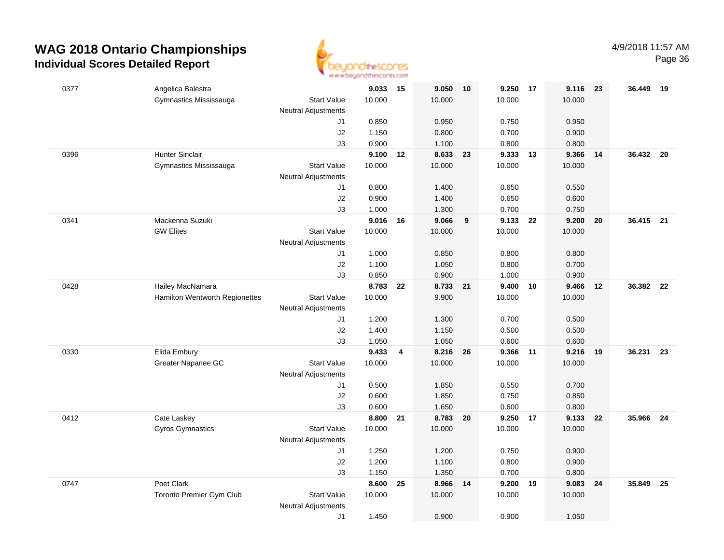

| 0377 | Angelica Balestra                                  |                            | 9.033 15        |    | 9.050             | 10 | 9.250 17        |      | 9.116           | 23 | 36.449    | 19 |
|------|----------------------------------------------------|----------------------------|-----------------|----|-------------------|----|-----------------|------|-----------------|----|-----------|----|
|      | Gymnastics Mississauga                             | <b>Start Value</b>         | 10.000          |    | 10.000            |    | 10.000          |      | 10.000          |    |           |    |
|      |                                                    | <b>Neutral Adjustments</b> |                 |    |                   |    |                 |      |                 |    |           |    |
|      |                                                    | J1                         | 0.850           |    | 0.950             |    | 0.750           |      | 0.950           |    |           |    |
|      |                                                    | J2                         | 1.150           |    | 0.800             |    | 0.700           |      | 0.900           |    |           |    |
|      |                                                    | J3                         | 0.900           |    | 1.100             |    | 0.800           |      | 0.800           |    |           |    |
| 0396 | <b>Hunter Sinclair</b>                             |                            | 9.100 12        |    | 8.633 23          |    | 9.333           | 13   | 9.366           | 14 | 36.432 20 |    |
|      | Gymnastics Mississauga                             | <b>Start Value</b>         | 10.000          |    | 10.000            |    | 10.000          |      | 10.000          |    |           |    |
|      |                                                    | <b>Neutral Adjustments</b> |                 |    |                   |    |                 |      |                 |    |           |    |
|      |                                                    | J1                         | 0.800           |    | 1.400             |    | 0.650           |      | 0.550           |    |           |    |
|      |                                                    | J2                         | 0.900           |    | 1.400             |    | 0.650           |      | 0.600           |    |           |    |
|      |                                                    | J3                         | 1.000           |    | 1.300             |    | 0.700           |      | 0.750           |    |           |    |
| 0341 | Mackenna Suzuki                                    |                            | 9.016           | 16 | 9.066             | 9  | 9.133           | - 22 | 9.200           | 20 | 36.415 21 |    |
|      | <b>GW Elites</b>                                   | <b>Start Value</b>         | 10.000          |    | 10.000            |    | 10.000          |      | 10.000          |    |           |    |
|      |                                                    | <b>Neutral Adjustments</b> |                 |    |                   |    |                 |      |                 |    |           |    |
|      |                                                    | J1                         | 1.000           |    | 0.850             |    | 0.800           |      | 0.800           |    |           |    |
|      |                                                    | J2                         | 1.100           |    | 1.050             |    | 0.800           |      | 0.700           |    |           |    |
|      |                                                    | J3                         | 0.850           |    | 0.900             |    | 1.000           | 10   | 0.900           |    | 36.382 22 |    |
| 0428 | Hailey MacNamara<br>Hamilton Wentworth Regionettes | <b>Start Value</b>         | 8.783<br>10.000 | 22 | 8.733 21<br>9.900 |    | 9.400<br>10.000 |      | 9.466<br>10.000 | 12 |           |    |
|      |                                                    | <b>Neutral Adjustments</b> |                 |    |                   |    |                 |      |                 |    |           |    |
|      |                                                    | J1                         | 1.200           |    | 1.300             |    | 0.700           |      | 0.500           |    |           |    |
|      |                                                    | J2                         | 1.400           |    | 1.150             |    | 0.500           |      | 0.500           |    |           |    |
|      |                                                    | J3                         | 1.050           |    | 1.050             |    | 0.600           |      | 0.600           |    |           |    |
| 0330 | Elida Embury                                       |                            | 9.433           | 4  | 8.216             | 26 | 9.366           | 11   | 9.216           | 19 | 36.231    | 23 |
|      | Greater Napanee GC                                 | <b>Start Value</b>         | 10.000          |    | 10.000            |    | 10.000          |      | 10.000          |    |           |    |
|      |                                                    | <b>Neutral Adjustments</b> |                 |    |                   |    |                 |      |                 |    |           |    |
|      |                                                    | J1                         | 0.500           |    | 1.850             |    | 0.550           |      | 0.700           |    |           |    |
|      |                                                    | J2                         | 0.600           |    | 1.850             |    | 0.750           |      | 0.850           |    |           |    |
|      |                                                    | J3                         | 0.600           |    | 1.650             |    | 0.600           |      | 0.800           |    |           |    |
| 0412 | Cate Laskey                                        |                            | 8.800           | 21 | 8.783 20          |    | 9.250 17        |      | 9.133           | 22 | 35.966 24 |    |
|      | Gyros Gymnastics                                   | <b>Start Value</b>         | 10.000          |    | 10.000            |    | 10.000          |      | 10.000          |    |           |    |
|      |                                                    | <b>Neutral Adjustments</b> |                 |    |                   |    |                 |      |                 |    |           |    |
|      |                                                    | J1                         | 1.250           |    | 1.200             |    | 0.750           |      | 0.900           |    |           |    |
|      |                                                    | J2                         | 1.200           |    | 1.100             |    | 0.800           |      | 0.900           |    |           |    |
|      |                                                    | J3                         | 1.150           |    | 1.350             |    | 0.700           |      | 0.800           |    |           |    |
| 0747 | Poet Clark                                         |                            | 8.600           | 25 | 8.966             | 14 | 9.200           | 19   | 9.083           | 24 | 35.849    | 25 |
|      | <b>Toronto Premier Gym Club</b>                    | <b>Start Value</b>         | 10.000          |    | 10.000            |    | 10.000          |      | 10.000          |    |           |    |
|      |                                                    | <b>Neutral Adjustments</b> |                 |    |                   |    |                 |      |                 |    |           |    |
|      |                                                    | J1                         | 1.450           |    | 0.900             |    | 0.900           |      | 1.050           |    |           |    |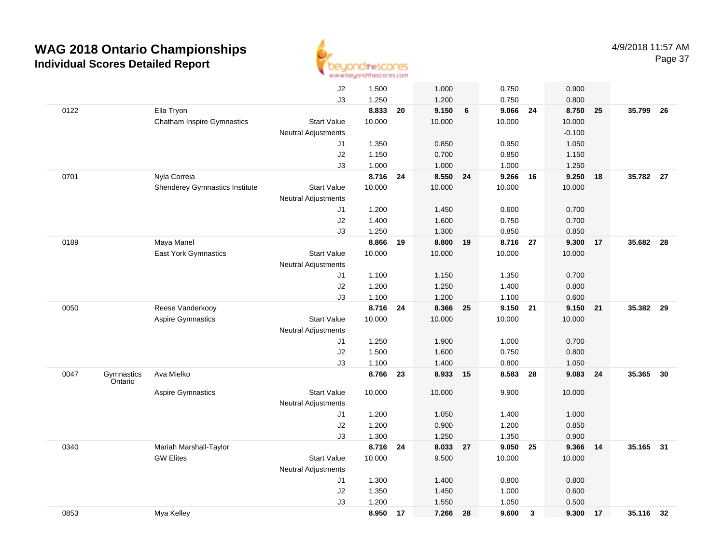

|      |                       |                                   | J2                         | 1.500  |    | 1.000    |    | 0.750    |              | 0.900    |     |           |      |
|------|-----------------------|-----------------------------------|----------------------------|--------|----|----------|----|----------|--------------|----------|-----|-----------|------|
|      |                       |                                   | J3                         | 1.250  |    | 1.200    |    | 0.750    |              | 0.800    |     |           |      |
| 0122 |                       | Ella Tryon                        |                            | 8.833  | 20 | 9.150    | 6  | 9.066    | 24           | 8.750    | 25  | 35.799    | - 26 |
|      |                       | <b>Chatham Inspire Gymnastics</b> | <b>Start Value</b>         | 10.000 |    | 10.000   |    | 10.000   |              | 10.000   |     |           |      |
|      |                       |                                   | <b>Neutral Adjustments</b> |        |    |          |    |          |              | $-0.100$ |     |           |      |
|      |                       |                                   | J1                         | 1.350  |    | 0.850    |    | 0.950    |              | 1.050    |     |           |      |
|      |                       |                                   | J2                         | 1.150  |    | 0.700    |    | 0.850    |              | 1.150    |     |           |      |
|      |                       |                                   | J3                         | 1.000  |    | 1.000    |    | 1.000    |              | 1.250    |     |           |      |
| 0701 |                       | Nyla Correia                      |                            | 8.716  | 24 | 8.550    | 24 | 9.266    | 16           | 9.250    | 18  | 35.782 27 |      |
|      |                       | Shenderey Gymnastics Institute    | <b>Start Value</b>         | 10.000 |    | 10.000   |    | 10.000   |              | 10.000   |     |           |      |
|      |                       |                                   | <b>Neutral Adjustments</b> |        |    |          |    |          |              |          |     |           |      |
|      |                       |                                   | J1                         | 1.200  |    | 1.450    |    | 0.600    |              | 0.700    |     |           |      |
|      |                       |                                   | J2                         | 1.400  |    | 1.600    |    | 0.750    |              | 0.700    |     |           |      |
|      |                       |                                   | J3                         | 1.250  |    | 1.300    |    | 0.850    |              | 0.850    |     |           |      |
| 0189 |                       | Maya Manel                        |                            | 8.866  | 19 | 8.800    | 19 | 8.716 27 |              | 9.300    | 17  | 35.682    | - 28 |
|      |                       | East York Gymnastics              | <b>Start Value</b>         | 10.000 |    | 10.000   |    | 10.000   |              | 10.000   |     |           |      |
|      |                       |                                   | <b>Neutral Adjustments</b> |        |    |          |    |          |              |          |     |           |      |
|      |                       |                                   | J1                         | 1.100  |    | 1.150    |    | 1.350    |              | 0.700    |     |           |      |
|      |                       |                                   | J2                         | 1.200  |    | 1.250    |    | 1.400    |              | 0.800    |     |           |      |
|      |                       |                                   | J3                         | 1.100  |    | 1.200    |    | 1.100    |              | 0.600    |     |           |      |
| 0050 |                       | Reese Vanderkooy                  |                            | 8.716  | 24 | 8.366 25 |    | 9.150 21 |              | 9.150    | 21  | 35.382 29 |      |
|      |                       | <b>Aspire Gymnastics</b>          | <b>Start Value</b>         | 10.000 |    | 10.000   |    | 10.000   |              | 10.000   |     |           |      |
|      |                       |                                   | <b>Neutral Adjustments</b> |        |    |          |    |          |              |          |     |           |      |
|      |                       |                                   | J1                         | 1.250  |    | 1.900    |    | 1.000    |              | 0.700    |     |           |      |
|      |                       |                                   | J2                         | 1.500  |    | 1.600    |    | 0.750    |              | 0.800    |     |           |      |
|      |                       |                                   | J3                         | 1.100  |    | 1.400    |    | 0.800    |              | 1.050    |     |           |      |
| 0047 | Gymnastics<br>Ontario | Ava Mielko                        |                            | 8.766  | 23 | 8.933    | 15 | 8.583    | 28           | 9.083    | 24  | 35.365    | 30   |
|      |                       | Aspire Gymnastics                 | <b>Start Value</b>         | 10.000 |    | 10.000   |    | 9.900    |              | 10.000   |     |           |      |
|      |                       |                                   | Neutral Adjustments        |        |    |          |    |          |              |          |     |           |      |
|      |                       |                                   | J1                         | 1.200  |    | 1.050    |    | 1.400    |              | 1.000    |     |           |      |
|      |                       |                                   | J2                         | 1.200  |    | 0.900    |    | 1.200    |              | 0.850    |     |           |      |
|      |                       |                                   | J3                         | 1.300  |    | 1.250    |    | 1.350    |              | 0.900    |     |           |      |
| 0340 |                       | Mariah Marshall-Taylor            |                            | 8.716  | 24 | 8.033    | 27 | 9.050    | 25           | 9.366    | -14 | 35.165 31 |      |
|      |                       | <b>GW Elites</b>                  | <b>Start Value</b>         | 10.000 |    | 9.500    |    | 10.000   |              | 10.000   |     |           |      |
|      |                       |                                   | Neutral Adjustments        |        |    |          |    |          |              |          |     |           |      |
|      |                       |                                   | J1                         | 1.300  |    | 1.400    |    | 0.800    |              | 0.800    |     |           |      |
|      |                       |                                   | J2                         | 1.350  |    | 1.450    |    | 1.000    |              | 0.600    |     |           |      |
|      |                       |                                   | J3                         | 1.200  |    | 1.550    |    | 1.050    |              | 0.500    |     |           |      |
| 0853 |                       | Mya Kelley                        |                            | 8.950  | 17 | 7.266    | 28 | 9.600    | $\mathbf{3}$ | 9.300    | 17  | 35.116 32 |      |
|      |                       |                                   |                            |        |    |          |    |          |              |          |     |           |      |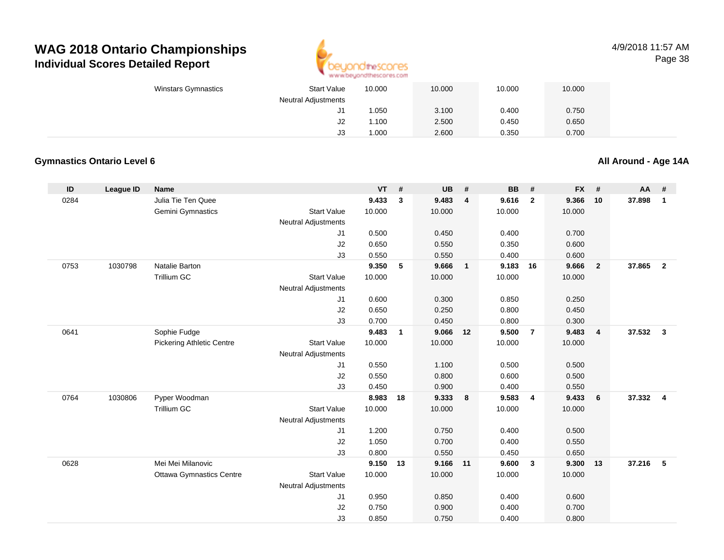

#### 4/9/2018 11:57 AMPage 38

| <b>Winstars Gymnastics</b> | <b>Start Value</b>         | 10.000 | 10.000 | 10.000 | 10.000 |
|----------------------------|----------------------------|--------|--------|--------|--------|
|                            | <b>Neutral Adjustments</b> |        |        |        |        |
|                            | J1                         | 1.050  | 3.100  | 0.400  | 0.750  |
|                            | J2                         | 1.100  | 2.500  | 0.450  | 0.650  |
|                            | J3                         | 1.000  | 2.600  | 0.350  | 0.700  |

#### **Gymnastics Ontario Level 6**

**All Around - Age 14A**

| ID   | <b>League ID</b> | <b>Name</b>                      |                            | <b>VT</b>      | #            | <b>UB</b>      | #              | <b>BB</b>      | #              | <b>FX</b>      | #                       | AA     | #              |
|------|------------------|----------------------------------|----------------------------|----------------|--------------|----------------|----------------|----------------|----------------|----------------|-------------------------|--------|----------------|
| 0284 |                  | Julia Tie Ten Quee               |                            | 9.433          | $\mathbf{3}$ | 9.483          | $\overline{4}$ | 9.616          | $\overline{2}$ | 9.366          | 10                      | 37.898 | $\mathbf{1}$   |
|      |                  | Gemini Gymnastics                | <b>Start Value</b>         | 10.000         |              | 10.000         |                | 10.000         |                | 10.000         |                         |        |                |
|      |                  |                                  | <b>Neutral Adjustments</b> |                |              |                |                |                |                |                |                         |        |                |
|      |                  |                                  | J1                         | 0.500          |              | 0.450          |                | 0.400          |                | 0.700          |                         |        |                |
|      |                  |                                  | J2                         | 0.650          |              | 0.550          |                | 0.350          |                | 0.600          |                         |        |                |
|      |                  |                                  | J3                         | 0.550          |              | 0.550          |                | 0.400          |                | 0.600          |                         |        |                |
| 0753 | 1030798          | Natalie Barton                   |                            | 9.350          | 5            | 9.666          | $\mathbf{1}$   | 9.183          | 16             | 9.666          | $\overline{\mathbf{2}}$ | 37.865 | $\overline{2}$ |
|      |                  | <b>Trillium GC</b>               | <b>Start Value</b>         | 10.000         |              | 10.000         |                | 10.000         |                | 10.000         |                         |        |                |
|      |                  |                                  | <b>Neutral Adjustments</b> |                |              |                |                |                |                |                |                         |        |                |
|      |                  |                                  | J1                         | 0.600          |              | 0.300          |                | 0.850          |                | 0.250          |                         |        |                |
|      |                  |                                  | J <sub>2</sub>             | 0.650          |              | 0.250          |                | 0.800          |                | 0.450          |                         |        |                |
|      |                  |                                  | J3                         | 0.700          |              | 0.450          |                | 0.800          |                | 0.300          |                         |        |                |
| 0641 |                  | Sophie Fudge                     |                            | 9.483          | $\mathbf{1}$ | 9.066          | 12             | 9.500          | $\overline{7}$ | 9.483          | $\overline{4}$          | 37.532 | $\mathbf{3}$   |
|      |                  | <b>Pickering Athletic Centre</b> | <b>Start Value</b>         | 10.000         |              | 10.000         |                | 10.000         |                | 10.000         |                         |        |                |
|      |                  |                                  | <b>Neutral Adjustments</b> |                |              |                |                |                |                |                |                         |        |                |
|      |                  |                                  | J1<br>J2                   | 0.550<br>0.550 |              | 1.100<br>0.800 |                | 0.500<br>0.600 |                | 0.500<br>0.500 |                         |        |                |
|      |                  |                                  | J3                         | 0.450          |              | 0.900          |                | 0.400          |                | 0.550          |                         |        |                |
| 0764 | 1030806          | Pyper Woodman                    |                            | 8.983          | 18           | 9.333          | 8              | 9.583          | $\overline{4}$ | 9.433          | 6                       | 37.332 | $\overline{4}$ |
|      |                  | Trillium GC                      | <b>Start Value</b>         | 10.000         |              | 10.000         |                | 10.000         |                | 10.000         |                         |        |                |
|      |                  |                                  | <b>Neutral Adjustments</b> |                |              |                |                |                |                |                |                         |        |                |
|      |                  |                                  | J <sub>1</sub>             | 1.200          |              | 0.750          |                | 0.400          |                | 0.500          |                         |        |                |
|      |                  |                                  | J2                         | 1.050          |              | 0.700          |                | 0.400          |                | 0.550          |                         |        |                |
|      |                  |                                  | J3                         | 0.800          |              | 0.550          |                | 0.450          |                | 0.650          |                         |        |                |
| 0628 |                  | Mei Mei Milanovic                |                            | 9.150          | 13           | 9.166 11       |                | 9.600          | $\mathbf{3}$   | 9.300          | 13                      | 37.216 | - 5            |
|      |                  | <b>Ottawa Gymnastics Centre</b>  | <b>Start Value</b>         | 10.000         |              | 10.000         |                | 10.000         |                | 10.000         |                         |        |                |
|      |                  |                                  | <b>Neutral Adjustments</b> |                |              |                |                |                |                |                |                         |        |                |
|      |                  |                                  | J1                         | 0.950          |              | 0.850          |                | 0.400          |                | 0.600          |                         |        |                |
|      |                  |                                  | J2                         | 0.750          |              | 0.900          |                | 0.400          |                | 0.700          |                         |        |                |
|      |                  |                                  | J3                         | 0.850          |              | 0.750          |                | 0.400          |                | 0.800          |                         |        |                |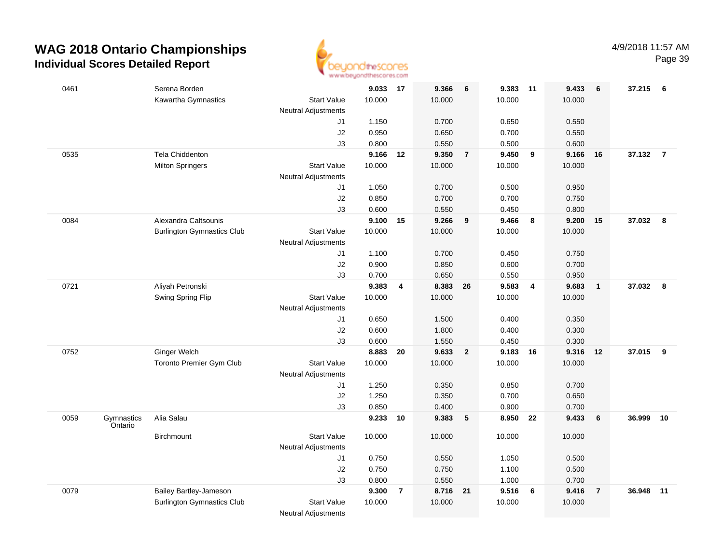

| 0461 |                       | Serena Borden                     |                            | 9.033 17 |                | 9.366    | 6              | 9.383  | 11             | 9.433  | 6              | 37.215   | - 6            |
|------|-----------------------|-----------------------------------|----------------------------|----------|----------------|----------|----------------|--------|----------------|--------|----------------|----------|----------------|
|      |                       | Kawartha Gymnastics               | <b>Start Value</b>         | 10.000   |                | 10.000   |                | 10.000 |                | 10.000 |                |          |                |
|      |                       |                                   | <b>Neutral Adjustments</b> |          |                |          |                |        |                |        |                |          |                |
|      |                       |                                   | J1                         | 1.150    |                | 0.700    |                | 0.650  |                | 0.550  |                |          |                |
|      |                       |                                   | J2                         | 0.950    |                | 0.650    |                | 0.700  |                | 0.550  |                |          |                |
|      |                       |                                   | J3                         | 0.800    |                | 0.550    |                | 0.500  |                | 0.600  |                |          |                |
| 0535 |                       | Tela Chiddenton                   |                            | 9.166    | 12             | 9.350    | $\overline{7}$ | 9.450  | 9              | 9.166  | 16             | 37.132   | $\overline{7}$ |
|      |                       | <b>Milton Springers</b>           | <b>Start Value</b>         | 10.000   |                | 10.000   |                | 10.000 |                | 10.000 |                |          |                |
|      |                       |                                   | <b>Neutral Adjustments</b> |          |                |          |                |        |                |        |                |          |                |
|      |                       |                                   | J1                         | 1.050    |                | 0.700    |                | 0.500  |                | 0.950  |                |          |                |
|      |                       |                                   | J2                         | 0.850    |                | 0.700    |                | 0.700  |                | 0.750  |                |          |                |
|      |                       |                                   | J3                         | 0.600    |                | 0.550    |                | 0.450  |                | 0.800  |                |          |                |
| 0084 |                       | Alexandra Caltsounis              |                            | 9.100    | 15             | 9.266    | 9              | 9.466  | 8              | 9.200  | 15             | 37.032   | - 8            |
|      |                       | <b>Burlington Gymnastics Club</b> | <b>Start Value</b>         | 10.000   |                | 10.000   |                | 10.000 |                | 10.000 |                |          |                |
|      |                       |                                   | <b>Neutral Adjustments</b> |          |                |          |                |        |                |        |                |          |                |
|      |                       |                                   | J1                         | 1.100    |                | 0.700    |                | 0.450  |                | 0.750  |                |          |                |
|      |                       |                                   | J2                         | 0.900    |                | 0.850    |                | 0.600  |                | 0.700  |                |          |                |
|      |                       |                                   | J3                         | 0.700    |                | 0.650    |                | 0.550  |                | 0.950  |                |          |                |
| 0721 |                       | Aliyah Petronski                  |                            | 9.383    | 4              | 8.383 26 |                | 9.583  | $\overline{4}$ | 9.683  | $\mathbf{1}$   | 37.032 8 |                |
|      |                       | Swing Spring Flip                 | <b>Start Value</b>         | 10.000   |                | 10.000   |                | 10.000 |                | 10.000 |                |          |                |
|      |                       |                                   | <b>Neutral Adjustments</b> |          |                |          |                |        |                |        |                |          |                |
|      |                       |                                   | J1                         | 0.650    |                | 1.500    |                | 0.400  |                | 0.350  |                |          |                |
|      |                       |                                   | J2                         | 0.600    |                | 1.800    |                | 0.400  |                | 0.300  |                |          |                |
|      |                       |                                   | J3                         | 0.600    |                | 1.550    |                | 0.450  |                | 0.300  |                |          |                |
| 0752 |                       | <b>Ginger Welch</b>               |                            | 8.883    | 20             | 9.633    | $\overline{2}$ | 9.183  | 16             | 9.316  | 12             | 37.015   | 9              |
|      |                       | Toronto Premier Gym Club          | <b>Start Value</b>         | 10.000   |                | 10.000   |                | 10.000 |                | 10.000 |                |          |                |
|      |                       |                                   | <b>Neutral Adjustments</b> |          |                |          |                |        |                |        |                |          |                |
|      |                       |                                   | J1                         | 1.250    |                | 0.350    |                | 0.850  |                | 0.700  |                |          |                |
|      |                       |                                   | J2                         | 1.250    |                | 0.350    |                | 0.700  |                | 0.650  |                |          |                |
|      |                       |                                   | J3                         | 0.850    |                | 0.400    |                | 0.900  |                | 0.700  |                |          |                |
| 0059 | Gymnastics<br>Ontario | Alia Salau                        |                            | 9.233    | 10             | 9.383    | $-5$           | 8.950  | 22             | 9.433  | 6              | 36.999   | 10             |
|      |                       | Birchmount                        | <b>Start Value</b>         | 10.000   |                | 10.000   |                | 10.000 |                | 10.000 |                |          |                |
|      |                       |                                   | <b>Neutral Adjustments</b> |          |                |          |                |        |                |        |                |          |                |
|      |                       |                                   | J1                         | 0.750    |                | 0.550    |                | 1.050  |                | 0.500  |                |          |                |
|      |                       |                                   | J2                         | 0.750    |                | 0.750    |                | 1.100  |                | 0.500  |                |          |                |
|      |                       |                                   | J3                         | 0.800    |                | 0.550    |                | 1.000  |                | 0.700  |                |          |                |
| 0079 |                       | Bailey Bartley-Jameson            |                            | 9.300    | $\overline{7}$ | 8.716 21 |                | 9.516  | 6              | 9.416  | $\overline{7}$ | 36.948   | 11             |
|      |                       | <b>Burlington Gymnastics Club</b> | <b>Start Value</b>         | 10.000   |                | 10.000   |                | 10.000 |                | 10.000 |                |          |                |
|      |                       |                                   | <b>Neutral Adjustments</b> |          |                |          |                |        |                |        |                |          |                |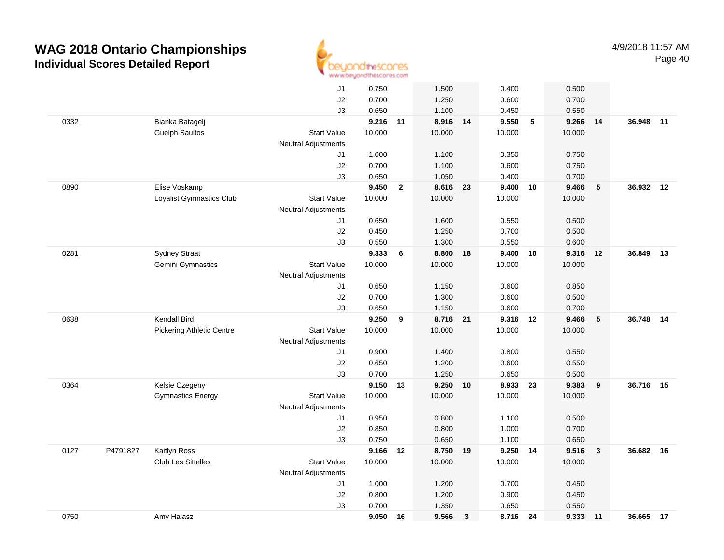

|      |          |                                  | J1                         | 0.750    |                | 1.500    |              | 0.400    |                 | 0.500  |              |           |       |
|------|----------|----------------------------------|----------------------------|----------|----------------|----------|--------------|----------|-----------------|--------|--------------|-----------|-------|
|      |          |                                  | J2                         | 0.700    |                | 1.250    |              | 0.600    |                 | 0.700  |              |           |       |
|      |          |                                  | J3                         | 0.650    |                | 1.100    |              | 0.450    |                 | 0.550  |              |           |       |
| 0332 |          | Bianka Batagelj                  |                            | 9.216 11 |                | 8.916 14 |              | 9.550    | $5\phantom{.0}$ | 9.266  | 14           | 36.948    | $-11$ |
|      |          | <b>Guelph Saultos</b>            | <b>Start Value</b>         | 10.000   |                | 10.000   |              | 10.000   |                 | 10.000 |              |           |       |
|      |          |                                  | <b>Neutral Adjustments</b> |          |                |          |              |          |                 |        |              |           |       |
|      |          |                                  | J1                         | 1.000    |                | 1.100    |              | 0.350    |                 | 0.750  |              |           |       |
|      |          |                                  | J2                         | 0.700    |                | 1.100    |              | 0.600    |                 | 0.750  |              |           |       |
|      |          |                                  | J3                         | 0.650    |                | 1.050    |              | 0.400    |                 | 0.700  |              |           |       |
| 0890 |          | Elise Voskamp                    |                            | 9.450    | $\overline{2}$ | 8.616 23 |              | 9.400 10 |                 | 9.466  | 5            | 36.932 12 |       |
|      |          | Loyalist Gymnastics Club         | <b>Start Value</b>         | 10.000   |                | 10.000   |              | 10.000   |                 | 10.000 |              |           |       |
|      |          |                                  | <b>Neutral Adjustments</b> |          |                |          |              |          |                 |        |              |           |       |
|      |          |                                  | J1                         | 0.650    |                | 1.600    |              | 0.550    |                 | 0.500  |              |           |       |
|      |          |                                  | J2                         | 0.450    |                | 1.250    |              | 0.700    |                 | 0.500  |              |           |       |
|      |          |                                  | J3                         | 0.550    |                | 1.300    |              | 0.550    |                 | 0.600  |              |           |       |
| 0281 |          | <b>Sydney Straat</b>             |                            | 9.333    | 6              | 8.800 18 |              | 9.400 10 |                 | 9.316  | 12           | 36.849    | 13    |
|      |          | Gemini Gymnastics                | <b>Start Value</b>         | 10.000   |                | 10.000   |              | 10.000   |                 | 10.000 |              |           |       |
|      |          |                                  | <b>Neutral Adjustments</b> |          |                |          |              |          |                 |        |              |           |       |
|      |          |                                  | J1                         | 0.650    |                | 1.150    |              | 0.600    |                 | 0.850  |              |           |       |
|      |          |                                  | J2                         | 0.700    |                | 1.300    |              | 0.600    |                 | 0.500  |              |           |       |
|      |          |                                  | J3                         | 0.650    |                | 1.150    |              | 0.600    |                 | 0.700  |              |           |       |
| 0638 |          | Kendall Bird                     |                            | 9.250    | 9              | 8.716 21 |              | 9.316 12 |                 | 9.466  | ${\bf 5}$    | 36.748    | 14    |
|      |          | <b>Pickering Athletic Centre</b> | <b>Start Value</b>         | 10.000   |                | 10.000   |              | 10.000   |                 | 10.000 |              |           |       |
|      |          |                                  | <b>Neutral Adjustments</b> |          |                |          |              |          |                 |        |              |           |       |
|      |          |                                  | J1                         | 0.900    |                | 1.400    |              | 0.800    |                 | 0.550  |              |           |       |
|      |          |                                  | J2                         | 0.650    |                | 1.200    |              | 0.600    |                 | 0.550  |              |           |       |
|      |          |                                  | J3                         | 0.700    |                | 1.250    |              | 0.650    |                 | 0.500  |              |           |       |
| 0364 |          | Kelsie Czegeny                   |                            | 9.150    | 13             | 9.250 10 |              | 8.933 23 |                 | 9.383  | 9            | 36.716    | 15    |
|      |          | <b>Gymnastics Energy</b>         | <b>Start Value</b>         | 10.000   |                | 10.000   |              | 10.000   |                 | 10.000 |              |           |       |
|      |          |                                  | Neutral Adjustments        |          |                |          |              |          |                 |        |              |           |       |
|      |          |                                  | J1                         | 0.950    |                | 0.800    |              | 1.100    |                 | 0.500  |              |           |       |
|      |          |                                  | J2                         | 0.850    |                | 0.800    |              | 1.000    |                 | 0.700  |              |           |       |
|      |          |                                  | J3                         | 0.750    |                | 0.650    |              | 1.100    |                 | 0.650  |              |           |       |
| 0127 | P4791827 | Kaitlyn Ross                     |                            | 9.166    | 12             | 8.750 19 |              | 9.250 14 |                 | 9.516  | $\mathbf{3}$ | 36.682 16 |       |
|      |          | <b>Club Les Sittelles</b>        | <b>Start Value</b>         | 10.000   |                | 10.000   |              | 10.000   |                 | 10.000 |              |           |       |
|      |          |                                  | <b>Neutral Adjustments</b> |          |                |          |              |          |                 |        |              |           |       |
|      |          |                                  | J1                         | 1.000    |                | 1.200    |              | 0.700    |                 | 0.450  |              |           |       |
|      |          |                                  | J2                         | 0.800    |                | 1.200    |              | 0.900    |                 | 0.450  |              |           |       |
|      |          |                                  | J3                         | 0.700    |                | 1.350    |              | 0.650    |                 | 0.550  |              |           |       |
| 0750 |          | Amy Halasz                       |                            | 9.050    | 16             | 9.566    | $\mathbf{3}$ | 8.716 24 |                 | 9.333  | $-11$        | 36.665 17 |       |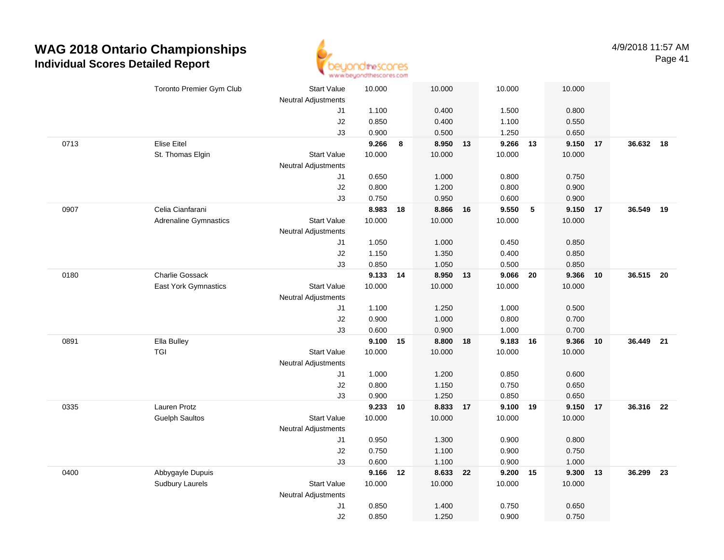

|      | Toronto Premier Gym Club     | Start Value                | 10.000         |    | 10.000   |    | 10.000         |    | 10.000 |    |           |    |
|------|------------------------------|----------------------------|----------------|----|----------|----|----------------|----|--------|----|-----------|----|
|      |                              | Neutral Adjustments        |                |    | 0.400    |    |                |    | 0.800  |    |           |    |
|      |                              | J1<br>J2                   | 1.100<br>0.850 |    | 0.400    |    | 1.500<br>1.100 |    | 0.550  |    |           |    |
|      |                              | J3                         | 0.900          |    | 0.500    |    | 1.250          |    | 0.650  |    |           |    |
| 0713 | Elise Eitel                  |                            | 9.266          | 8  | 8.950 13 |    | 9.266          | 13 | 9.150  | 17 | 36.632 18 |    |
|      | St. Thomas Elgin             | <b>Start Value</b>         | 10.000         |    | 10.000   |    | 10.000         |    | 10.000 |    |           |    |
|      |                              | <b>Neutral Adjustments</b> |                |    |          |    |                |    |        |    |           |    |
|      |                              | J1                         | 0.650          |    | 1.000    |    | 0.800          |    | 0.750  |    |           |    |
|      |                              | J2                         | 0.800          |    | 1.200    |    | 0.800          |    | 0.900  |    |           |    |
|      |                              | J3                         | 0.750          |    | 0.950    |    | 0.600          |    | 0.900  |    |           |    |
| 0907 | Celia Cianfarani             |                            | 8.983          | 18 | 8.866    | 16 | 9.550          | 5  | 9.150  | 17 | 36.549    | 19 |
|      | <b>Adrenaline Gymnastics</b> | <b>Start Value</b>         | 10.000         |    | 10.000   |    | 10.000         |    | 10.000 |    |           |    |
|      |                              | Neutral Adjustments        |                |    |          |    |                |    |        |    |           |    |
|      |                              | J1                         | 1.050          |    | 1.000    |    | 0.450          |    | 0.850  |    |           |    |
|      |                              | J2                         | 1.150          |    | 1.350    |    | 0.400          |    | 0.850  |    |           |    |
|      |                              | J3                         | 0.850          |    | 1.050    |    | 0.500          |    | 0.850  |    |           |    |
| 0180 | <b>Charlie Gossack</b>       |                            | 9.133 14       |    | 8.950 13 |    | 9.066          | 20 | 9.366  | 10 | 36.515 20 |    |
|      | East York Gymnastics         | <b>Start Value</b>         | 10.000         |    | 10.000   |    | 10.000         |    | 10.000 |    |           |    |
|      |                              | <b>Neutral Adjustments</b> |                |    |          |    |                |    |        |    |           |    |
|      |                              | J1                         | 1.100          |    | 1.250    |    | 1.000          |    | 0.500  |    |           |    |
|      |                              | J2                         | 0.900          |    | 1.000    |    | 0.800          |    | 0.700  |    |           |    |
|      |                              | J3                         | 0.600          |    | 0.900    |    | 1.000          |    | 0.700  |    |           |    |
| 0891 | Ella Bulley                  |                            | 9.100          | 15 | 8.800    | 18 | 9.183          | 16 | 9.366  | 10 | 36.449 21 |    |
|      | TGI                          | Start Value                | 10.000         |    | 10.000   |    | 10.000         |    | 10.000 |    |           |    |
|      |                              | <b>Neutral Adjustments</b> |                |    |          |    |                |    |        |    |           |    |
|      |                              | J1                         | 1.000          |    | 1.200    |    | 0.850          |    | 0.600  |    |           |    |
|      |                              | J2                         | 0.800          |    | 1.150    |    | 0.750          |    | 0.650  |    |           |    |
|      |                              | J3                         | 0.900          |    | 1.250    |    | 0.850          |    | 0.650  |    |           |    |
| 0335 | Lauren Protz                 |                            | 9.233          | 10 | 8.833 17 |    | 9.100 19       |    | 9.150  | 17 | 36.316 22 |    |
|      | <b>Guelph Saultos</b>        | <b>Start Value</b>         | 10.000         |    | 10.000   |    | 10.000         |    | 10.000 |    |           |    |
|      |                              | <b>Neutral Adjustments</b> |                |    |          |    |                |    |        |    |           |    |
|      |                              | J1                         | 0.950          |    | 1.300    |    | 0.900          |    | 0.800  |    |           |    |
|      |                              | J2                         | 0.750          |    | 1.100    |    | 0.900          |    | 0.750  |    |           |    |
|      |                              | J3                         | 0.600          |    | 1.100    |    | 0.900          |    | 1.000  |    |           |    |
| 0400 | Abbygayle Dupuis             |                            | 9.166          | 12 | 8.633 22 |    | 9.200          | 15 | 9.300  | 13 | 36.299    | 23 |
|      | <b>Sudbury Laurels</b>       | <b>Start Value</b>         | 10.000         |    | 10.000   |    | 10.000         |    | 10.000 |    |           |    |
|      |                              | <b>Neutral Adjustments</b> |                |    |          |    |                |    |        |    |           |    |
|      |                              | J1                         | 0.850          |    | 1.400    |    | 0.750          |    | 0.650  |    |           |    |
|      |                              | J2                         | 0.850          |    | 1.250    |    | 0.900          |    | 0.750  |    |           |    |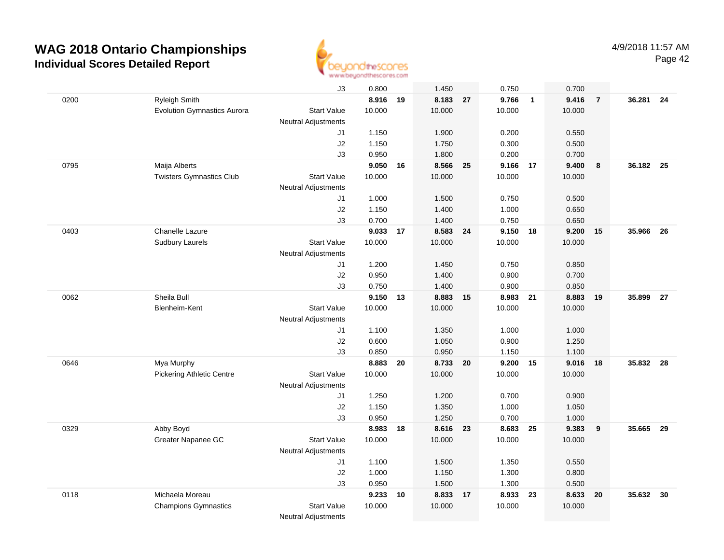

|      |                                    | J3                         | 0.800    |    | 1.450    |    | 0.750    |                | 0.700  |                |           |    |
|------|------------------------------------|----------------------------|----------|----|----------|----|----------|----------------|--------|----------------|-----------|----|
| 0200 | <b>Ryleigh Smith</b>               |                            | 8.916 19 |    | 8.183 27 |    | 9.766    | $\overline{1}$ | 9.416  | $\overline{7}$ | 36.281 24 |    |
|      | <b>Evolution Gymnastics Aurora</b> | <b>Start Value</b>         | 10.000   |    | 10.000   |    | 10.000   |                | 10.000 |                |           |    |
|      |                                    | <b>Neutral Adjustments</b> |          |    |          |    |          |                |        |                |           |    |
|      |                                    | J1                         | 1.150    |    | 1.900    |    | 0.200    |                | 0.550  |                |           |    |
|      |                                    | J2                         | 1.150    |    | 1.750    |    | 0.300    |                | 0.500  |                |           |    |
|      |                                    | J3                         | 0.950    |    | 1.800    |    | 0.200    |                | 0.700  |                |           |    |
| 0795 | Maija Alberts                      |                            | 9.050    | 16 | 8.566    | 25 | 9.166 17 |                | 9.400  | 8              | 36.182 25 |    |
|      | <b>Twisters Gymnastics Club</b>    | <b>Start Value</b>         | 10.000   |    | 10.000   |    | 10.000   |                | 10.000 |                |           |    |
|      |                                    | Neutral Adjustments        |          |    |          |    |          |                |        |                |           |    |
|      |                                    | J1                         | 1.000    |    | 1.500    |    | 0.750    |                | 0.500  |                |           |    |
|      |                                    | J2                         | 1.150    |    | 1.400    |    | 1.000    |                | 0.650  |                |           |    |
|      |                                    | J3                         | 0.700    |    | 1.400    |    | 0.750    |                | 0.650  |                |           |    |
| 0403 | Chanelle Lazure                    |                            | 9.033    | 17 | 8.583 24 |    | 9.150 18 |                | 9.200  | 15             | 35.966    | 26 |
|      | <b>Sudbury Laurels</b>             | <b>Start Value</b>         | 10.000   |    | 10.000   |    | 10.000   |                | 10.000 |                |           |    |
|      |                                    | <b>Neutral Adjustments</b> |          |    |          |    |          |                |        |                |           |    |
|      |                                    | J1                         | 1.200    |    | 1.450    |    | 0.750    |                | 0.850  |                |           |    |
|      |                                    | J2                         | 0.950    |    | 1.400    |    | 0.900    |                | 0.700  |                |           |    |
|      |                                    | J3                         | 0.750    |    | 1.400    |    | 0.900    |                | 0.850  |                |           |    |
| 0062 | Sheila Bull                        |                            | 9.150 13 |    | 8.883 15 |    | 8.983 21 |                | 8.883  | 19             | 35.899    | 27 |
|      | Blenheim-Kent                      | <b>Start Value</b>         | 10.000   |    | 10.000   |    | 10.000   |                | 10.000 |                |           |    |
|      |                                    | <b>Neutral Adjustments</b> |          |    |          |    |          |                |        |                |           |    |
|      |                                    | J1                         | 1.100    |    | 1.350    |    | 1.000    |                | 1.000  |                |           |    |
|      |                                    | J2                         | 0.600    |    | 1.050    |    | 0.900    |                | 1.250  |                |           |    |
|      |                                    | J3                         | 0.850    |    | 0.950    |    | 1.150    |                | 1.100  |                |           |    |
| 0646 | Mya Murphy                         |                            | 8.883    | 20 | 8.733    | 20 | 9.200    | 15             | 9.016  | 18             | 35.832    | 28 |
|      | <b>Pickering Athletic Centre</b>   | <b>Start Value</b>         | 10.000   |    | 10.000   |    | 10.000   |                | 10.000 |                |           |    |
|      |                                    | Neutral Adjustments        |          |    |          |    |          |                |        |                |           |    |
|      |                                    | J1                         | 1.250    |    | 1.200    |    | 0.700    |                | 0.900  |                |           |    |
|      |                                    | J2                         | 1.150    |    | 1.350    |    | 1.000    |                | 1.050  |                |           |    |
|      |                                    | J3                         | 0.950    |    | 1.250    |    | 0.700    |                | 1.000  |                |           |    |
| 0329 | Abby Boyd                          |                            | 8.983    | 18 | 8.616 23 |    | 8.683 25 |                | 9.383  | 9              | 35.665    | 29 |
|      | Greater Napanee GC                 | <b>Start Value</b>         | 10.000   |    | 10.000   |    | 10.000   |                | 10.000 |                |           |    |
|      |                                    | <b>Neutral Adjustments</b> |          |    |          |    |          |                |        |                |           |    |
|      |                                    | J1                         | 1.100    |    | 1.500    |    | 1.350    |                | 0.550  |                |           |    |
|      |                                    | J2                         | 1.000    |    | 1.150    |    | 1.300    |                | 0.800  |                |           |    |
|      |                                    | JЗ                         | 0.950    |    | 1.500    |    | 1.300    |                | 0.500  |                |           |    |
| 0118 | Michaela Moreau                    |                            | 9.233    | 10 | 8.833 17 |    | 8.933 23 |                | 8.633  | 20             | 35.632    | 30 |
|      | <b>Champions Gymnastics</b>        | <b>Start Value</b>         | 10.000   |    | 10.000   |    | 10.000   |                | 10.000 |                |           |    |
|      |                                    | <b>Neutral Adjustments</b> |          |    |          |    |          |                |        |                |           |    |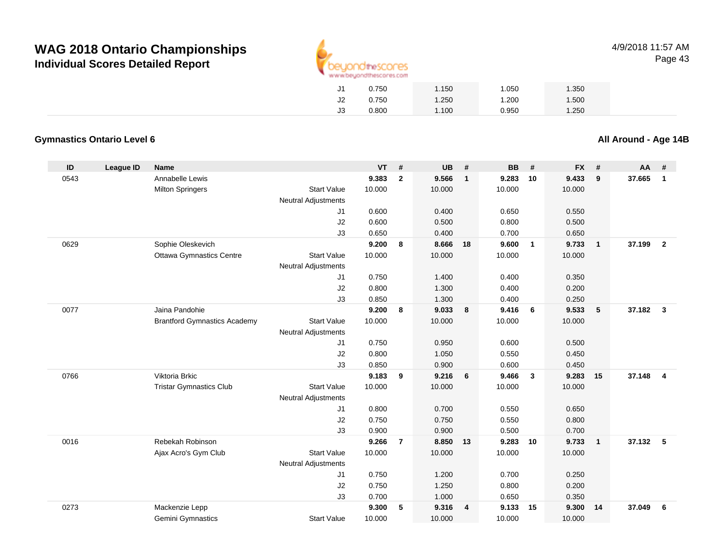

4/9/2018 11:57 AMPage 43

| J1 | 0.750 | 1.150 | 1.050 | 1.350 |  |
|----|-------|-------|-------|-------|--|
| J2 | 0.750 | 1.250 | 1.200 | 1.500 |  |
| JЗ | 0.800 | 1.100 | 0.950 | 1.250 |  |
|    |       |       |       |       |  |

#### **Gymnastics Ontario Level 6**

**All Around - Age 14B**

| ID   | <b>League ID</b> | <b>Name</b>                         |                            | <b>VT</b> | $\pmb{\#}$     | <b>UB</b> | #              | <b>BB</b> | #                       | <b>FX</b> | #              | AA     | #              |
|------|------------------|-------------------------------------|----------------------------|-----------|----------------|-----------|----------------|-----------|-------------------------|-----------|----------------|--------|----------------|
| 0543 |                  | Annabelle Lewis                     |                            | 9.383     | $\mathbf{2}$   | 9.566     | $\mathbf{1}$   | 9.283     | 10                      | 9.433     | 9              | 37.665 | $\mathbf{1}$   |
|      |                  | <b>Milton Springers</b>             | <b>Start Value</b>         | 10.000    |                | 10.000    |                | 10.000    |                         | 10.000    |                |        |                |
|      |                  |                                     | <b>Neutral Adjustments</b> |           |                |           |                |           |                         |           |                |        |                |
|      |                  |                                     | J1                         | 0.600     |                | 0.400     |                | 0.650     |                         | 0.550     |                |        |                |
|      |                  |                                     | J2                         | 0.600     |                | 0.500     |                | 0.800     |                         | 0.500     |                |        |                |
|      |                  |                                     | J3                         | 0.650     |                | 0.400     |                | 0.700     |                         | 0.650     |                |        |                |
| 0629 |                  | Sophie Oleskevich                   |                            | 9.200     | 8              | 8.666     | 18             | 9.600     | $\overline{1}$          | 9.733     | $\overline{1}$ | 37.199 | $\overline{2}$ |
|      |                  | <b>Ottawa Gymnastics Centre</b>     | <b>Start Value</b>         | 10.000    |                | 10.000    |                | 10.000    |                         | 10.000    |                |        |                |
|      |                  |                                     | <b>Neutral Adjustments</b> |           |                |           |                |           |                         |           |                |        |                |
|      |                  |                                     | J1                         | 0.750     |                | 1.400     |                | 0.400     |                         | 0.350     |                |        |                |
|      |                  |                                     | J2                         | 0.800     |                | 1.300     |                | 0.400     |                         | 0.200     |                |        |                |
|      |                  |                                     | J3                         | 0.850     |                | 1.300     |                | 0.400     |                         | 0.250     |                |        |                |
| 0077 |                  | Jaina Pandohie                      |                            | 9.200     | 8              | 9.033     | 8              | 9.416     | - 6                     | 9.533     | 5              | 37.182 | $\mathbf{3}$   |
|      |                  | <b>Brantford Gymnastics Academy</b> | <b>Start Value</b>         | 10.000    |                | 10.000    |                | 10.000    |                         | 10.000    |                |        |                |
|      |                  |                                     | <b>Neutral Adjustments</b> |           |                |           |                |           |                         |           |                |        |                |
|      |                  |                                     | J1                         | 0.750     |                | 0.950     |                | 0.600     |                         | 0.500     |                |        |                |
|      |                  |                                     | J2                         | 0.800     |                | 1.050     |                | 0.550     |                         | 0.450     |                |        |                |
|      |                  |                                     | J3                         | 0.850     |                | 0.900     |                | 0.600     |                         | 0.450     |                |        |                |
| 0766 |                  | Viktoria Brkic                      |                            | 9.183     | 9              | 9.216     | 6              | 9.466     | $\overline{\mathbf{3}}$ | 9.283     | 15             | 37.148 | $\overline{4}$ |
|      |                  | <b>Tristar Gymnastics Club</b>      | <b>Start Value</b>         | 10.000    |                | 10.000    |                | 10.000    |                         | 10.000    |                |        |                |
|      |                  |                                     | <b>Neutral Adjustments</b> |           |                |           |                |           |                         |           |                |        |                |
|      |                  |                                     | J1                         | 0.800     |                | 0.700     |                | 0.550     |                         | 0.650     |                |        |                |
|      |                  |                                     | J2                         | 0.750     |                | 0.750     |                | 0.550     |                         | 0.800     |                |        |                |
|      |                  |                                     | J3                         | 0.900     |                | 0.900     |                | 0.500     |                         | 0.700     |                |        |                |
| 0016 |                  | Rebekah Robinson                    |                            | 9.266     | $\overline{7}$ | 8.850     | 13             | 9.283     | 10                      | 9.733     | $\overline{1}$ | 37.132 | 5              |
|      |                  | Ajax Acro's Gym Club                | <b>Start Value</b>         | 10.000    |                | 10.000    |                | 10.000    |                         | 10.000    |                |        |                |
|      |                  |                                     | <b>Neutral Adjustments</b> |           |                |           |                |           |                         |           |                |        |                |
|      |                  |                                     | J1                         | 0.750     |                | 1.200     |                | 0.700     |                         | 0.250     |                |        |                |
|      |                  |                                     | J2                         | 0.750     |                | 1.250     |                | 0.800     |                         | 0.200     |                |        |                |
|      |                  |                                     | J3                         | 0.700     |                | 1.000     |                | 0.650     |                         | 0.350     |                |        |                |
| 0273 |                  | Mackenzie Lepp                      |                            | 9.300     | 5              | 9.316     | $\overline{4}$ | 9.133     | 15                      | 9.300     | 14             | 37.049 | 6              |
|      |                  | Gemini Gymnastics                   | <b>Start Value</b>         | 10.000    |                | 10.000    |                | 10.000    |                         | 10.000    |                |        |                |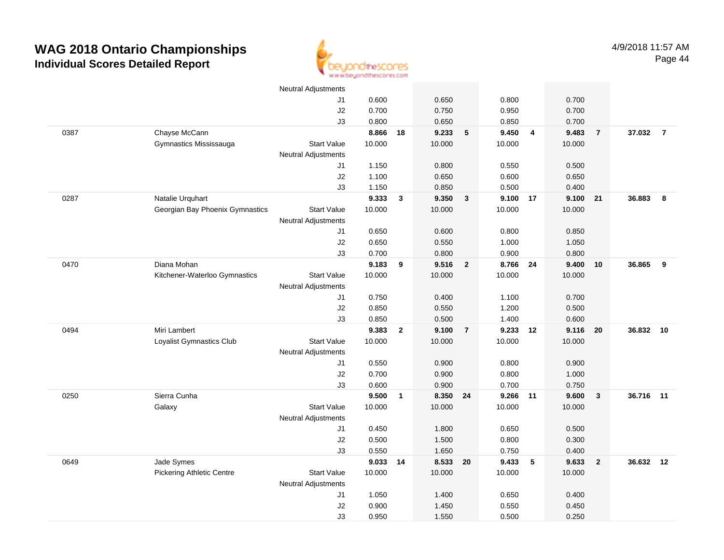

|      |                                  | <b>Neutral Adjustments</b> |          |                |          |                         |          |                |        |                |           |                |
|------|----------------------------------|----------------------------|----------|----------------|----------|-------------------------|----------|----------------|--------|----------------|-----------|----------------|
|      |                                  | J1                         | 0.600    |                | 0.650    |                         | 0.800    |                | 0.700  |                |           |                |
|      |                                  | J2                         | 0.700    |                | 0.750    |                         | 0.950    |                | 0.700  |                |           |                |
|      |                                  | J3                         | 0.800    |                | 0.650    |                         | 0.850    |                | 0.700  |                |           |                |
| 0387 | Chayse McCann                    |                            | 8.866    | 18             | 9.233    | $5\phantom{.0}$         | 9.450    | $\overline{4}$ | 9.483  | $\overline{7}$ | 37.032    | $\overline{7}$ |
|      | Gymnastics Mississauga           | <b>Start Value</b>         | 10.000   |                | 10.000   |                         | 10.000   |                | 10.000 |                |           |                |
|      |                                  | Neutral Adjustments        |          |                |          |                         |          |                |        |                |           |                |
|      |                                  | J1                         | 1.150    |                | 0.800    |                         | 0.550    |                | 0.500  |                |           |                |
|      |                                  | J2                         | 1.100    |                | 0.650    |                         | 0.600    |                | 0.650  |                |           |                |
|      |                                  | J3                         | 1.150    |                | 0.850    |                         | 0.500    |                | 0.400  |                |           |                |
| 0287 | Natalie Urquhart                 |                            | 9.333    | $\mathbf{3}$   | 9.350    | $\overline{\mathbf{3}}$ | 9.100 17 |                | 9.100  | 21             | 36.883    | 8              |
|      | Georgian Bay Phoenix Gymnastics  | <b>Start Value</b>         | 10.000   |                | 10.000   |                         | 10.000   |                | 10.000 |                |           |                |
|      |                                  | Neutral Adjustments        |          |                |          |                         |          |                |        |                |           |                |
|      |                                  | J1                         | 0.650    |                | 0.600    |                         | 0.800    |                | 0.850  |                |           |                |
|      |                                  | J2                         | 0.650    |                | 0.550    |                         | 1.000    |                | 1.050  |                |           |                |
|      |                                  | J3                         | 0.700    |                | 0.800    |                         | 0.900    |                | 0.800  |                |           |                |
| 0470 | Diana Mohan                      |                            | 9.183    | 9              | 9.516    | $\overline{\mathbf{2}}$ | 8.766 24 |                | 9.400  | 10             | 36.865    | 9              |
|      | Kitchener-Waterloo Gymnastics    | <b>Start Value</b>         | 10.000   |                | 10.000   |                         | 10.000   |                | 10.000 |                |           |                |
|      |                                  | <b>Neutral Adjustments</b> |          |                |          |                         |          |                |        |                |           |                |
|      |                                  | J1                         | 0.750    |                | 0.400    |                         | 1.100    |                | 0.700  |                |           |                |
|      |                                  | J2                         | 0.850    |                | 0.550    |                         | 1.200    |                | 0.500  |                |           |                |
|      |                                  | J3                         | 0.850    |                | 0.500    |                         | 1.400    |                | 0.600  |                |           |                |
| 0494 | Miri Lambert                     |                            | 9.383    | $\overline{2}$ | 9.100    | $\overline{7}$          | 9.233    | 12             | 9.116  | 20             | 36.832 10 |                |
|      | Loyalist Gymnastics Club         | <b>Start Value</b>         | 10.000   |                | 10.000   |                         | 10.000   |                | 10.000 |                |           |                |
|      |                                  | <b>Neutral Adjustments</b> |          |                |          |                         |          |                |        |                |           |                |
|      |                                  | J1                         | 0.550    |                | 0.900    |                         | 0.800    |                | 0.900  |                |           |                |
|      |                                  | J2                         | 0.700    |                | 0.900    |                         | 0.800    |                | 1.000  |                |           |                |
|      |                                  | J3                         | 0.600    |                | 0.900    |                         | 0.700    |                | 0.750  |                |           |                |
| 0250 | Sierra Cunha                     |                            | 9.500    | $\overline{1}$ | 8.350 24 |                         | 9.266 11 |                | 9.600  | $\mathbf{3}$   | 36.716 11 |                |
|      | Galaxy                           | <b>Start Value</b>         | 10.000   |                | 10.000   |                         | 10.000   |                | 10.000 |                |           |                |
|      |                                  | <b>Neutral Adjustments</b> |          |                |          |                         |          |                |        |                |           |                |
|      |                                  | J1                         | 0.450    |                | 1.800    |                         | 0.650    |                | 0.500  |                |           |                |
|      |                                  | J2                         | 0.500    |                | 1.500    |                         | 0.800    |                | 0.300  |                |           |                |
|      |                                  | J3                         | 0.550    |                | 1.650    |                         | 0.750    |                | 0.400  |                |           |                |
| 0649 | Jade Symes                       |                            | 9.033 14 |                | 8.533 20 |                         | 9.433    | 5              | 9.633  | $\overline{2}$ | 36.632 12 |                |
|      | <b>Pickering Athletic Centre</b> | <b>Start Value</b>         | 10.000   |                | 10.000   |                         | 10.000   |                | 10.000 |                |           |                |
|      |                                  | Neutral Adjustments        |          |                |          |                         |          |                |        |                |           |                |
|      |                                  | J1                         | 1.050    |                | 1.400    |                         | 0.650    |                | 0.400  |                |           |                |
|      |                                  | J2                         | 0.900    |                | 1.450    |                         | 0.550    |                | 0.450  |                |           |                |
|      |                                  | J3                         | 0.950    |                | 1.550    |                         | 0.500    |                | 0.250  |                |           |                |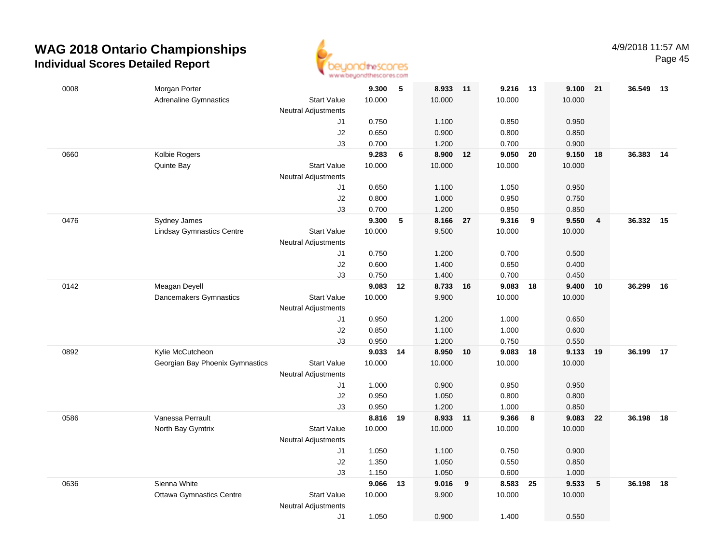

| 0008 | Morgan Porter                    |                            | 9.300          | 5         | 8.933          | $-11$ | 9.216          | - 13 | 9.100          | 21 | 36.549 | - 13 |
|------|----------------------------------|----------------------------|----------------|-----------|----------------|-------|----------------|------|----------------|----|--------|------|
|      | <b>Adrenaline Gymnastics</b>     | <b>Start Value</b>         | 10.000         |           | 10.000         |       | 10.000         |      | 10.000         |    |        |      |
|      |                                  | <b>Neutral Adjustments</b> |                |           |                |       |                |      |                |    |        |      |
|      |                                  | J1                         | 0.750          |           | 1.100          |       | 0.850          |      | 0.950          |    |        |      |
|      |                                  | J2                         | 0.650          |           | 0.900          |       | 0.800          |      | 0.850          |    |        |      |
|      |                                  | J3                         | 0.700          |           | 1.200          |       | 0.700          |      | 0.900          |    |        |      |
| 0660 | Kolbie Rogers                    |                            | 9.283          | 6         | 8.900          | 12    | 9.050          | 20   | 9.150          | 18 | 36.383 | 14   |
|      | Quinte Bay                       | <b>Start Value</b>         | 10.000         |           | 10.000         |       | 10.000         |      | 10.000         |    |        |      |
|      |                                  | <b>Neutral Adjustments</b> |                |           |                |       |                |      |                |    |        |      |
|      |                                  | J1                         | 0.650          |           | 1.100          |       | 1.050          |      | 0.950          |    |        |      |
|      |                                  | J2                         | 0.800          |           | 1.000          |       | 0.950          |      | 0.750          |    |        |      |
|      |                                  | J3                         | 0.700          |           | 1.200          |       | 0.850          |      | 0.850          |    |        |      |
| 0476 | Sydney James                     |                            | 9.300          | ${\bf 5}$ | 8.166          | - 27  | 9.316          | - 9  | 9.550          | 4  | 36.332 | 15   |
|      | <b>Lindsay Gymnastics Centre</b> | <b>Start Value</b>         | 10.000         |           | 9.500          |       | 10.000         |      | 10.000         |    |        |      |
|      |                                  | <b>Neutral Adjustments</b> |                |           |                |       |                |      |                |    |        |      |
|      |                                  | J1                         | 0.750          |           | 1.200          |       | 0.700          |      | 0.500          |    |        |      |
|      |                                  | J2                         | 0.600          |           | 1.400          |       | 0.650          |      | 0.400          |    |        |      |
|      |                                  | J3                         | 0.750          |           | 1.400          |       | 0.700          |      | 0.450          |    |        |      |
| 0142 | Meagan Deyell                    |                            | 9.083 12       |           | 8.733 16       |       | 9.083          | 18   | 9.400          | 10 | 36.299 | - 16 |
|      | Dancemakers Gymnastics           | <b>Start Value</b>         | 10.000         |           | 9.900          |       | 10.000         |      | 10.000         |    |        |      |
|      |                                  | <b>Neutral Adjustments</b> |                |           |                |       |                |      |                |    |        |      |
|      |                                  | J1                         | 0.950          |           | 1.200          |       | 1.000          |      | 0.650          |    |        |      |
|      |                                  | J2                         | 0.850          |           | 1.100          |       | 1.000          |      | 0.600          |    |        |      |
|      |                                  | J3                         | 0.950          |           | 1.200          |       | 0.750          |      | 0.550          |    |        |      |
| 0892 | Kylie McCutcheon                 |                            | 9.033          | 14        | 8.950          | 10    | 9.083          | 18   | 9.133          | 19 | 36.199 | 17   |
|      | Georgian Bay Phoenix Gymnastics  | <b>Start Value</b>         | 10.000         |           | 10.000         |       | 10.000         |      | 10.000         |    |        |      |
|      |                                  | <b>Neutral Adjustments</b> |                |           |                |       |                |      |                |    |        |      |
|      |                                  | J1                         | 1.000          |           | 0.900          |       | 0.950          |      | 0.950          |    |        |      |
|      |                                  | J2                         | 0.950          |           | 1.050          |       | 0.800          |      | 0.800          |    |        |      |
|      |                                  | J3                         | 0.950          |           | 1.200          |       | 1.000          |      | 0.850          |    |        |      |
| 0586 | Vanessa Perrault                 |                            | 8.816 19       |           | 8.933 11       |       | 9.366          | 8    | 9.083          | 22 | 36.198 | 18   |
|      | North Bay Gymtrix                | <b>Start Value</b>         | 10.000         |           | 10.000         |       | 10.000         |      | 10.000         |    |        |      |
|      |                                  | <b>Neutral Adjustments</b> |                |           |                |       |                |      |                |    |        |      |
|      |                                  | J1<br>J2                   | 1.050<br>1.350 |           | 1.100<br>1.050 |       | 0.750<br>0.550 |      | 0.900<br>0.850 |    |        |      |
|      |                                  |                            | 1.150          |           | 1.050          |       | 0.600          |      | 1.000          |    |        |      |
| 0636 | Sienna White                     | J3                         | 9.066          | 13        | 9.016          | 9     | 8.583          | 25   | 9.533          | 5  | 36.198 | 18   |
|      | <b>Ottawa Gymnastics Centre</b>  | <b>Start Value</b>         | 10.000         |           | 9.900          |       | 10.000         |      | 10.000         |    |        |      |
|      |                                  | <b>Neutral Adjustments</b> |                |           |                |       |                |      |                |    |        |      |
|      |                                  | J1                         | 1.050          |           | 0.900          |       | 1.400          |      | 0.550          |    |        |      |
|      |                                  |                            |                |           |                |       |                |      |                |    |        |      |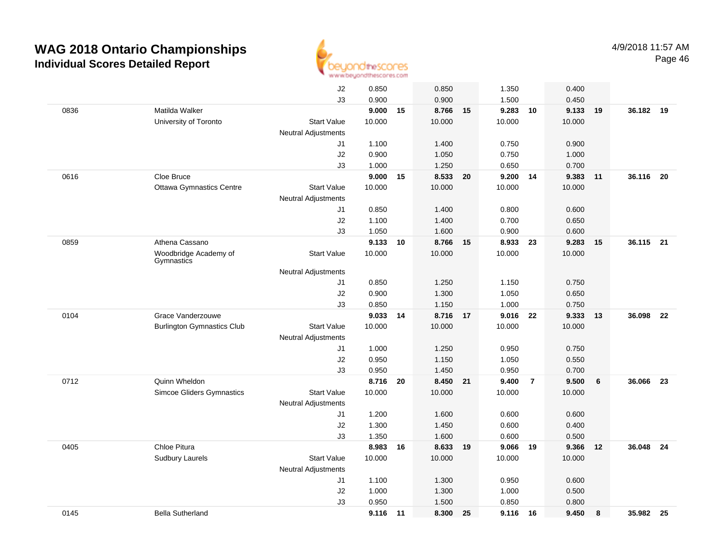

|      |                                     | J2                         | 0.850    |       | 0.850    |      | 1.350    |                | 0.400  |    |           |      |
|------|-------------------------------------|----------------------------|----------|-------|----------|------|----------|----------------|--------|----|-----------|------|
|      |                                     | J3                         | 0.900    |       | 0.900    |      | 1.500    |                | 0.450  |    |           |      |
| 0836 | Matilda Walker                      |                            | 9.000 15 |       | 8.766    | 15   | 9.283    | 10             | 9.133  | 19 | 36.182 19 |      |
|      | University of Toronto               | <b>Start Value</b>         | 10.000   |       | 10.000   |      | 10.000   |                | 10.000 |    |           |      |
|      |                                     | <b>Neutral Adjustments</b> |          |       |          |      |          |                |        |    |           |      |
|      |                                     | J1                         | 1.100    |       | 1.400    |      | 0.750    |                | 0.900  |    |           |      |
|      |                                     | J2                         | 0.900    |       | 1.050    |      | 0.750    |                | 1.000  |    |           |      |
|      |                                     | J3                         | 1.000    |       | 1.250    |      | 0.650    |                | 0.700  |    |           |      |
| 0616 | Cloe Bruce                          |                            | 9.000    | 15    | 8.533    | - 20 | 9.200 14 |                | 9.383  | 11 | 36.116    | - 20 |
|      | <b>Ottawa Gymnastics Centre</b>     | <b>Start Value</b>         | 10.000   |       | 10.000   |      | 10.000   |                | 10.000 |    |           |      |
|      |                                     | Neutral Adjustments        |          |       |          |      |          |                |        |    |           |      |
|      |                                     | J1                         | 0.850    |       | 1.400    |      | 0.800    |                | 0.600  |    |           |      |
|      |                                     | J2                         | 1.100    |       | 1.400    |      | 0.700    |                | 0.650  |    |           |      |
|      |                                     | J3                         | 1.050    |       | 1.600    |      | 0.900    |                | 0.600  |    |           |      |
| 0859 | Athena Cassano                      |                            | 9.133    | 10    | 8.766    | 15   | 8.933    | 23             | 9.283  | 15 | 36.115 21 |      |
|      | Woodbridge Academy of<br>Gymnastics | <b>Start Value</b>         | 10.000   |       | 10.000   |      | 10.000   |                | 10.000 |    |           |      |
|      |                                     | <b>Neutral Adjustments</b> |          |       |          |      |          |                |        |    |           |      |
|      |                                     | J1                         | 0.850    |       | 1.250    |      | 1.150    |                | 0.750  |    |           |      |
|      |                                     | J2                         | 0.900    |       | 1.300    |      | 1.050    |                | 0.650  |    |           |      |
|      |                                     | J3                         | 0.850    |       | 1.150    |      | 1.000    |                | 0.750  |    |           |      |
| 0104 | Grace Vanderzouwe                   |                            | 9.033    | 14    | 8.716    | 17   | 9.016    | 22             | 9.333  | 13 | 36.098    | 22   |
|      | <b>Burlington Gymnastics Club</b>   | <b>Start Value</b>         | 10.000   |       | 10.000   |      | 10.000   |                | 10.000 |    |           |      |
|      |                                     | <b>Neutral Adjustments</b> |          |       |          |      |          |                |        |    |           |      |
|      |                                     | J1                         | 1.000    |       | 1.250    |      | 0.950    |                | 0.750  |    |           |      |
|      |                                     | J2                         | 0.950    |       | 1.150    |      | 1.050    |                | 0.550  |    |           |      |
|      |                                     | J3                         | 0.950    |       | 1.450    |      | 0.950    |                | 0.700  |    |           |      |
| 0712 | Quinn Wheldon                       |                            | 8.716    | 20    | 8.450 21 |      | 9.400    | $\overline{7}$ | 9.500  | 6  | 36.066    | 23   |
|      | <b>Simcoe Gliders Gymnastics</b>    | <b>Start Value</b>         | 10.000   |       | 10.000   |      | 10.000   |                | 10.000 |    |           |      |
|      |                                     | <b>Neutral Adjustments</b> |          |       |          |      |          |                |        |    |           |      |
|      |                                     | J1                         | 1.200    |       | 1.600    |      | 0.600    |                | 0.600  |    |           |      |
|      |                                     | J2                         | 1.300    |       | 1.450    |      | 0.600    |                | 0.400  |    |           |      |
|      |                                     | J3                         | 1.350    |       | 1.600    |      | 0.600    |                | 0.500  |    |           |      |
| 0405 | Chloe Pitura                        |                            | 8.983    | 16    | 8.633    | 19   | 9.066    | 19             | 9.366  | 12 | 36.048    | 24   |
|      | <b>Sudbury Laurels</b>              | <b>Start Value</b>         | 10.000   |       | 10.000   |      | 10.000   |                | 10.000 |    |           |      |
|      |                                     | <b>Neutral Adjustments</b> |          |       |          |      |          |                |        |    |           |      |
|      |                                     | J1                         | 1.100    |       | 1.300    |      | 0.950    |                | 0.600  |    |           |      |
|      |                                     | J2                         | 1.000    |       | 1.300    |      | 1.000    |                | 0.500  |    |           |      |
|      |                                     | J3                         | 0.950    |       | 1.500    |      | 0.850    |                | 0.800  |    |           |      |
| 0145 | <b>Bella Sutherland</b>             |                            | 9.116    | $-11$ | 8.300    | 25   | 9.116    | - 16           | 9.450  | 8  | 35.982    | - 25 |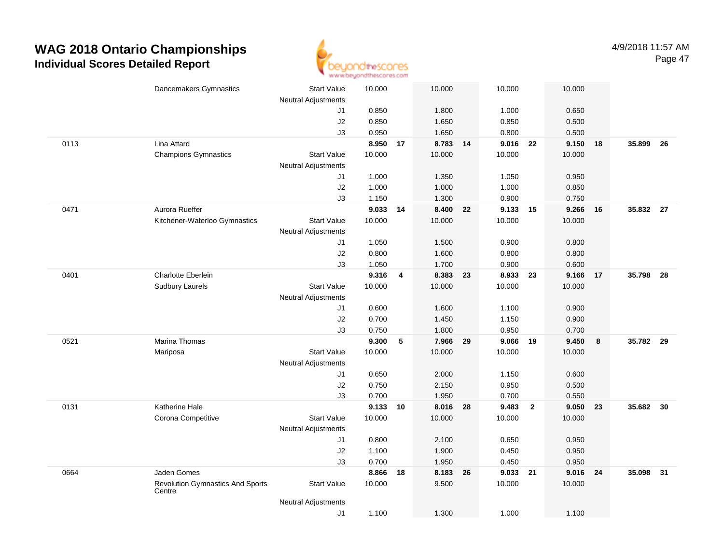

|      | Dancemakers Gymnastics                            | <b>Start Value</b>         | 10.000   |                         | 10.000   |    | 10.000   | 10.000                           |    |           |      |
|------|---------------------------------------------------|----------------------------|----------|-------------------------|----------|----|----------|----------------------------------|----|-----------|------|
|      |                                                   | <b>Neutral Adjustments</b> | 0.850    |                         | 1.800    |    | 1.000    | 0.650                            |    |           |      |
|      |                                                   | J1<br>J2                   | 0.850    |                         | 1.650    |    | 0.850    | 0.500                            |    |           |      |
|      |                                                   | J3                         | 0.950    |                         | 1.650    |    | 0.800    |                                  |    |           |      |
| 0113 | Lina Attard                                       |                            | 8.950    | 17                      | 8.783 14 |    | 9.016 22 | 0.500<br>9.150                   | 18 | 35.899    | - 26 |
|      | <b>Champions Gymnastics</b>                       | <b>Start Value</b>         | 10.000   |                         | 10.000   |    | 10.000   | 10.000                           |    |           |      |
|      |                                                   | <b>Neutral Adjustments</b> |          |                         |          |    |          |                                  |    |           |      |
|      |                                                   | J1                         | 1.000    |                         | 1.350    |    | 1.050    | 0.950                            |    |           |      |
|      |                                                   | J2                         | 1.000    |                         | 1.000    |    | 1.000    | 0.850                            |    |           |      |
|      |                                                   | J3                         | 1.150    |                         | 1.300    |    | 0.900    | 0.750                            |    |           |      |
| 0471 | Aurora Rueffer                                    |                            | 9.033 14 |                         | 8.400    | 22 | 9.133    | 9.266<br>15                      | 16 | 35.832 27 |      |
|      | Kitchener-Waterloo Gymnastics                     | <b>Start Value</b>         | 10.000   |                         | 10.000   |    | 10.000   | 10.000                           |    |           |      |
|      |                                                   | <b>Neutral Adjustments</b> |          |                         |          |    |          |                                  |    |           |      |
|      |                                                   | J1                         | 1.050    |                         | 1.500    |    | 0.900    | 0.800                            |    |           |      |
|      |                                                   | J2                         | 0.800    |                         | 1.600    |    | 0.800    | 0.800                            |    |           |      |
|      |                                                   | J3                         | 1.050    |                         | 1.700    |    | 0.900    | 0.600                            |    |           |      |
| 0401 | Charlotte Eberlein                                |                            | 9.316    | $\overline{\mathbf{4}}$ | 8.383 23 |    | 8.933 23 | 9.166                            | 17 | 35.798    | 28   |
|      | <b>Sudbury Laurels</b>                            | <b>Start Value</b>         | 10.000   |                         | 10.000   |    | 10.000   | 10.000                           |    |           |      |
|      |                                                   | <b>Neutral Adjustments</b> |          |                         |          |    |          |                                  |    |           |      |
|      |                                                   | J1                         | 0.600    |                         | 1.600    |    | 1.100    | 0.900                            |    |           |      |
|      |                                                   | J2                         | 0.700    |                         | 1.450    |    | 1.150    | 0.900                            |    |           |      |
|      |                                                   | J3                         | 0.750    |                         | 1.800    |    | 0.950    | 0.700                            |    |           |      |
| 0521 | <b>Marina Thomas</b>                              |                            | 9.300    | 5                       | 7.966    | 29 | 9.066    | 9.450<br>19                      | 8  | 35.782 29 |      |
|      | Mariposa                                          | <b>Start Value</b>         | 10.000   |                         | 10.000   |    | 10.000   | 10.000                           |    |           |      |
|      |                                                   | <b>Neutral Adjustments</b> |          |                         |          |    |          |                                  |    |           |      |
|      |                                                   | J1                         | 0.650    |                         | 2.000    |    | 1.150    | 0.600                            |    |           |      |
|      |                                                   | J2                         | 0.750    |                         | 2.150    |    | 0.950    | 0.500                            |    |           |      |
|      |                                                   | J3                         | 0.700    |                         | 1.950    |    | 0.700    | 0.550                            |    |           |      |
| 0131 | Katherine Hale                                    |                            | 9.133    | 10                      | 8.016    | 28 | 9.483    | $\overline{\mathbf{2}}$<br>9.050 | 23 | 35.682    | - 30 |
|      | Corona Competitive                                | <b>Start Value</b>         | 10.000   |                         | 10.000   |    | 10.000   | 10.000                           |    |           |      |
|      |                                                   | <b>Neutral Adjustments</b> |          |                         |          |    |          |                                  |    |           |      |
|      |                                                   | J1                         | 0.800    |                         | 2.100    |    | 0.650    | 0.950                            |    |           |      |
|      |                                                   | J <sub>2</sub>             | 1.100    |                         | 1.900    |    | 0.450    | 0.950                            |    |           |      |
|      |                                                   | J3                         | 0.700    |                         | 1.950    |    | 0.450    | 0.950                            |    |           |      |
| 0664 | Jaden Gomes                                       |                            | 8.866    | 18                      | 8.183 26 |    | 9.033 21 | 9.016                            | 24 | 35.098 31 |      |
|      | <b>Revolution Gymnastics And Sports</b><br>Centre | <b>Start Value</b>         | 10.000   |                         | 9.500    |    | 10.000   | 10.000                           |    |           |      |
|      |                                                   | <b>Neutral Adjustments</b> |          |                         |          |    |          |                                  |    |           |      |
|      |                                                   | J1                         | 1.100    |                         | 1.300    |    | 1.000    | 1.100                            |    |           |      |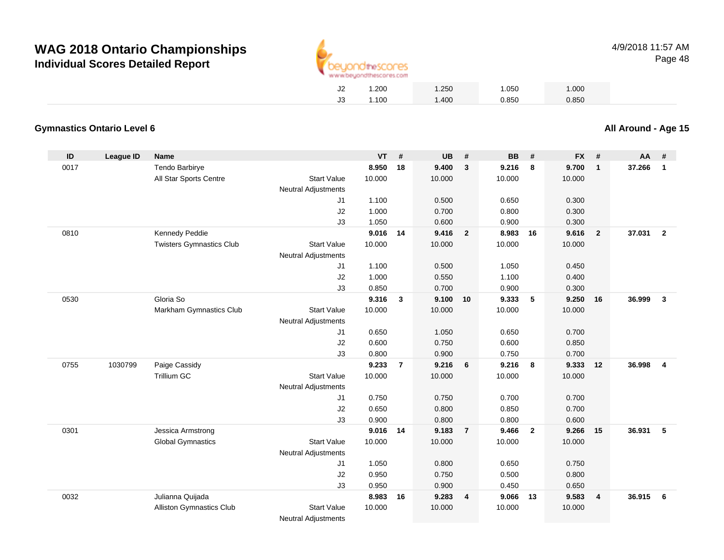

| J2 | 1.200 | 1.250 | 1.050 | 1.000 |
|----|-------|-------|-------|-------|
| JЗ | 1.100 | 1.400 | 0.850 | 0.850 |

#### **Gymnastics Ontario Level 6**

**ID League ID Name VT # UB # BB # FX # AA #** 0017 Tendo Barbirye **8.950 <sup>18</sup> 9.400 <sup>3</sup> 9.216 <sup>8</sup> 9.700 <sup>1</sup> 37.266 <sup>1</sup>** All Star Sports Centre Start Value 10.000 10.000 10.000 10.000 Neutral Adjustments J1 1.100 0.500 0.650 0.300 J2 1.000 0.700 0.800 0.300 J3 1.050 0.600 0.900 0.300 0810 Kennedy Peddie **9.016 <sup>14</sup> 9.416 <sup>2</sup> 8.983 <sup>16</sup> 9.616 <sup>2</sup> 37.031 <sup>2</sup>** Twisters Gymnastics Clubb 3tart Value 10.000 10.000 10.000 10.000 10.000 Neutral Adjustments J1 1.100 0.500 1.050 0.450 J2 1.000 0.550 1.100 0.400 J3 0.850 0.700 0.900 0.300 0530 Gloria So **9.316 <sup>3</sup> 9.100 <sup>10</sup> 9.333 <sup>5</sup> 9.250 <sup>16</sup> 36.999 <sup>3</sup>** Markham Gymnastics Clubb 3tart Value 10.000 10.000 10.000 10.000 10.000 Neutral Adjustments J1 0.650 1.050 0.650 0.700 J2 0.600 0.750 0.600 0.850 J3 0.800 0.900 0.750 0.700 0755 <sup>1030799</sup> Paige Cassidy **9.233 <sup>7</sup> 9.216 <sup>6</sup> 9.216 <sup>8</sup> 9.333 <sup>12</sup> 36.998 <sup>4</sup>** Trillium GCC 313 Start Value 10.000 10.000 10.000 10.000 10.000 Neutral Adjustments J1 0.750 0.750 0.700 0.700 J2 0.650 0.800 0.850 0.700 J3 0.900 0.800 0.800 0.600 0301 Jessica Armstrong **9.016 <sup>14</sup> 9.183 <sup>7</sup> 9.466 <sup>2</sup> 9.266 <sup>15</sup> 36.931 <sup>5</sup>** Global Gymnastics Start Valuee 10.000 10.000 10.000 10.000 Neutral Adjustments J1 1.050 0.800 0.650 0.750 J2 0.950 0.750 0.500 0.800 J3 0.950 0.900 0.450 0.650 0032 Julianna Quijada **8.983 <sup>16</sup> 9.283 <sup>4</sup> 9.066 <sup>13</sup> 9.583 <sup>4</sup> 36.915 <sup>6</sup>** Alliston Gymnastics Clubb 3tart Value 10.000 10.000 10.000 10.000 10.000 Neutral Adjustments

**All Around - Age 15**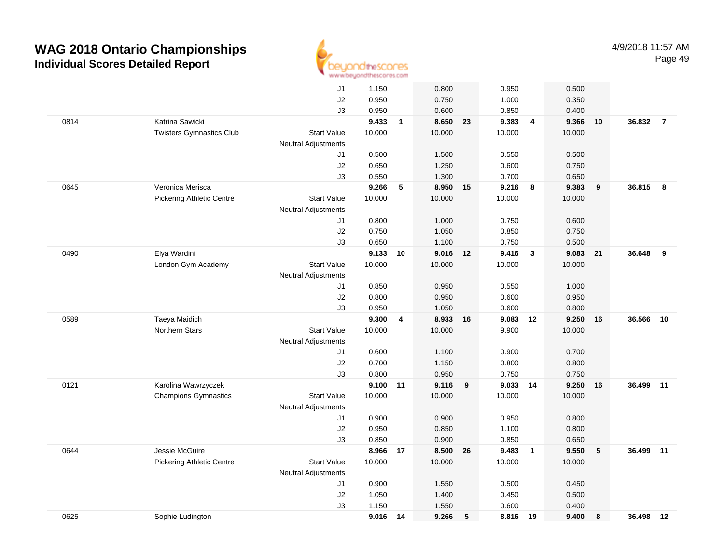

|      |                                  | J1                         | 1.150  |              | 0.800    |    | 0.950    |                         | 0.500  |    |           |                |
|------|----------------------------------|----------------------------|--------|--------------|----------|----|----------|-------------------------|--------|----|-----------|----------------|
|      |                                  | J2                         | 0.950  |              | 0.750    |    | 1.000    |                         | 0.350  |    |           |                |
|      |                                  | J3                         | 0.950  |              | 0.600    |    | 0.850    |                         | 0.400  |    |           |                |
| 0814 | Katrina Sawicki                  |                            | 9.433  | $\mathbf{1}$ | 8.650 23 |    | 9.383    | $\overline{4}$          | 9.366  | 10 | 36.832    | $\overline{7}$ |
|      | <b>Twisters Gymnastics Club</b>  | <b>Start Value</b>         | 10.000 |              | 10.000   |    | 10.000   |                         | 10.000 |    |           |                |
|      |                                  | <b>Neutral Adjustments</b> |        |              |          |    |          |                         |        |    |           |                |
|      |                                  | J1                         | 0.500  |              | 1.500    |    | 0.550    |                         | 0.500  |    |           |                |
|      |                                  | J2                         | 0.650  |              | 1.250    |    | 0.600    |                         | 0.750  |    |           |                |
|      |                                  | J3                         | 0.550  |              | 1.300    |    | 0.700    |                         | 0.650  |    |           |                |
| 0645 | Veronica Merisca                 |                            | 9.266  | 5            | 8.950 15 |    | 9.216    | $\overline{\mathbf{8}}$ | 9.383  | 9  | 36.815    | 8              |
|      | <b>Pickering Athletic Centre</b> | <b>Start Value</b>         | 10.000 |              | 10.000   |    | 10.000   |                         | 10.000 |    |           |                |
|      |                                  | <b>Neutral Adjustments</b> |        |              |          |    |          |                         |        |    |           |                |
|      |                                  | J1                         | 0.800  |              | 1.000    |    | 0.750    |                         | 0.600  |    |           |                |
|      |                                  | J2                         | 0.750  |              | 1.050    |    | 0.850    |                         | 0.750  |    |           |                |
|      |                                  | J3                         | 0.650  |              | 1.100    |    | 0.750    |                         | 0.500  |    |           |                |
| 0490 | Elya Wardini                     |                            | 9.133  | 10           | 9.016 12 |    | 9.416    | $\overline{\mathbf{3}}$ | 9.083  | 21 | 36.648    | 9              |
|      | London Gym Academy               | <b>Start Value</b>         | 10.000 |              | 10.000   |    | 10.000   |                         | 10.000 |    |           |                |
|      |                                  | <b>Neutral Adjustments</b> |        |              |          |    |          |                         |        |    |           |                |
|      |                                  | J1                         | 0.850  |              | 0.950    |    | 0.550    |                         | 1.000  |    |           |                |
|      |                                  | J2                         | 0.800  |              | 0.950    |    | 0.600    |                         | 0.950  |    |           |                |
|      |                                  | J3                         | 0.950  |              | 1.050    |    | 0.600    |                         | 0.800  |    |           |                |
| 0589 | Taeya Maidich                    |                            | 9.300  | 4            | 8.933    | 16 | 9.083    | 12                      | 9.250  | 16 | 36.566    | 10             |
|      | Northern Stars                   | <b>Start Value</b>         | 10.000 |              | 10.000   |    | 9.900    |                         | 10.000 |    |           |                |
|      |                                  | <b>Neutral Adjustments</b> |        |              |          |    |          |                         |        |    |           |                |
|      |                                  | J1                         | 0.600  |              | 1.100    |    | 0.900    |                         | 0.700  |    |           |                |
|      |                                  | J2                         | 0.700  |              | 1.150    |    | 0.800    |                         | 0.800  |    |           |                |
|      |                                  | J3                         | 0.800  |              | 0.950    |    | 0.750    |                         | 0.750  |    |           |                |
| 0121 | Karolina Wawrzyczek              |                            | 9.100  | 11           | 9.116    | 9  | 9.033 14 |                         | 9.250  | 16 | 36.499    | 11             |
|      | <b>Champions Gymnastics</b>      | <b>Start Value</b>         | 10.000 |              | 10.000   |    | 10.000   |                         | 10.000 |    |           |                |
|      |                                  | <b>Neutral Adjustments</b> |        |              |          |    |          |                         |        |    |           |                |
|      |                                  | J1                         | 0.900  |              | 0.900    |    | 0.950    |                         | 0.800  |    |           |                |
|      |                                  | J2                         | 0.950  |              | 0.850    |    | 1.100    |                         | 0.800  |    |           |                |
|      |                                  | J3                         | 0.850  |              | 0.900    |    | 0.850    |                         | 0.650  |    |           |                |
| 0644 | Jessie McGuire                   |                            | 8.966  | 17           | 8.500    | 26 | 9.483    | $\overline{\mathbf{1}}$ | 9.550  | 5  | 36.499    | 11             |
|      | <b>Pickering Athletic Centre</b> | <b>Start Value</b>         | 10.000 |              | 10.000   |    | 10.000   |                         | 10.000 |    |           |                |
|      |                                  | <b>Neutral Adjustments</b> |        |              |          |    |          |                         |        |    |           |                |
|      |                                  | J1                         | 0.900  |              | 1.550    |    | 0.500    |                         | 0.450  |    |           |                |
|      |                                  | J2                         | 1.050  |              | 1.400    |    | 0.450    |                         | 0.500  |    |           |                |
|      |                                  | J3                         | 1.150  |              | 1.550    |    | 0.600    |                         | 0.400  |    |           |                |
| 0625 | Sophie Ludington                 |                            | 9.016  | 14           | 9.266    | 5  | 8.816 19 |                         | 9.400  | 8  | 36.498 12 |                |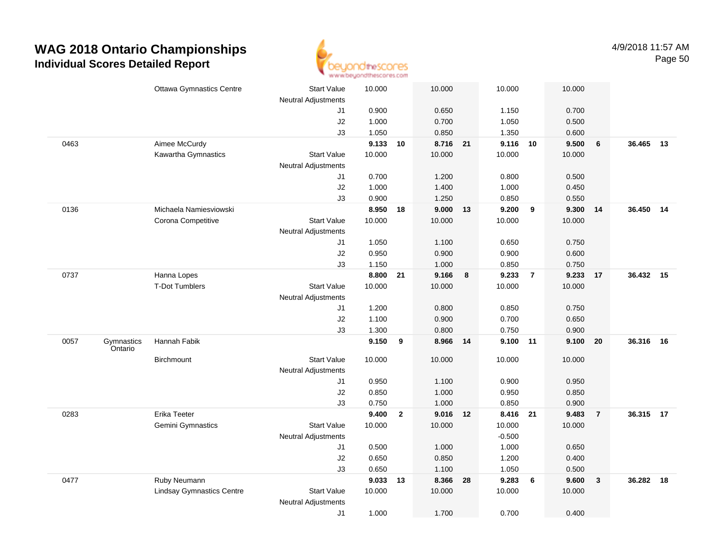

|      |                       | <b>Ottawa Gymnastics Centre</b>  | <b>Start Value</b>               | 10.000         |                | 10.000            |    | 10.000            |                | 10.000         |                |           |    |
|------|-----------------------|----------------------------------|----------------------------------|----------------|----------------|-------------------|----|-------------------|----------------|----------------|----------------|-----------|----|
|      |                       |                                  | <b>Neutral Adjustments</b>       |                |                |                   |    |                   |                |                |                |           |    |
|      |                       |                                  | J1                               | 0.900          |                | 0.650             |    | 1.150             |                | 0.700          |                |           |    |
|      |                       |                                  | J2<br>J3                         | 1.000<br>1.050 |                | 0.700             |    | 1.050<br>1.350    |                | 0.500<br>0.600 |                |           |    |
| 0463 |                       | Aimee McCurdy                    |                                  | 9.133          | 10             | 0.850<br>8.716 21 |    | 9.116 10          |                | 9.500          | 6              | 36.465    | 13 |
|      |                       | Kawartha Gymnastics              | <b>Start Value</b>               | 10.000         |                | 10.000            |    | 10.000            |                | 10.000         |                |           |    |
|      |                       |                                  | <b>Neutral Adjustments</b>       |                |                |                   |    |                   |                |                |                |           |    |
|      |                       |                                  | J1                               | 0.700          |                | 1.200             |    | 0.800             |                | 0.500          |                |           |    |
|      |                       |                                  | J2                               | 1.000          |                | 1.400             |    | 1.000             |                | 0.450          |                |           |    |
|      |                       |                                  | J3                               | 0.900          |                | 1.250             |    | 0.850             |                | 0.550          |                |           |    |
| 0136 |                       | Michaela Namiesviowski           |                                  | 8.950          | 18             | 9.000             | 13 | 9.200             | 9              | 9.300          | 14             | 36.450    | 14 |
|      |                       | Corona Competitive               | <b>Start Value</b>               | 10.000         |                | 10.000            |    | 10.000            |                | 10.000         |                |           |    |
|      |                       |                                  | Neutral Adjustments              |                |                |                   |    |                   |                |                |                |           |    |
|      |                       |                                  | J1                               | 1.050          |                | 1.100             |    | 0.650             |                | 0.750          |                |           |    |
|      |                       |                                  | J2                               | 0.950          |                | 0.900             |    | 0.900             |                | 0.600          |                |           |    |
|      |                       |                                  | J3                               | 1.150          |                | 1.000             |    | 0.850             |                | 0.750          |                |           |    |
| 0737 |                       | Hanna Lopes                      |                                  | 8.800          | 21             | 9.166             | 8  | 9.233             | $\overline{7}$ | 9.233          | 17             | 36.432 15 |    |
|      |                       | <b>T-Dot Tumblers</b>            | <b>Start Value</b>               | 10.000         |                | 10.000            |    | 10.000            |                | 10.000         |                |           |    |
|      |                       |                                  | <b>Neutral Adjustments</b>       |                |                |                   |    |                   |                |                |                |           |    |
|      |                       |                                  | J1                               | 1.200          |                | 0.800             |    | 0.850             |                | 0.750          |                |           |    |
|      |                       |                                  | J2                               | 1.100          |                | 0.900             |    | 0.700             |                | 0.650          |                |           |    |
|      |                       |                                  | J3                               | 1.300          |                | 0.800             |    | 0.750             |                | 0.900          |                |           |    |
| 0057 | Gymnastics<br>Ontario | Hannah Fabik                     |                                  | 9.150          | 9              | 8.966             | 14 | 9.100 11          |                | 9.100          | 20             | 36.316    | 16 |
|      |                       | Birchmount                       | <b>Start Value</b>               | 10.000         |                | 10.000            |    | 10.000            |                | 10.000         |                |           |    |
|      |                       |                                  | <b>Neutral Adjustments</b>       |                |                |                   |    |                   |                |                |                |           |    |
|      |                       |                                  | J1                               | 0.950          |                | 1.100             |    | 0.900             |                | 0.950          |                |           |    |
|      |                       |                                  | J2                               | 0.850          |                | 1.000             |    | 0.950             |                | 0.850          |                |           |    |
|      |                       |                                  | J3                               | 0.750          |                | 1.000             |    | 0.850             |                | 0.900          |                |           |    |
| 0283 |                       | Erika Teeter                     |                                  | 9.400          | $\overline{2}$ | 9.016 12          |    | 8.416 21          |                | 9.483          | $\overline{7}$ | 36.315 17 |    |
|      |                       | Gemini Gymnastics                | <b>Start Value</b>               | 10.000         |                | 10.000            |    | 10.000            |                | 10.000         |                |           |    |
|      |                       |                                  | <b>Neutral Adjustments</b><br>J1 | 0.500          |                | 1.000             |    | $-0.500$<br>1.000 |                | 0.650          |                |           |    |
|      |                       |                                  | J2                               | 0.650          |                | 0.850             |    | 1.200             |                | 0.400          |                |           |    |
|      |                       |                                  | J3                               | 0.650          |                | 1.100             |    | 1.050             |                | 0.500          |                |           |    |
| 0477 |                       | Ruby Neumann                     |                                  | 9.033          | 13             | 8.366             | 28 | 9.283             | 6              | 9.600          | $\mathbf{3}$   | 36.282    | 18 |
|      |                       | <b>Lindsay Gymnastics Centre</b> | <b>Start Value</b>               | 10.000         |                | 10.000            |    | 10.000            |                | 10.000         |                |           |    |
|      |                       |                                  | <b>Neutral Adjustments</b>       |                |                |                   |    |                   |                |                |                |           |    |
|      |                       |                                  | J1                               | 1.000          |                | 1.700             |    | 0.700             |                | 0.400          |                |           |    |
|      |                       |                                  |                                  |                |                |                   |    |                   |                |                |                |           |    |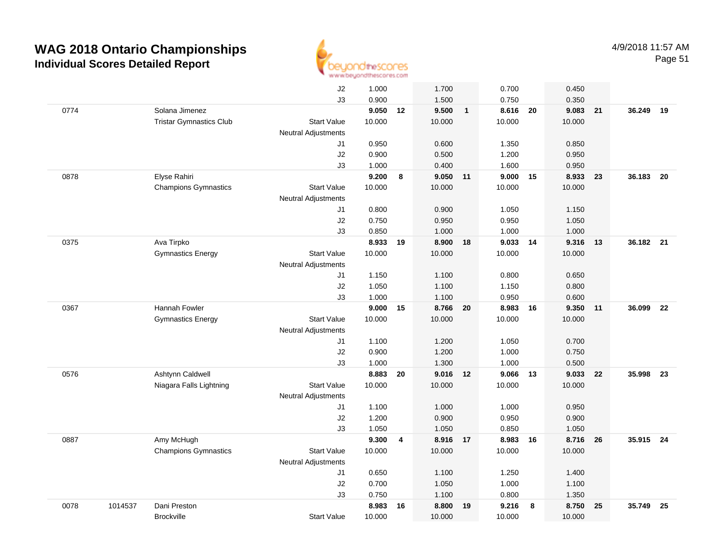

|      |         |                                | J2                         | 1.000  |                         | 1.700    |              | 0.700    |      | 0.450  |    |           |      |
|------|---------|--------------------------------|----------------------------|--------|-------------------------|----------|--------------|----------|------|--------|----|-----------|------|
|      |         |                                | J3                         | 0.900  |                         | 1.500    |              | 0.750    |      | 0.350  |    |           |      |
| 0774 |         | Solana Jimenez                 |                            | 9.050  | 12                      | 9.500    | $\mathbf{1}$ | 8.616    | 20   | 9.083  | 21 | 36.249    | 19   |
|      |         | <b>Tristar Gymnastics Club</b> | <b>Start Value</b>         | 10.000 |                         | 10.000   |              | 10.000   |      | 10.000 |    |           |      |
|      |         |                                | <b>Neutral Adjustments</b> |        |                         |          |              |          |      |        |    |           |      |
|      |         |                                | J1                         | 0.950  |                         | 0.600    |              | 1.350    |      | 0.850  |    |           |      |
|      |         |                                | J2                         | 0.900  |                         | 0.500    |              | 1.200    |      | 0.950  |    |           |      |
|      |         |                                | J3                         | 1.000  |                         | 0.400    |              | 1.600    |      | 0.950  |    |           |      |
| 0878 |         | Elyse Rahiri                   |                            | 9.200  | 8                       | 9.050 11 |              | 9.000    | - 15 | 8.933  | 23 | 36.183    | - 20 |
|      |         | <b>Champions Gymnastics</b>    | <b>Start Value</b>         | 10.000 |                         | 10.000   |              | 10.000   |      | 10.000 |    |           |      |
|      |         |                                | <b>Neutral Adjustments</b> |        |                         |          |              |          |      |        |    |           |      |
|      |         |                                | J1                         | 0.800  |                         | 0.900    |              | 1.050    |      | 1.150  |    |           |      |
|      |         |                                | J2                         | 0.750  |                         | 0.950    |              | 0.950    |      | 1.050  |    |           |      |
|      |         |                                | J3                         | 0.850  |                         | 1.000    |              | 1.000    |      | 1.000  |    |           |      |
| 0375 |         | Ava Tirpko                     |                            | 8.933  | 19                      | 8.900    | 18           | 9.033 14 |      | 9.316  | 13 | 36.182 21 |      |
|      |         | <b>Gymnastics Energy</b>       | <b>Start Value</b>         | 10.000 |                         | 10.000   |              | 10.000   |      | 10.000 |    |           |      |
|      |         |                                | <b>Neutral Adjustments</b> |        |                         |          |              |          |      |        |    |           |      |
|      |         |                                | J1                         | 1.150  |                         | 1.100    |              | 0.800    |      | 0.650  |    |           |      |
|      |         |                                | J2                         | 1.050  |                         | 1.100    |              | 1.150    |      | 0.800  |    |           |      |
|      |         |                                | J3                         | 1.000  |                         | 1.100    |              | 0.950    |      | 0.600  |    |           |      |
| 0367 |         | Hannah Fowler                  |                            | 9.000  | 15                      | 8.766    | 20           | 8.983    | 16   | 9.350  | 11 | 36.099    | 22   |
|      |         | <b>Gymnastics Energy</b>       | <b>Start Value</b>         | 10.000 |                         | 10.000   |              | 10.000   |      | 10.000 |    |           |      |
|      |         |                                | <b>Neutral Adjustments</b> |        |                         |          |              |          |      |        |    |           |      |
|      |         |                                | J1                         | 1.100  |                         | 1.200    |              | 1.050    |      | 0.700  |    |           |      |
|      |         |                                | J2                         | 0.900  |                         | 1.200    |              | 1.000    |      | 0.750  |    |           |      |
|      |         |                                | J3                         | 1.000  |                         | 1.300    |              | 1.000    |      | 0.500  |    |           |      |
| 0576 |         | Ashtynn Caldwell               |                            | 8.883  | 20                      | 9.016    | 12           | 9.066    | 13   | 9.033  | 22 | 35.998    | 23   |
|      |         | Niagara Falls Lightning        | <b>Start Value</b>         | 10.000 |                         | 10.000   |              | 10.000   |      | 10.000 |    |           |      |
|      |         |                                | <b>Neutral Adjustments</b> |        |                         |          |              |          |      |        |    |           |      |
|      |         |                                | J1                         | 1.100  |                         | 1.000    |              | 1.000    |      | 0.950  |    |           |      |
|      |         |                                | J2                         | 1.200  |                         | 0.900    |              | 0.950    |      | 0.900  |    |           |      |
|      |         |                                | J3                         | 1.050  |                         | 1.050    |              | 0.850    |      | 1.050  |    |           |      |
| 0887 |         | Amy McHugh                     |                            | 9.300  | $\overline{\mathbf{4}}$ | 8.916 17 |              | 8.983    | 16   | 8.716  | 26 | 35.915 24 |      |
|      |         | <b>Champions Gymnastics</b>    | <b>Start Value</b>         | 10.000 |                         | 10.000   |              | 10.000   |      | 10.000 |    |           |      |
|      |         |                                | <b>Neutral Adjustments</b> |        |                         |          |              |          |      |        |    |           |      |
|      |         |                                | J1                         | 0.650  |                         | 1.100    |              | 1.250    |      | 1.400  |    |           |      |
|      |         |                                | J2                         | 0.700  |                         | 1.050    |              | 1.000    |      | 1.100  |    |           |      |
|      |         |                                | J3                         | 0.750  |                         | 1.100    |              | 0.800    |      | 1.350  |    |           |      |
| 0078 | 1014537 | Dani Preston                   |                            | 8.983  | 16                      | 8.800    | 19           | 9.216    | - 8  | 8.750  | 25 | 35.749    | 25   |
|      |         | <b>Brockville</b>              | <b>Start Value</b>         | 10.000 |                         | 10.000   |              | 10.000   |      | 10.000 |    |           |      |
|      |         |                                |                            |        |                         |          |              |          |      |        |    |           |      |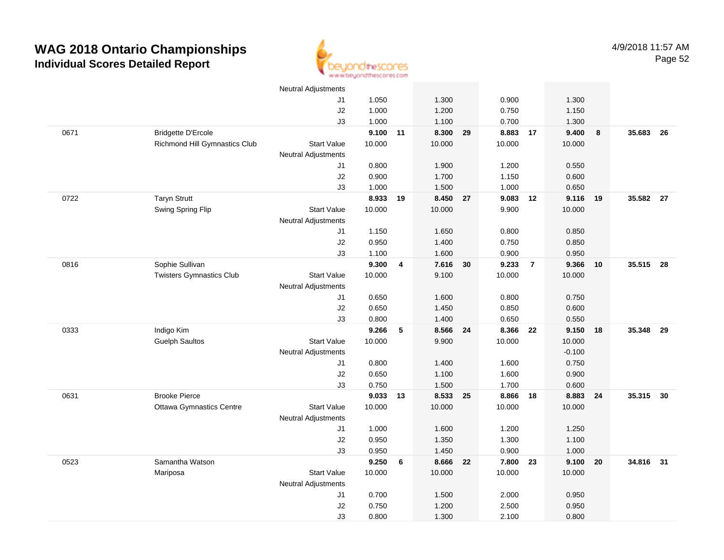

|      |                                 | <b>Neutral Adjustments</b> |          |    |          |    |          |                |          |    |           |      |
|------|---------------------------------|----------------------------|----------|----|----------|----|----------|----------------|----------|----|-----------|------|
|      |                                 | J1                         | 1.050    |    | 1.300    |    | 0.900    |                | 1.300    |    |           |      |
|      |                                 | J2                         | 1.000    |    | 1.200    |    | 0.750    |                | 1.150    |    |           |      |
|      |                                 | J3                         | 1.000    |    | 1.100    |    | 0.700    |                | 1.300    |    |           |      |
| 0671 | <b>Bridgette D'Ercole</b>       |                            | 9.100 11 |    | 8.300    | 29 | 8.883    | 17             | 9.400    | 8  | 35.683    | - 26 |
|      | Richmond Hill Gymnastics Club   | <b>Start Value</b>         | 10.000   |    | 10.000   |    | 10.000   |                | 10.000   |    |           |      |
|      |                                 | <b>Neutral Adjustments</b> |          |    |          |    |          |                |          |    |           |      |
|      |                                 | J1                         | 0.800    |    | 1.900    |    | 1.200    |                | 0.550    |    |           |      |
|      |                                 | J2                         | 0.900    |    | 1.700    |    | 1.150    |                | 0.600    |    |           |      |
|      |                                 | J3                         | 1.000    |    | 1.500    |    | 1.000    |                | 0.650    |    |           |      |
| 0722 | <b>Taryn Strutt</b>             |                            | 8.933    | 19 | 8.450 27 |    | 9.083 12 |                | 9.116    | 19 | 35.582 27 |      |
|      | Swing Spring Flip               | <b>Start Value</b>         | 10.000   |    | 10.000   |    | 9.900    |                | 10.000   |    |           |      |
|      |                                 | Neutral Adjustments        |          |    |          |    |          |                |          |    |           |      |
|      |                                 | J1                         | 1.150    |    | 1.650    |    | 0.800    |                | 0.850    |    |           |      |
|      |                                 | J2                         | 0.950    |    | 1.400    |    | 0.750    |                | 0.850    |    |           |      |
|      |                                 | J3                         | 1.100    |    | 1.600    |    | 0.900    |                | 0.950    |    |           |      |
| 0816 | Sophie Sullivan                 |                            | 9.300    | 4  | 7.616    | 30 | 9.233    | $\overline{7}$ | 9.366    | 10 | 35.515    | - 28 |
|      | <b>Twisters Gymnastics Club</b> | <b>Start Value</b>         | 10.000   |    | 9.100    |    | 10.000   |                | 10.000   |    |           |      |
|      |                                 | <b>Neutral Adjustments</b> |          |    |          |    |          |                |          |    |           |      |
|      |                                 | J1                         | 0.650    |    | 1.600    |    | 0.800    |                | 0.750    |    |           |      |
|      |                                 | J2                         | 0.650    |    | 1.450    |    | 0.850    |                | 0.600    |    |           |      |
|      |                                 | J3                         | 0.800    |    | 1.400    |    | 0.650    |                | 0.550    |    |           |      |
| 0333 | Indigo Kim                      |                            | 9.266    | 5  | 8.566    | 24 | 8.366    | 22             | 9.150    | 18 | 35.348    | - 29 |
|      | <b>Guelph Saultos</b>           | <b>Start Value</b>         | 10.000   |    | 9.900    |    | 10.000   |                | 10.000   |    |           |      |
|      |                                 | <b>Neutral Adjustments</b> |          |    |          |    |          |                | $-0.100$ |    |           |      |
|      |                                 | J1                         | 0.800    |    | 1.400    |    | 1.600    |                | 0.750    |    |           |      |
|      |                                 | J2                         | 0.650    |    | 1.100    |    | 1.600    |                | 0.900    |    |           |      |
|      |                                 | J3                         | 0.750    |    | 1.500    |    | 1.700    |                | 0.600    |    |           |      |
| 0631 | <b>Brooke Pierce</b>            |                            | 9.033 13 |    | 8.533 25 |    | 8.866    | 18             | 8.883    | 24 | 35.315 30 |      |
|      | <b>Ottawa Gymnastics Centre</b> | <b>Start Value</b>         | 10.000   |    | 10.000   |    | 10.000   |                | 10.000   |    |           |      |
|      |                                 | Neutral Adjustments        |          |    |          |    |          |                |          |    |           |      |
|      |                                 | J1                         | 1.000    |    | 1.600    |    | 1.200    |                | 1.250    |    |           |      |
|      |                                 | J2                         | 0.950    |    | 1.350    |    | 1.300    |                | 1.100    |    |           |      |
|      |                                 | J3                         | 0.950    |    | 1.450    |    | 0.900    |                | 1.000    |    |           |      |
| 0523 | Samantha Watson                 |                            | 9.250    | 6  | 8.666    | 22 | 7.800    | 23             | 9.100    | 20 | 34.816 31 |      |
|      | Mariposa                        | <b>Start Value</b>         | 10.000   |    | 10.000   |    | 10.000   |                | 10.000   |    |           |      |
|      |                                 | <b>Neutral Adjustments</b> |          |    |          |    |          |                |          |    |           |      |
|      |                                 | J1                         | 0.700    |    | 1.500    |    | 2.000    |                | 0.950    |    |           |      |
|      |                                 | J2                         | 0.750    |    | 1.200    |    | 2.500    |                | 0.950    |    |           |      |
|      |                                 | J3                         | 0.800    |    | 1.300    |    | 2.100    |                | 0.800    |    |           |      |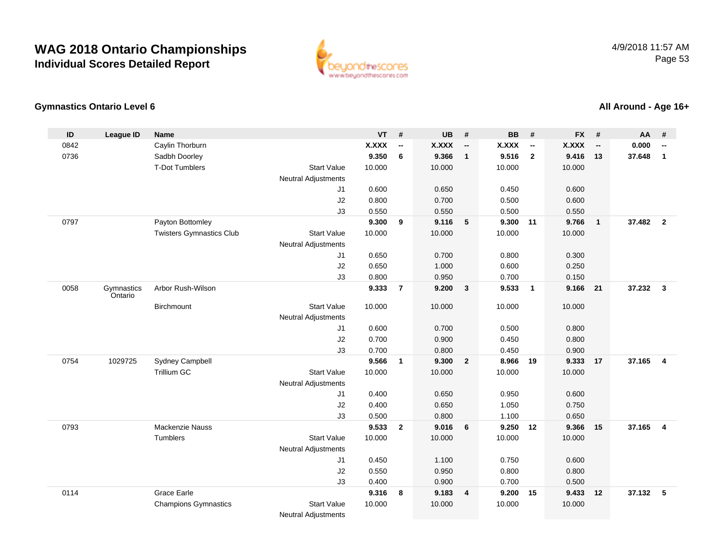

#### **Gymnastics Ontario Level 6**

**ID League ID Name VT # UB # BB # FX # AA #** 0842Caylin Thorburn **X.XXX**<br>
Sadbh Doorlev **X.XXX**<br>
9.350 **-- X.XXX -- X.XXX -- X.XXX -- 0.000 --** 0736 Sadbh Doorley **9.350 <sup>6</sup> 9.366 <sup>1</sup> 9.516 <sup>2</sup> 9.416 <sup>13</sup> 37.648 <sup>1</sup>** T-Dot Tumblers Start Valuee 10.000 10.000 10.000 10.000 Neutral Adjustments J1 0.600 0.650 0.450 0.600 J2 0.800 0.700 0.500 0.600 J3 0.550 0.550 0.500 0.550 0797 Payton Bottomley **9.300 <sup>9</sup> 9.116 <sup>5</sup> 9.300 <sup>11</sup> 9.766 <sup>1</sup> 37.482 <sup>2</sup>** Twisters Gymnastics Clubb 3tart Value 10.000 10.000 10.000 10.000 10.000 Neutral Adjustments J1 0.650 0.700 0.800 0.300 J2 0.650 1.000 0.600 0.250 J3 0.800 0.950 0.700 0.150 0058 Gymnastics OntarioArbor Rush-Wilson **9.333 <sup>7</sup> 9.200 <sup>3</sup> 9.533 <sup>1</sup> 9.166 <sup>21</sup> 37.232 <sup>3</sup> Birchmount**  Start Valuee 10.000 10.000 10.000 10.000 Neutral Adjustments J1 0.600 0.700 0.500 0.800 J2 0.700 0.900 0.450 0.800 J3 0.700 0.800 0.450 0.900 0754 <sup>1029725</sup> Sydney Campbell **9.566 <sup>1</sup> 9.300 <sup>2</sup> 8.966 <sup>19</sup> 9.333 <sup>17</sup> 37.165 <sup>4</sup>** Trillium GCC 313 Start Value 10.000 10.000 10.000 10.000 10.000 Neutral Adjustments J1 0.400 0.650 0.950 0.600 J2 0.400 0.650 1.050 0.750 J3 0.500 0.800 1.100 0.650 0793 Mackenzie Nauss **9.533 <sup>2</sup> 9.016 <sup>6</sup> 9.250 <sup>12</sup> 9.366 <sup>15</sup> 37.165 <sup>4</sup> Tumblers**  Start Valuee 10.000 10.000 10.000 10.000 Neutral Adjustments J1 0.450 1.100 0.750 0.600 J2 0.550 0.950 0.800 0.800 J3 0.400 0.900 0.700 0.500 0114 Grace Earle **9.316 <sup>8</sup> 9.183 <sup>4</sup> 9.200 <sup>15</sup> 9.433 <sup>12</sup> 37.132 <sup>5</sup>** Champions Gymnastics Start Valuee 10.000 10.000 10.000 10.000

Neutral Adjustments

#### **All Around - Age 16+**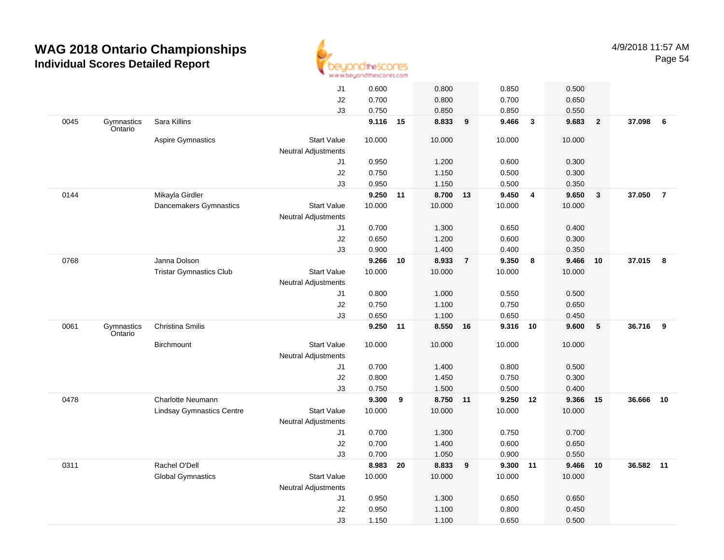

|      |                       |                                  | J1                         | 0.600    |    | 0.800    |                | 0.850    |                | 0.500  |                |           |                |
|------|-----------------------|----------------------------------|----------------------------|----------|----|----------|----------------|----------|----------------|--------|----------------|-----------|----------------|
|      |                       |                                  | J2                         | 0.700    |    | 0.800    |                | 0.700    |                | 0.650  |                |           |                |
|      |                       |                                  | J3                         | 0.750    |    | 0.850    |                | 0.850    |                | 0.550  |                |           |                |
| 0045 | Gymnastics<br>Ontario | Sara Killins                     |                            | 9.116    | 15 | 8.833    | 9              | 9.466    | $\mathbf{3}$   | 9.683  | $\overline{2}$ | 37.098 6  |                |
|      |                       | <b>Aspire Gymnastics</b>         | <b>Start Value</b>         | 10.000   |    | 10.000   |                | 10.000   |                | 10.000 |                |           |                |
|      |                       |                                  | <b>Neutral Adjustments</b> |          |    |          |                |          |                |        |                |           |                |
|      |                       |                                  | J1                         | 0.950    |    | 1.200    |                | 0.600    |                | 0.300  |                |           |                |
|      |                       |                                  | J2                         | 0.750    |    | 1.150    |                | 0.500    |                | 0.300  |                |           |                |
|      |                       |                                  | J3                         | 0.950    |    | 1.150    |                | 0.500    |                | 0.350  |                |           |                |
| 0144 |                       | Mikayla Girdler                  |                            | 9.250 11 |    | 8.700 13 |                | 9.450    | $\overline{4}$ | 9.650  | $\mathbf{3}$   | 37.050    | $\overline{7}$ |
|      |                       | Dancemakers Gymnastics           | <b>Start Value</b>         | 10.000   |    | 10.000   |                | 10.000   |                | 10.000 |                |           |                |
|      |                       |                                  | <b>Neutral Adjustments</b> |          |    |          |                |          |                |        |                |           |                |
|      |                       |                                  | J1                         | 0.700    |    | 1.300    |                | 0.650    |                | 0.400  |                |           |                |
|      |                       |                                  | J2                         | 0.650    |    | 1.200    |                | 0.600    |                | 0.300  |                |           |                |
|      |                       |                                  | J3                         | 0.900    |    | 1.400    |                | 0.400    |                | 0.350  |                |           |                |
| 0768 |                       | Janna Dolson                     |                            | 9.266    | 10 | 8.933    | $\overline{7}$ | 9.350    | 8              | 9.466  | 10             | 37.015 8  |                |
|      |                       | <b>Tristar Gymnastics Club</b>   | <b>Start Value</b>         | 10.000   |    | 10.000   |                | 10.000   |                | 10.000 |                |           |                |
|      |                       |                                  | <b>Neutral Adjustments</b> |          |    |          |                |          |                |        |                |           |                |
|      |                       |                                  | J1                         | 0.800    |    | 1.000    |                | 0.550    |                | 0.500  |                |           |                |
|      |                       |                                  | J2                         | 0.750    |    | 1.100    |                | 0.750    |                | 0.650  |                |           |                |
|      |                       |                                  | J3                         | 0.650    |    | 1.100    |                | 0.650    |                | 0.450  |                |           |                |
| 0061 | Gymnastics<br>Ontario | Christina Smilis                 |                            | 9.250 11 |    | 8.550 16 |                | 9.316 10 |                | 9.600  | $\sqrt{5}$     | 36.716 9  |                |
|      |                       | Birchmount                       | <b>Start Value</b>         | 10.000   |    | 10.000   |                | 10.000   |                | 10.000 |                |           |                |
|      |                       |                                  | <b>Neutral Adjustments</b> |          |    |          |                |          |                |        |                |           |                |
|      |                       |                                  | J1                         | 0.700    |    | 1.400    |                | 0.800    |                | 0.500  |                |           |                |
|      |                       |                                  | J2                         | 0.800    |    | 1.450    |                | 0.750    |                | 0.300  |                |           |                |
|      |                       |                                  | J3                         | 0.750    |    | 1.500    |                | 0.500    |                | 0.400  |                |           |                |
| 0478 |                       | <b>Charlotte Neumann</b>         |                            | 9.300    | 9  | 8.750 11 |                | 9.250    | 12             | 9.366  | 15             | 36.666    | 10             |
|      |                       | <b>Lindsay Gymnastics Centre</b> | <b>Start Value</b>         | 10.000   |    | 10.000   |                | 10.000   |                | 10.000 |                |           |                |
|      |                       |                                  | <b>Neutral Adjustments</b> |          |    |          |                |          |                |        |                |           |                |
|      |                       |                                  | J1                         | 0.700    |    | 1.300    |                | 0.750    |                | 0.700  |                |           |                |
|      |                       |                                  | J2                         | 0.700    |    | 1.400    |                | 0.600    |                | 0.650  |                |           |                |
|      |                       |                                  | J3                         | 0.700    |    | 1.050    |                | 0.900    |                | 0.550  |                |           |                |
| 0311 |                       | Rachel O'Dell                    |                            | 8.983    | 20 | 8.833    | 9              | 9.300    | 11             | 9.466  | 10             | 36.582 11 |                |
|      |                       | <b>Global Gymnastics</b>         | <b>Start Value</b>         | 10.000   |    | 10.000   |                | 10.000   |                | 10.000 |                |           |                |
|      |                       |                                  | <b>Neutral Adjustments</b> |          |    |          |                |          |                |        |                |           |                |
|      |                       |                                  | J1                         | 0.950    |    | 1.300    |                | 0.650    |                | 0.650  |                |           |                |
|      |                       |                                  |                            |          |    |          |                |          |                |        |                |           |                |
|      |                       |                                  | J2                         | 0.950    |    | 1.100    |                | 0.800    |                | 0.450  |                |           |                |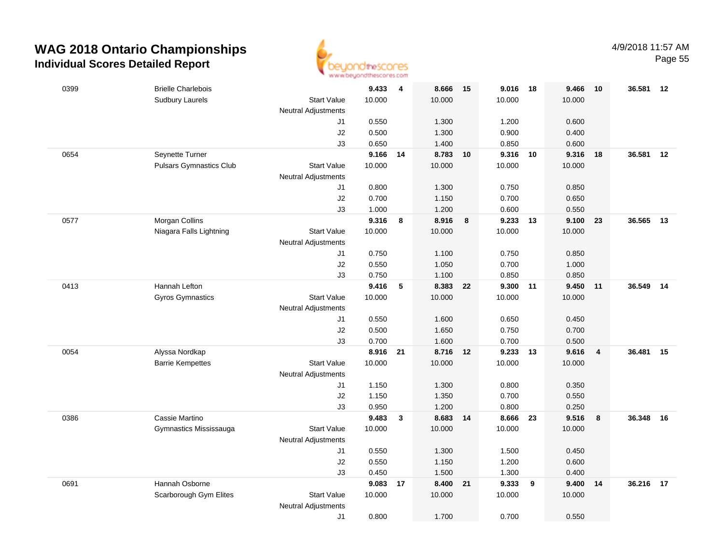

| 0399 | <b>Brielle Charlebois</b>      |                                  | 9.433    | $\overline{\mathbf{4}}$ | 8.666    | 15 | 9.016  | 18    | 9.466  | 10                      | 36.581 | 12 |
|------|--------------------------------|----------------------------------|----------|-------------------------|----------|----|--------|-------|--------|-------------------------|--------|----|
|      | <b>Sudbury Laurels</b>         | <b>Start Value</b>               | 10.000   |                         | 10.000   |    | 10.000 |       | 10.000 |                         |        |    |
|      |                                | <b>Neutral Adjustments</b>       |          |                         |          |    |        |       |        |                         |        |    |
|      |                                | J1                               | 0.550    |                         | 1.300    |    | 1.200  |       | 0.600  |                         |        |    |
|      |                                | $\sf J2$                         | 0.500    |                         | 1.300    |    | 0.900  |       | 0.400  |                         |        |    |
|      |                                | J3                               | 0.650    |                         | 1.400    |    | 0.850  |       | 0.600  |                         |        |    |
| 0654 | Seynette Turner                |                                  | 9.166    | 14                      | 8.783 10 |    | 9.316  | 10    | 9.316  | 18                      | 36.581 | 12 |
|      | <b>Pulsars Gymnastics Club</b> | <b>Start Value</b>               | 10.000   |                         | 10.000   |    | 10.000 |       | 10.000 |                         |        |    |
|      |                                | <b>Neutral Adjustments</b><br>J1 | 0.800    |                         | 1.300    |    | 0.750  |       | 0.850  |                         |        |    |
|      |                                | J2                               | 0.700    |                         | 1.150    |    | 0.700  |       | 0.650  |                         |        |    |
|      |                                | J3                               | 1.000    |                         | 1.200    |    | 0.600  |       | 0.550  |                         |        |    |
| 0577 | Morgan Collins                 |                                  | 9.316    | 8                       | 8.916    | 8  | 9.233  | 13    | 9.100  | 23                      | 36.565 | 13 |
|      | Niagara Falls Lightning        | <b>Start Value</b>               | 10.000   |                         | 10.000   |    | 10.000 |       | 10.000 |                         |        |    |
|      |                                | <b>Neutral Adjustments</b>       |          |                         |          |    |        |       |        |                         |        |    |
|      |                                | J1                               | 0.750    |                         | 1.100    |    | 0.750  |       | 0.850  |                         |        |    |
|      |                                | J2                               | 0.550    |                         | 1.050    |    | 0.700  |       | 1.000  |                         |        |    |
|      |                                | J3                               | 0.750    |                         | 1.100    |    | 0.850  |       | 0.850  |                         |        |    |
| 0413 | Hannah Lefton                  |                                  | 9.416    | 5                       | 8.383 22 |    | 9.300  | $-11$ | 9.450  | 11                      | 36.549 | 14 |
|      | Gyros Gymnastics               | <b>Start Value</b>               | 10.000   |                         | 10.000   |    | 10.000 |       | 10.000 |                         |        |    |
|      |                                | <b>Neutral Adjustments</b>       |          |                         |          |    |        |       |        |                         |        |    |
|      |                                | J1                               | 0.550    |                         | 1.600    |    | 0.650  |       | 0.450  |                         |        |    |
|      |                                | J2                               | 0.500    |                         | 1.650    |    | 0.750  |       | 0.700  |                         |        |    |
|      |                                | J3                               | 0.700    |                         | 1.600    |    | 0.700  |       | 0.500  |                         |        |    |
| 0054 | Alyssa Nordkap                 |                                  | 8.916 21 |                         | 8.716    | 12 | 9.233  | 13    | 9.616  | $\overline{\mathbf{4}}$ | 36.481 | 15 |
|      | <b>Barrie Kempettes</b>        | <b>Start Value</b>               | 10.000   |                         | 10.000   |    | 10.000 |       | 10.000 |                         |        |    |
|      |                                | <b>Neutral Adjustments</b><br>J1 | 1.150    |                         | 1.300    |    | 0.800  |       | 0.350  |                         |        |    |
|      |                                | J2                               | 1.150    |                         | 1.350    |    | 0.700  |       | 0.550  |                         |        |    |
|      |                                | J3                               | 0.950    |                         | 1.200    |    | 0.800  |       | 0.250  |                         |        |    |
| 0386 | Cassie Martino                 |                                  | 9.483    | $\mathbf{3}$            | 8.683    | 14 | 8.666  | - 23  | 9.516  | 8                       | 36.348 | 16 |
|      | Gymnastics Mississauga         | <b>Start Value</b>               | 10.000   |                         | 10.000   |    | 10.000 |       | 10.000 |                         |        |    |
|      |                                | <b>Neutral Adjustments</b>       |          |                         |          |    |        |       |        |                         |        |    |
|      |                                | J1                               | 0.550    |                         | 1.300    |    | 1.500  |       | 0.450  |                         |        |    |
|      |                                | J2                               | 0.550    |                         | 1.150    |    | 1.200  |       | 0.600  |                         |        |    |
|      |                                | J3                               | 0.450    |                         | 1.500    |    | 1.300  |       | 0.400  |                         |        |    |
| 0691 | Hannah Osborne                 |                                  | 9.083    | 17                      | 8.400    | 21 | 9.333  | 9     | 9.400  | 14                      | 36.216 | 17 |
|      | Scarborough Gym Elites         | <b>Start Value</b>               | 10.000   |                         | 10.000   |    | 10.000 |       | 10.000 |                         |        |    |
|      |                                | <b>Neutral Adjustments</b>       |          |                         |          |    |        |       |        |                         |        |    |
|      |                                | J1                               | 0.800    |                         | 1.700    |    | 0.700  |       | 0.550  |                         |        |    |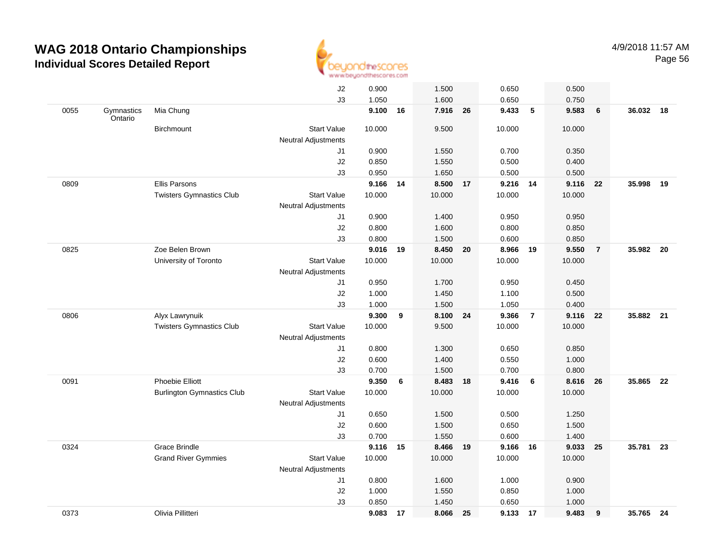

|      |                       |                                   | J2                         | 0.900  |    | 1.500    |    | 0.650    |                | 0.500  |                 |           |    |
|------|-----------------------|-----------------------------------|----------------------------|--------|----|----------|----|----------|----------------|--------|-----------------|-----------|----|
|      |                       |                                   | J3                         | 1.050  |    | 1.600    |    | 0.650    |                | 0.750  |                 |           |    |
| 0055 | Gymnastics<br>Ontario | Mia Chung                         |                            | 9.100  | 16 | 7.916 26 |    | 9.433    | 5              | 9.583  | $6\phantom{1}6$ | 36.032 18 |    |
|      |                       | Birchmount                        | <b>Start Value</b>         | 10.000 |    | 9.500    |    | 10.000   |                | 10.000 |                 |           |    |
|      |                       |                                   | <b>Neutral Adjustments</b> |        |    |          |    |          |                |        |                 |           |    |
|      |                       |                                   | J1                         | 0.900  |    | 1.550    |    | 0.700    |                | 0.350  |                 |           |    |
|      |                       |                                   | J2                         | 0.850  |    | 1.550    |    | 0.500    |                | 0.400  |                 |           |    |
|      |                       |                                   | J3                         | 0.950  |    | 1.650    |    | 0.500    |                | 0.500  |                 |           |    |
| 0809 |                       | <b>Ellis Parsons</b>              |                            | 9.166  | 14 | 8.500 17 |    | 9.216 14 |                | 9.116  | - 22            | 35.998    | 19 |
|      |                       | <b>Twisters Gymnastics Club</b>   | <b>Start Value</b>         | 10.000 |    | 10.000   |    | 10.000   |                | 10.000 |                 |           |    |
|      |                       |                                   | <b>Neutral Adjustments</b> |        |    |          |    |          |                |        |                 |           |    |
|      |                       |                                   | J1                         | 0.900  |    | 1.400    |    | 0.950    |                | 0.950  |                 |           |    |
|      |                       |                                   | J2                         | 0.800  |    | 1.600    |    | 0.800    |                | 0.850  |                 |           |    |
|      |                       |                                   | J3                         | 0.800  |    | 1.500    |    | 0.600    |                | 0.850  |                 |           |    |
| 0825 |                       | Zoe Belen Brown                   |                            | 9.016  | 19 | 8.450 20 |    | 8.966 19 |                | 9.550  | $\overline{7}$  | 35.982 20 |    |
|      |                       | University of Toronto             | <b>Start Value</b>         | 10.000 |    | 10.000   |    | 10.000   |                | 10.000 |                 |           |    |
|      |                       |                                   | <b>Neutral Adjustments</b> |        |    |          |    |          |                |        |                 |           |    |
|      |                       |                                   | J1                         | 0.950  |    | 1.700    |    | 0.950    |                | 0.450  |                 |           |    |
|      |                       |                                   | J2                         | 1.000  |    | 1.450    |    | 1.100    |                | 0.500  |                 |           |    |
|      |                       |                                   | J3                         | 1.000  |    | 1.500    |    | 1.050    |                | 0.400  |                 |           |    |
| 0806 |                       | Alyx Lawrynuik                    |                            | 9.300  | 9  | 8.100    | 24 | 9.366    | $\overline{7}$ | 9.116  | 22              | 35.882    | 21 |
|      |                       | <b>Twisters Gymnastics Club</b>   | <b>Start Value</b>         | 10.000 |    | 9.500    |    | 10.000   |                | 10.000 |                 |           |    |
|      |                       |                                   | <b>Neutral Adjustments</b> |        |    |          |    |          |                |        |                 |           |    |
|      |                       |                                   | J1                         | 0.800  |    | 1.300    |    | 0.650    |                | 0.850  |                 |           |    |
|      |                       |                                   | J2                         | 0.600  |    | 1.400    |    | 0.550    |                | 1.000  |                 |           |    |
|      |                       |                                   | J3                         | 0.700  |    | 1.500    |    | 0.700    |                | 0.800  |                 |           |    |
| 0091 |                       | Phoebie Elliott                   |                            | 9.350  | 6  | 8.483 18 |    | 9.416    | 6              | 8.616  | 26              | 35.865    | 22 |
|      |                       | <b>Burlington Gymnastics Club</b> | <b>Start Value</b>         | 10.000 |    | 10.000   |    | 10.000   |                | 10.000 |                 |           |    |
|      |                       |                                   | <b>Neutral Adjustments</b> |        |    |          |    |          |                |        |                 |           |    |
|      |                       |                                   | J1                         | 0.650  |    | 1.500    |    | 0.500    |                | 1.250  |                 |           |    |
|      |                       |                                   | J2                         | 0.600  |    | 1.500    |    | 0.650    |                | 1.500  |                 |           |    |
|      |                       |                                   | J3                         | 0.700  |    | 1.550    |    | 0.600    |                | 1.400  |                 |           |    |
| 0324 |                       | Grace Brindle                     |                            | 9.116  | 15 | 8.466    | 19 | 9.166    | 16             | 9.033  | 25              | 35.781    | 23 |
|      |                       | <b>Grand River Gymmies</b>        | <b>Start Value</b>         | 10.000 |    | 10.000   |    | 10.000   |                | 10.000 |                 |           |    |
|      |                       |                                   | <b>Neutral Adjustments</b> |        |    |          |    |          |                |        |                 |           |    |
|      |                       |                                   | J1                         | 0.800  |    | 1.600    |    | 1.000    |                | 0.900  |                 |           |    |
|      |                       |                                   | J2                         | 1.000  |    | 1.550    |    | 0.850    |                | 1.000  |                 |           |    |
|      |                       |                                   | J3                         | 0.850  |    | 1.450    |    | 0.650    |                | 1.000  |                 |           |    |
| 0373 |                       | Olivia Pillitteri                 |                            | 9.083  | 17 | 8.066    | 25 | 9.133 17 |                | 9.483  | 9               | 35.765 24 |    |